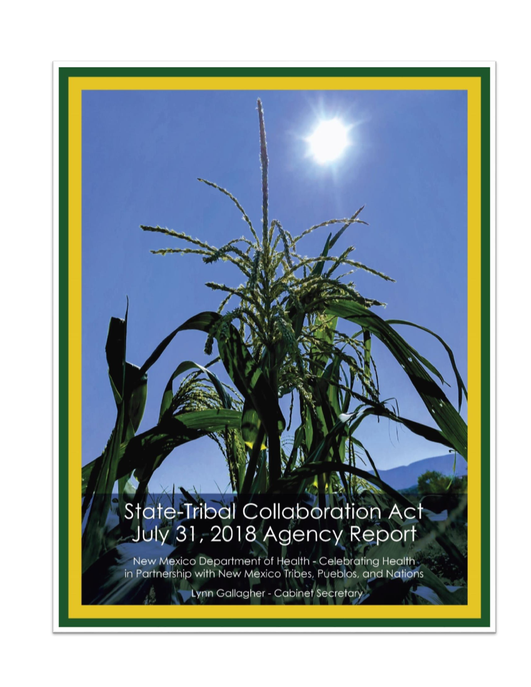# State-Tribal Collaboration Act<br>July 31, 2018 Agency Report

**CAR SERVICE** 

New Mexico Department of Health - Celebrating Health<br>in Partnership with New Mexico Tribes, Pueblos, and Nations

Lynn Gallagher - Cabinet Secretary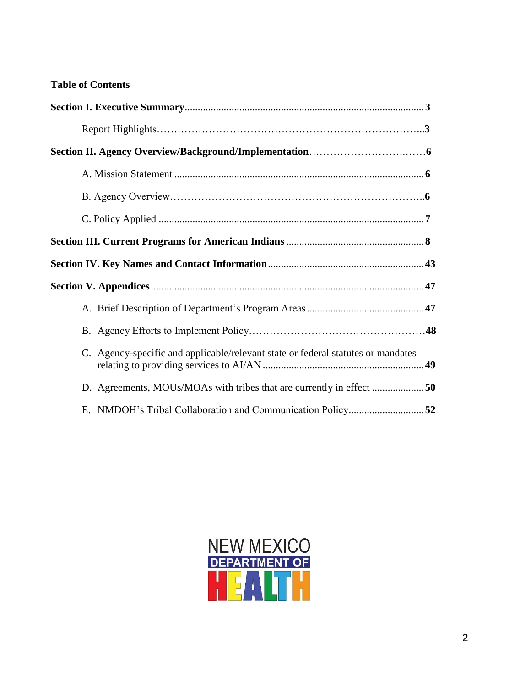#### **Table of Contents**

| C. Agency-specific and applicable/relevant state or federal statutes or mandates |  |
|----------------------------------------------------------------------------------|--|
| D. Agreements, MOUs/MOAs with tribes that are currently in effect 50             |  |
|                                                                                  |  |

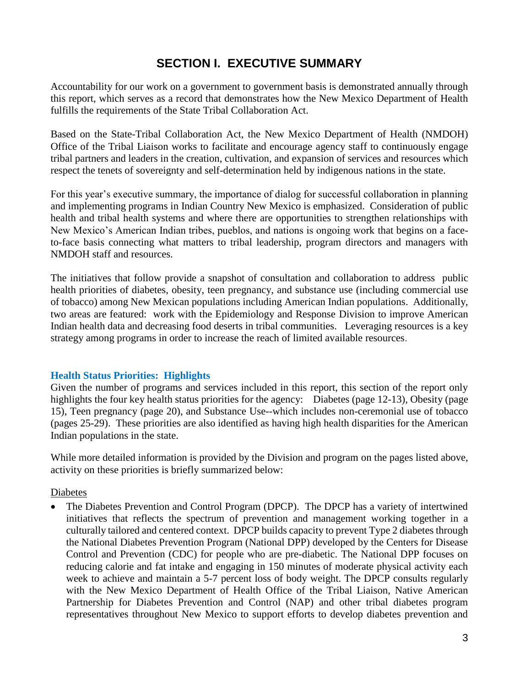### **SECTION I. EXECUTIVE SUMMARY**

Accountability for our work on a government to government basis is demonstrated annually through this report, which serves as a record that demonstrates how the New Mexico Department of Health fulfills the requirements of the State Tribal Collaboration Act.

Based on the State-Tribal Collaboration Act, the New Mexico Department of Health (NMDOH) Office of the Tribal Liaison works to facilitate and encourage agency staff to continuously engage tribal partners and leaders in the creation, cultivation, and expansion of services and resources which respect the tenets of sovereignty and self-determination held by indigenous nations in the state.

For this year's executive summary, the importance of dialog for successful collaboration in planning and implementing programs in Indian Country New Mexico is emphasized. Consideration of public health and tribal health systems and where there are opportunities to strengthen relationships with New Mexico's American Indian tribes, pueblos, and nations is ongoing work that begins on a faceto-face basis connecting what matters to tribal leadership, program directors and managers with NMDOH staff and resources.

The initiatives that follow provide a snapshot of consultation and collaboration to address public health priorities of diabetes, obesity, teen pregnancy, and substance use (including commercial use of tobacco) among New Mexican populations including American Indian populations. Additionally, two areas are featured: work with the Epidemiology and Response Division to improve American Indian health data and decreasing food deserts in tribal communities. Leveraging resources is a key strategy among programs in order to increase the reach of limited available resources.

#### **Health Status Priorities: Highlights**

Given the number of programs and services included in this report, this section of the report only highlights the four key health status priorities for the agency: Diabetes (page 12-13), Obesity (page 15), Teen pregnancy (page 20), and Substance Use--which includes non-ceremonial use of tobacco (pages 25-29). These priorities are also identified as having high health disparities for the American Indian populations in the state.

While more detailed information is provided by the Division and program on the pages listed above, activity on these priorities is briefly summarized below:

#### Diabetes

• The Diabetes Prevention and Control Program (DPCP). The DPCP has a variety of intertwined initiatives that reflects the spectrum of prevention and management working together in a culturally tailored and centered context. DPCP builds capacity to prevent Type 2 diabetes through the National Diabetes Prevention Program (National DPP) developed by the Centers for Disease Control and Prevention (CDC) for people who are pre-diabetic. The National DPP focuses on reducing calorie and fat intake and engaging in 150 minutes of moderate physical activity each week to achieve and maintain a 5-7 percent loss of body weight. The DPCP consults regularly with the New Mexico Department of Health Office of the Tribal Liaison, Native American Partnership for Diabetes Prevention and Control (NAP) and other tribal diabetes program representatives throughout New Mexico to support efforts to develop diabetes prevention and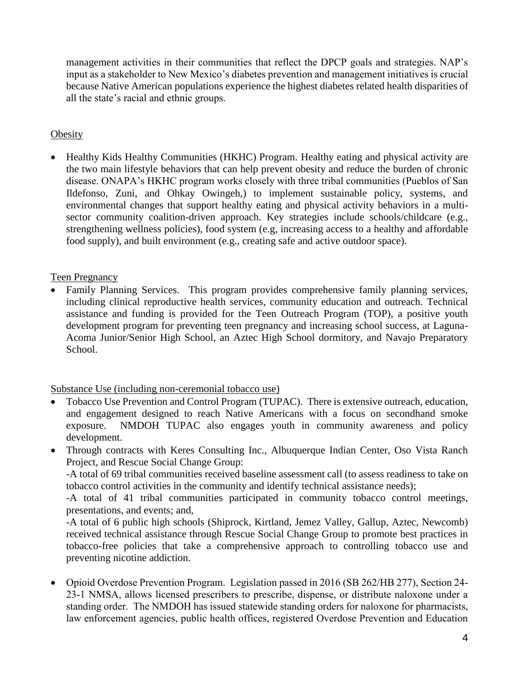management activities in their communities that reflect the DPCP goals and strategies. NAP's input as a stakeholder to New Mexico's diabetes prevention and management initiatives is crucial because Native American populations experience the highest diabetes related health disparities of all the state's racial and ethnic groups.

#### **Obesity**

• Healthy Kids Healthy Communities (HKHC) Program. Healthy eating and physical activity are the two main lifestyle behaviors that can help prevent obesity and reduce the burden of chronic disease. ONAPA's HKHC program works closely with three tribal communities (Pueblos of San Ildefonso, Zuni, and Ohkay Owingeh,) to implement sustainable policy, systems, and environmental changes that support healthy eating and physical activity behaviors in a multisector community coalition-driven approach. Key strategies include schools/childcare (e.g., strengthening wellness policies), food system (e.g, increasing access to a healthy and affordable food supply), and built environment (e.g., creating safe and active outdoor space).

#### Teen Pregnancy

 Family Planning Services. This program provides comprehensive family planning services, including clinical reproductive health services, community education and outreach. Technical assistance and funding is provided for the Teen Outreach Program (TOP), a positive youth development program for preventing teen pregnancy and increasing school success, at Laguna-Acoma Junior/Senior High School, an Aztec High School dormitory, and Navajo Preparatory School.

#### Substance Use (including non-ceremonial tobacco use)

- Tobacco Use Prevention and Control Program (TUPAC). There is extensive outreach, education, and engagement designed to reach Native Americans with a focus on secondhand smoke exposure. NMDOH TUPAC also engages youth in community awareness and policy development.
- Through contracts with Keres Consulting Inc., Albuquerque Indian Center, Oso Vista Ranch Project, and Rescue Social Change Group:

-A total of 69 tribal communities received baseline assessment call (to assess readiness to take on tobacco control activities in the community and identify technical assistance needs);

-A total of 41 tribal communities participated in community tobacco control meetings, presentations, and events; and,

-A total of 6 public high schools (Shiprock, Kirtland, Jemez Valley, Gallup, Aztec, Newcomb) received technical assistance through Rescue Social Change Group to promote best practices in tobacco-free policies that take a comprehensive approach to controlling tobacco use and preventing nicotine addiction.

 Opioid Overdose Prevention Program. Legislation passed in 2016 (SB 262/HB 277), Section 24- 23-1 NMSA, allows licensed prescribers to prescribe, dispense, or distribute naloxone under a standing order. The NMDOH has issued statewide standing orders for naloxone for pharmacists, law enforcement agencies, public health offices, registered Overdose Prevention and Education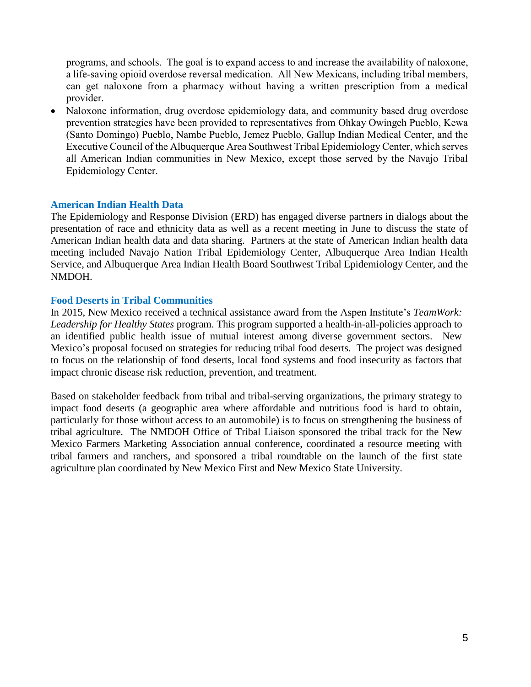programs, and schools. The goal is to expand access to and increase the availability of naloxone, a life-saving opioid overdose reversal medication. All New Mexicans, including tribal members, can get naloxone from a pharmacy without having a written prescription from a medical provider.

• Naloxone information, drug overdose epidemiology data, and community based drug overdose prevention strategies have been provided to representatives from Ohkay Owingeh Pueblo, Kewa (Santo Domingo) Pueblo, Nambe Pueblo, Jemez Pueblo, Gallup Indian Medical Center, and the Executive Council of the Albuquerque Area Southwest Tribal Epidemiology Center, which serves all American Indian communities in New Mexico, except those served by the Navajo Tribal Epidemiology Center.

#### **American Indian Health Data**

The Epidemiology and Response Division (ERD) has engaged diverse partners in dialogs about the presentation of race and ethnicity data as well as a recent meeting in June to discuss the state of American Indian health data and data sharing. Partners at the state of American Indian health data meeting included Navajo Nation Tribal Epidemiology Center, Albuquerque Area Indian Health Service, and Albuquerque Area Indian Health Board Southwest Tribal Epidemiology Center, and the NMDOH.

#### **Food Deserts in Tribal Communities**

In 2015, New Mexico received a technical assistance award from the Aspen Institute's *TeamWork: Leadership for Healthy States* program. This program supported a health-in-all-policies approach to an identified public health issue of mutual interest among diverse government sectors. New Mexico's proposal focused on strategies for reducing tribal food deserts. The project was designed to focus on the relationship of food deserts, local food systems and food insecurity as factors that impact chronic disease risk reduction, prevention, and treatment.

Based on stakeholder feedback from tribal and tribal-serving organizations, the primary strategy to impact food deserts (a geographic area where affordable and nutritious food is hard to obtain, particularly for those without access to an automobile) is to focus on strengthening the business of tribal agriculture. The NMDOH Office of Tribal Liaison sponsored the tribal track for the New Mexico Farmers Marketing Association annual conference, coordinated a resource meeting with tribal farmers and ranchers, and sponsored a tribal roundtable on the launch of the first state agriculture plan coordinated by New Mexico First and New Mexico State University.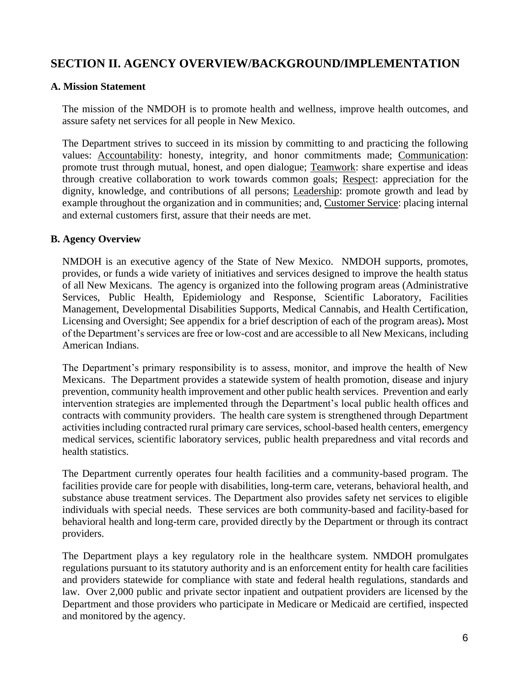### **SECTION II. AGENCY OVERVIEW/BACKGROUND/IMPLEMENTATION**

#### **A. Mission Statement**

The mission of the NMDOH is to promote health and wellness, improve health outcomes, and assure safety net services for all people in New Mexico.

The Department strives to succeed in its mission by committing to and practicing the following values: Accountability: honesty, integrity, and honor commitments made; Communication: promote trust through mutual, honest, and open dialogue; Teamwork: share expertise and ideas through creative collaboration to work towards common goals; Respect: appreciation for the dignity, knowledge, and contributions of all persons; Leadership: promote growth and lead by example throughout the organization and in communities; and, Customer Service: placing internal and external customers first, assure that their needs are met.

#### **B. Agency Overview**

NMDOH is an executive agency of the State of New Mexico. NMDOH supports, promotes, provides, or funds a wide variety of initiatives and services designed to improve the health status of all New Mexicans. The agency is organized into the following program areas (Administrative Services, Public Health, Epidemiology and Response, Scientific Laboratory, Facilities Management, Developmental Disabilities Supports, Medical Cannabis, and Health Certification, Licensing and Oversight; See appendix for a brief description of each of the program areas)**.** Most of the Department's services are free or low-cost and are accessible to all New Mexicans, including American Indians.

The Department's primary responsibility is to assess, monitor, and improve the health of New Mexicans. The Department provides a statewide system of health promotion, disease and injury prevention, community health improvement and other public health services. Prevention and early intervention strategies are implemented through the Department's local public health offices and contracts with community providers. The health care system is strengthened through Department activities including contracted rural primary care services, school-based health centers, emergency medical services, scientific laboratory services, public health preparedness and vital records and health statistics.

The Department currently operates four health facilities and a community-based program. The facilities provide care for people with disabilities, long-term care, veterans, behavioral health, and substance abuse treatment services. The Department also provides safety net services to eligible individuals with special needs. These services are both community-based and facility-based for behavioral health and long-term care, provided directly by the Department or through its contract providers.

The Department plays a key regulatory role in the healthcare system. NMDOH promulgates regulations pursuant to its statutory authority and is an enforcement entity for health care facilities and providers statewide for compliance with state and federal health regulations, standards and law. Over 2,000 public and private sector inpatient and outpatient providers are licensed by the Department and those providers who participate in Medicare or Medicaid are certified, inspected and monitored by the agency.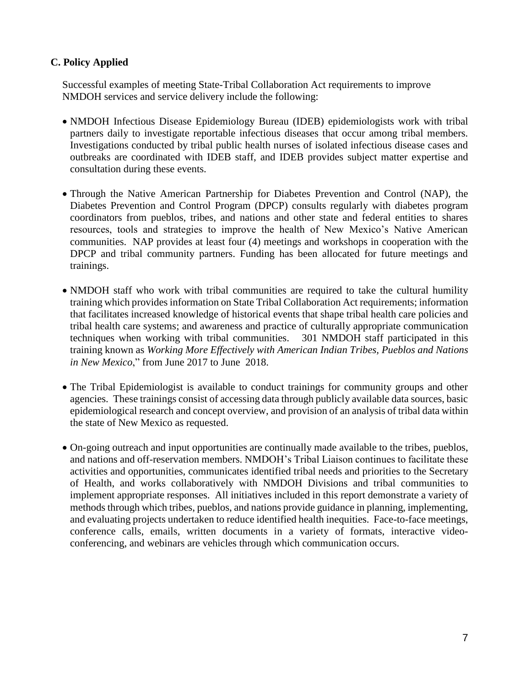#### **C. Policy Applied**

Successful examples of meeting State-Tribal Collaboration Act requirements to improve NMDOH services and service delivery include the following:

- NMDOH Infectious Disease Epidemiology Bureau (IDEB) epidemiologists work with tribal partners daily to investigate reportable infectious diseases that occur among tribal members. Investigations conducted by tribal public health nurses of isolated infectious disease cases and outbreaks are coordinated with IDEB staff, and IDEB provides subject matter expertise and consultation during these events.
- Through the Native American Partnership for Diabetes Prevention and Control (NAP), the Diabetes Prevention and Control Program (DPCP) consults regularly with diabetes program coordinators from pueblos, tribes, and nations and other state and federal entities to shares resources, tools and strategies to improve the health of New Mexico's Native American communities. NAP provides at least four (4) meetings and workshops in cooperation with the DPCP and tribal community partners. Funding has been allocated for future meetings and trainings.
- NMDOH staff who work with tribal communities are required to take the cultural humility training which provides information on State Tribal Collaboration Act requirements; information that facilitates increased knowledge of historical events that shape tribal health care policies and tribal health care systems; and awareness and practice of culturally appropriate communication techniques when working with tribal communities. 301 NMDOH staff participated in this training known as *Working More Effectively with American Indian Tribes, Pueblos and Nations in New Mexico*," from June 2017 to June 2018.
- The Tribal Epidemiologist is available to conduct trainings for community groups and other agencies. These trainings consist of accessing data through publicly available data sources, basic epidemiological research and concept overview, and provision of an analysis of tribal data within the state of New Mexico as requested.
- On-going outreach and input opportunities are continually made available to the tribes, pueblos, and nations and off-reservation members. NMDOH's Tribal Liaison continues to facilitate these activities and opportunities, communicates identified tribal needs and priorities to the Secretary of Health, and works collaboratively with NMDOH Divisions and tribal communities to implement appropriate responses. All initiatives included in this report demonstrate a variety of methods through which tribes, pueblos, and nations provide guidance in planning, implementing, and evaluating projects undertaken to reduce identified health inequities. Face-to-face meetings, conference calls, emails, written documents in a variety of formats, interactive videoconferencing, and webinars are vehicles through which communication occurs.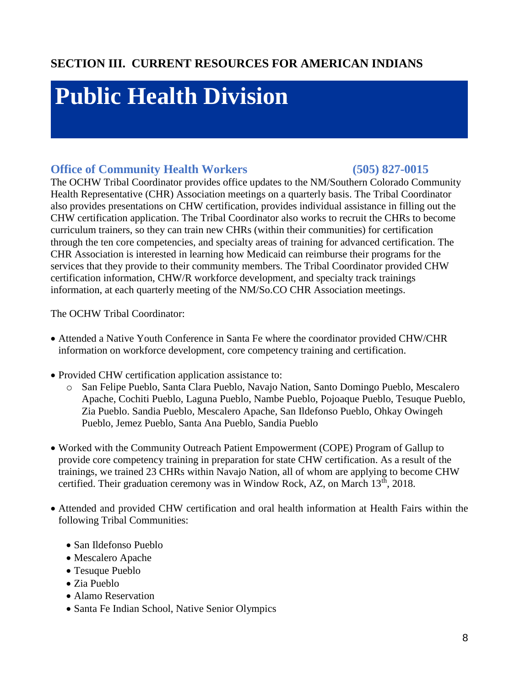## **Public Health Division**

### **Office of Community Health Workers (505) 827-0015**

The OCHW Tribal Coordinator provides office updates to the NM/Southern Colorado Community Health Representative (CHR) Association meetings on a quarterly basis. The Tribal Coordinator also provides presentations on CHW certification, provides individual assistance in filling out the CHW certification application. The Tribal Coordinator also works to recruit the CHRs to become curriculum trainers, so they can train new CHRs (within their communities) for certification through the ten core competencies, and specialty areas of training for advanced certification. The CHR Association is interested in learning how Medicaid can reimburse their programs for the services that they provide to their community members. The Tribal Coordinator provided CHW certification information, CHW/R workforce development, and specialty track trainings information, at each quarterly meeting of the NM/So.CO CHR Association meetings.

The OCHW Tribal Coordinator:

- Attended a Native Youth Conference in Santa Fe where the coordinator provided CHW/CHR information on workforce development, core competency training and certification.
- Provided CHW certification application assistance to:
	- o San Felipe Pueblo, Santa Clara Pueblo, Navajo Nation, Santo Domingo Pueblo, Mescalero Apache, Cochiti Pueblo, Laguna Pueblo, Nambe Pueblo, Pojoaque Pueblo, Tesuque Pueblo, Zia Pueblo. Sandia Pueblo, Mescalero Apache, San Ildefonso Pueblo, Ohkay Owingeh Pueblo, Jemez Pueblo, Santa Ana Pueblo, Sandia Pueblo
- Worked with the Community Outreach Patient Empowerment (COPE) Program of Gallup to provide core competency training in preparation for state CHW certification. As a result of the trainings, we trained 23 CHRs within Navajo Nation, all of whom are applying to become CHW certified. Their graduation ceremony was in Window Rock, AZ, on March  $13<sup>th</sup>$ , 2018.
- Attended and provided CHW certification and oral health information at Health Fairs within the following Tribal Communities:
	- San Ildefonso Pueblo
	- Mescalero Apache
	- Tesuque Pueblo
	- Zia Pueblo
	- Alamo Reservation
	- Santa Fe Indian School, Native Senior Olympics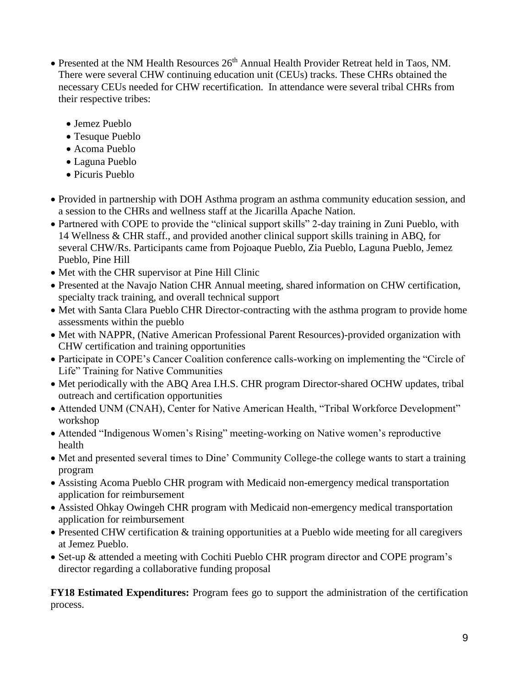- Presented at the NM Health Resources 26<sup>th</sup> Annual Health Provider Retreat held in Taos, NM. There were several CHW continuing education unit (CEUs) tracks. These CHRs obtained the necessary CEUs needed for CHW recertification. In attendance were several tribal CHRs from their respective tribes:
	- Jemez Pueblo
	- Tesuque Pueblo
	- Acoma Pueblo
	- Laguna Pueblo
	- Picuris Pueblo
- Provided in partnership with DOH Asthma program an asthma community education session, and a session to the CHRs and wellness staff at the Jicarilla Apache Nation.
- Partnered with COPE to provide the "clinical support skills" 2-day training in Zuni Pueblo, with 14 Wellness & CHR staff., and provided another clinical support skills training in ABQ, for several CHW/Rs. Participants came from Pojoaque Pueblo, Zia Pueblo, Laguna Pueblo, Jemez Pueblo, Pine Hill
- Met with the CHR supervisor at Pine Hill Clinic
- Presented at the Navajo Nation CHR Annual meeting, shared information on CHW certification, specialty track training, and overall technical support
- Met with Santa Clara Pueblo CHR Director-contracting with the asthma program to provide home assessments within the pueblo
- Met with NAPPR, (Native American Professional Parent Resources)-provided organization with CHW certification and training opportunities
- Participate in COPE's Cancer Coalition conference calls-working on implementing the "Circle of Life" Training for Native Communities
- Met periodically with the ABQ Area I.H.S. CHR program Director-shared OCHW updates, tribal outreach and certification opportunities
- Attended UNM (CNAH), Center for Native American Health, "Tribal Workforce Development" workshop
- Attended "Indigenous Women's Rising" meeting-working on Native women's reproductive health
- Met and presented several times to Dine' Community College-the college wants to start a training program
- Assisting Acoma Pueblo CHR program with Medicaid non-emergency medical transportation application for reimbursement
- Assisted Ohkay Owingeh CHR program with Medicaid non-emergency medical transportation application for reimbursement
- Presented CHW certification & training opportunities at a Pueblo wide meeting for all caregivers at Jemez Pueblo.
- Set-up & attended a meeting with Cochiti Pueblo CHR program director and COPE program's director regarding a collaborative funding proposal

**FY18 Estimated Expenditures:** Program fees go to support the administration of the certification process.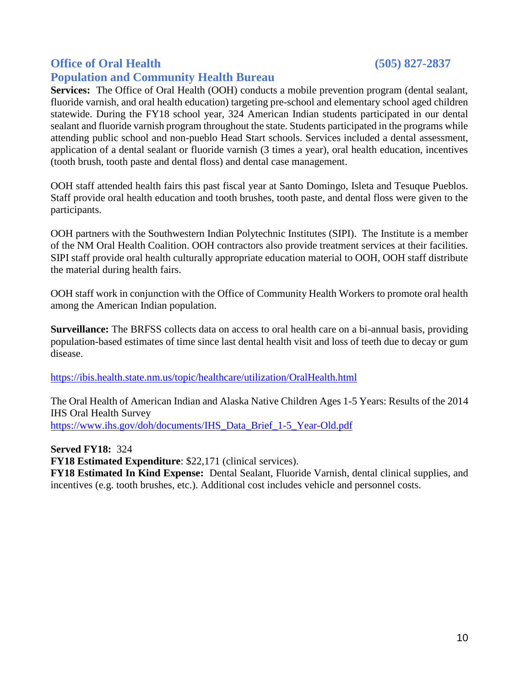### **Office of Oral Health (505) 827-2837**

### **Population and Community Health Bureau**

**Services:** The Office of Oral Health (OOH) conducts a mobile prevention program (dental sealant, fluoride varnish, and oral health education) targeting pre-school and elementary school aged children statewide. During the FY18 school year, 324 American Indian students participated in our dental sealant and fluoride varnish program throughout the state. Students participated in the programs while attending public school and non-pueblo Head Start schools. Services included a dental assessment, application of a dental sealant or fluoride varnish (3 times a year), oral health education, incentives (tooth brush, tooth paste and dental floss) and dental case management.

OOH staff attended health fairs this past fiscal year at Santo Domingo, Isleta and Tesuque Pueblos. Staff provide oral health education and tooth brushes, tooth paste, and dental floss were given to the participants.

OOH partners with the Southwestern Indian Polytechnic Institutes (SIPI). The Institute is a member of the NM Oral Health Coalition. OOH contractors also provide treatment services at their facilities. SIPI staff provide oral health culturally appropriate education material to OOH, OOH staff distribute the material during health fairs.

OOH staff work in conjunction with the Office of Community Health Workers to promote oral health among the American Indian population.

**Surveillance:** The BRFSS collects data on access to oral health care on a bi-annual basis, providing population-based estimates of time since last dental health visit and loss of teeth due to decay or gum disease.

<https://ibis.health.state.nm.us/topic/healthcare/utilization/OralHealth.html>

The Oral Health of American Indian and Alaska Native Children Ages 1-5 Years: Results of the 2014 IHS Oral Health Survey [https://www.ihs.gov/doh/documents/IHS\\_Data\\_Brief\\_1-5\\_Year-Old.pdf](https://www.ihs.gov/doh/documents/IHS_Data_Brief_1-5_Year-Old.pdf)

**Served FY18:** 324

**FY18 Estimated Expenditure**: \$22,171 (clinical services).

**FY18 Estimated In Kind Expense:** Dental Sealant, Fluoride Varnish, dental clinical supplies, and incentives (e.g. tooth brushes, etc.). Additional cost includes vehicle and personnel costs.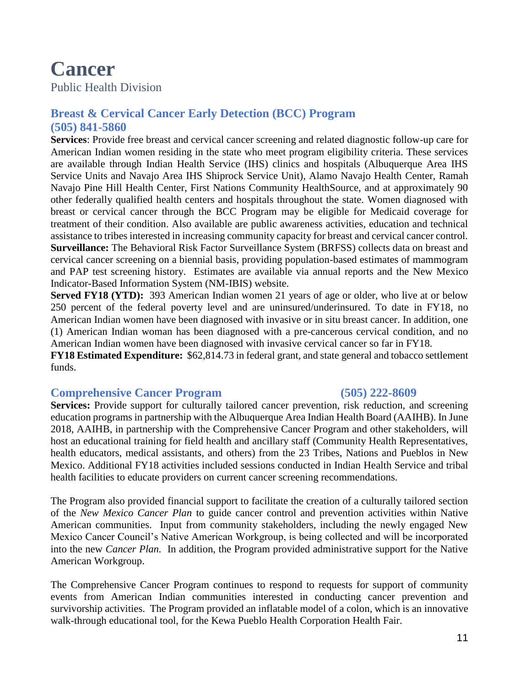## **Cancer**

Public Health Division

### **Breast & Cervical Cancer Early Detection (BCC) Program (505) 841-5860**

**Services**: Provide free breast and cervical cancer screening and related diagnostic follow-up care for American Indian women residing in the state who meet program eligibility criteria. These services are available through Indian Health Service (IHS) clinics and hospitals (Albuquerque Area IHS Service Units and Navajo Area IHS Shiprock Service Unit), Alamo Navajo Health Center, Ramah Navajo Pine Hill Health Center, First Nations Community HealthSource, and at approximately 90 other federally qualified health centers and hospitals throughout the state. Women diagnosed with breast or cervical cancer through the BCC Program may be eligible for Medicaid coverage for treatment of their condition. Also available are public awareness activities, education and technical assistance to tribes interested in increasing community capacity for breast and cervical cancer control. **Surveillance:** The Behavioral Risk Factor Surveillance System (BRFSS) collects data on breast and cervical cancer screening on a biennial basis, providing population-based estimates of mammogram and PAP test screening history. Estimates are available via annual reports and the New Mexico Indicator-Based Information System (NM-IBIS) website.

**Served FY18 (YTD):** 393 American Indian women 21 years of age or older, who live at or below 250 percent of the federal poverty level and are uninsured/underinsured. To date in FY18, no American Indian women have been diagnosed with invasive or in situ breast cancer. In addition, one (1) American Indian woman has been diagnosed with a pre-cancerous cervical condition, and no American Indian women have been diagnosed with invasive cervical cancer so far in FY18.

**FY18 Estimated Expenditure:** \$62,814.73 in federal grant, and state general and tobacco settlement funds.

### **Comprehensive Cancer Program (505) 222-8609**

**Services:** Provide support for culturally tailored cancer prevention, risk reduction, and screening education programs in partnership with the Albuquerque Area Indian Health Board (AAIHB). In June 2018, AAIHB, in partnership with the Comprehensive Cancer Program and other stakeholders, will host an educational training for field health and ancillary staff (Community Health Representatives, health educators, medical assistants, and others) from the 23 Tribes, Nations and Pueblos in New Mexico. Additional FY18 activities included sessions conducted in Indian Health Service and tribal health facilities to educate providers on current cancer screening recommendations.

The Program also provided financial support to facilitate the creation of a culturally tailored section of the *New Mexico Cancer Plan* to guide cancer control and prevention activities within Native American communities. Input from community stakeholders, including the newly engaged New Mexico Cancer Council's Native American Workgroup, is being collected and will be incorporated into the new *Cancer Plan.* In addition, the Program provided administrative support for the Native American Workgroup.

The Comprehensive Cancer Program continues to respond to requests for support of community events from American Indian communities interested in conducting cancer prevention and survivorship activities. The Program provided an inflatable model of a colon, which is an innovative walk-through educational tool, for the Kewa Pueblo Health Corporation Health Fair.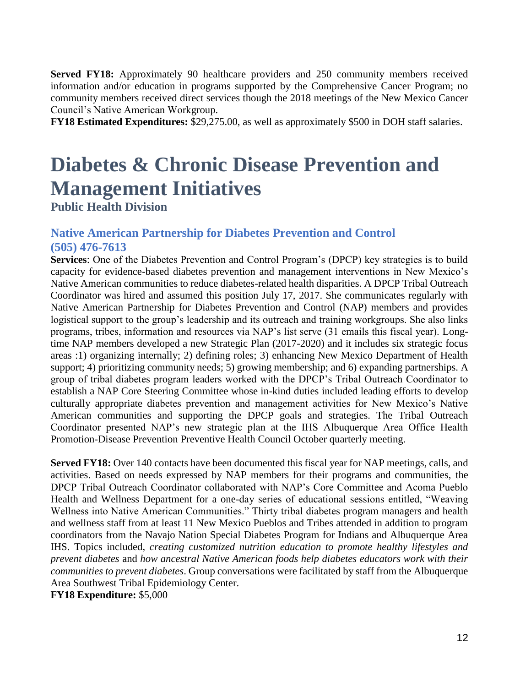**Served FY18:** Approximately 90 healthcare providers and 250 community members received information and/or education in programs supported by the Comprehensive Cancer Program; no community members received direct services though the 2018 meetings of the New Mexico Cancer Council's Native American Workgroup.

**FY18 Estimated Expenditures:** \$29,275.00, as well as approximately \$500 in DOH staff salaries.

## **Diabetes & Chronic Disease Prevention and Management Initiatives**

**Public Health Division** 

### **Native American Partnership for Diabetes Prevention and Control (505) 476-7613**

**Services**: One of the Diabetes Prevention and Control Program's (DPCP) key strategies is to build capacity for evidence-based diabetes prevention and management interventions in New Mexico's Native American communities to reduce diabetes-related health disparities. A DPCP Tribal Outreach Coordinator was hired and assumed this position July 17, 2017. She communicates regularly with Native American Partnership for Diabetes Prevention and Control (NAP) members and provides logistical support to the group's leadership and its outreach and training workgroups. She also links programs, tribes, information and resources via NAP's list serve (31 emails this fiscal year). Longtime NAP members developed a new Strategic Plan (2017-2020) and it includes six strategic focus areas :1) organizing internally; 2) defining roles; 3) enhancing New Mexico Department of Health support; 4) prioritizing community needs; 5) growing membership; and 6) expanding partnerships. A group of tribal diabetes program leaders worked with the DPCP's Tribal Outreach Coordinator to establish a NAP Core Steering Committee whose in-kind duties included leading efforts to develop culturally appropriate diabetes prevention and management activities for New Mexico's Native American communities and supporting the DPCP goals and strategies. The Tribal Outreach Coordinator presented NAP's new strategic plan at the IHS Albuquerque Area Office Health Promotion-Disease Prevention Preventive Health Council October quarterly meeting.

**Served FY18:** Over 140 contacts have been documented this fiscal year for NAP meetings, calls, and activities. Based on needs expressed by NAP members for their programs and communities, the DPCP Tribal Outreach Coordinator collaborated with NAP's Core Committee and Acoma Pueblo Health and Wellness Department for a one-day series of educational sessions entitled, "Weaving Wellness into Native American Communities." Thirty tribal diabetes program managers and health and wellness staff from at least 11 New Mexico Pueblos and Tribes attended in addition to program coordinators from the Navajo Nation Special Diabetes Program for Indians and Albuquerque Area IHS. Topics included, *creating customized nutrition education to promote healthy lifestyles and prevent diabetes* and *how ancestral Native American foods help diabetes educators work with their communities to prevent diabetes*. Group conversations were facilitated by staff from the Albuquerque Area Southwest Tribal Epidemiology Center.

**FY18 Expenditure:** \$5,000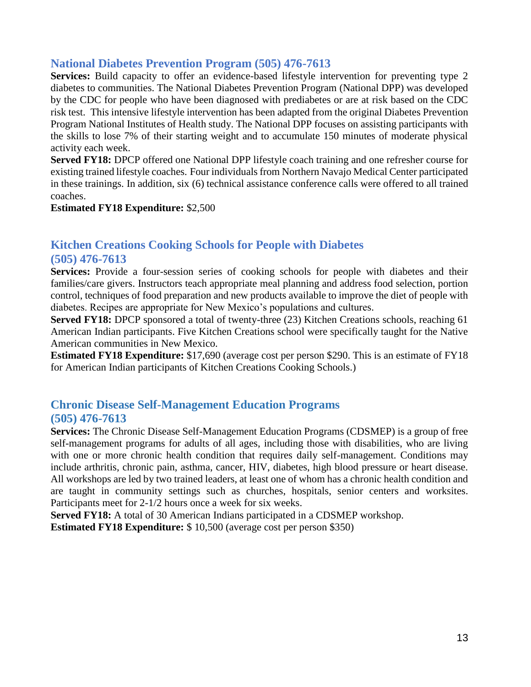### **National Diabetes Prevention Program (505) 476-7613**

**Services:** Build capacity to offer an evidence-based lifestyle intervention for preventing type 2 diabetes to communities. The National Diabetes Prevention Program (National DPP) was developed by the CDC for people who have been diagnosed with prediabetes or are at risk based on the CDC risk test. This intensive lifestyle intervention has been adapted from the original Diabetes Prevention Program National Institutes of Health study. The National DPP focuses on assisting participants with the skills to lose 7% of their starting weight and to accumulate 150 minutes of moderate physical activity each week.

**Served FY18:** DPCP offered one National DPP lifestyle coach training and one refresher course for existing trained lifestyle coaches. Four individuals from Northern Navajo Medical Center participated in these trainings. In addition, six (6) technical assistance conference calls were offered to all trained coaches.

#### **Estimated FY18 Expenditure:** \$2,500

#### **Kitchen Creations Cooking Schools for People with Diabetes (505) 476-7613**

Services: Provide a four-session series of cooking schools for people with diabetes and their families/care givers. Instructors teach appropriate meal planning and address food selection, portion control, techniques of food preparation and new products available to improve the diet of people with diabetes. Recipes are appropriate for New Mexico's populations and cultures.

**Served FY18:** DPCP sponsored a total of twenty-three (23) Kitchen Creations schools, reaching 61 American Indian participants. Five Kitchen Creations school were specifically taught for the Native American communities in New Mexico.

**Estimated FY18 Expenditure:** \$17,690 (average cost per person \$290. This is an estimate of FY18 for American Indian participants of Kitchen Creations Cooking Schools.)

### **Chronic Disease Self-Management Education Programs (505) 476-7613**

**Services:** The Chronic Disease Self-Management Education Programs (CDSMEP) is a group of free self-management programs for adults of all ages, including those with disabilities, who are living with one or more chronic health condition that requires daily self-management. Conditions may include arthritis, chronic pain, asthma, cancer, HIV, diabetes, high blood pressure or heart disease. All workshops are led by two trained leaders, at least one of whom has a chronic health condition and are taught in community settings such as churches, hospitals, senior centers and worksites. Participants meet for 2-1/2 hours once a week for six weeks.

**Served FY18:** A total of 30 American Indians participated in a CDSMEP workshop. **Estimated FY18 Expenditure:** \$ 10,500 (average cost per person \$350)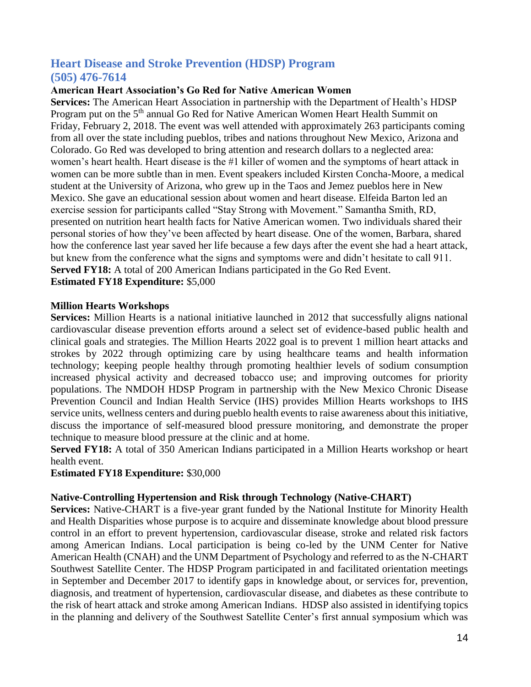#### **Heart Disease and Stroke Prevention (HDSP) Program (505) 476-7614**

#### **American Heart Association's Go Red for Native American Women**

**Services:** The American Heart Association in partnership with the Department of Health's HDSP Program put on the 5<sup>th</sup> annual Go Red for Native American Women Heart Health Summit on Friday, February 2, 2018. The event was well attended with approximately 263 participants coming from all over the state including pueblos, tribes and nations throughout New Mexico, Arizona and Colorado. Go Red was developed to bring attention and research dollars to a neglected area: women's heart health. Heart disease is the #1 killer of women and the symptoms of heart attack in women can be more subtle than in men. Event speakers included Kirsten Concha-Moore, a medical student at the University of Arizona, who grew up in the Taos and Jemez pueblos here in New Mexico. She gave an educational session about women and heart disease. Elfeida Barton led an exercise session for participants called "Stay Strong with Movement." Samantha Smith, RD, presented on nutrition heart health facts for Native American women. Two individuals shared their personal stories of how they've been affected by heart disease. One of the women, Barbara, shared how the conference last year saved her life because a few days after the event she had a heart attack, but knew from the conference what the signs and symptoms were and didn't hesitate to call 911. **Served FY18:** A total of 200 American Indians participated in the Go Red Event. **Estimated FY18 Expenditure:** \$5,000

#### **Million Hearts Workshops**

**Services:** Million Hearts is a national initiative launched in 2012 that successfully aligns national cardiovascular disease prevention efforts around a select set of evidence-based public health and clinical goals and strategies. The Million Hearts 2022 goal is to prevent 1 million heart attacks and strokes by 2022 through optimizing care by using healthcare teams and health information technology; keeping people healthy through promoting healthier levels of sodium consumption increased physical activity and decreased tobacco use; and improving outcomes for priority populations. The NMDOH HDSP Program in partnership with the New Mexico Chronic Disease Prevention Council and Indian Health Service (IHS) provides Million Hearts workshops to IHS service units, wellness centers and during pueblo health events to raise awareness about this initiative, discuss the importance of self-measured blood pressure monitoring, and demonstrate the proper technique to measure blood pressure at the clinic and at home.

**Served FY18:** A total of 350 American Indians participated in a Million Hearts workshop or heart health event.

#### **Estimated FY18 Expenditure:** \$30,000

#### **Native-Controlling Hypertension and Risk through Technology (Native-CHART)**

**Services:** Native-CHART is a five-year grant funded by the National Institute for Minority Health and Health Disparities whose purpose is to acquire and disseminate knowledge about blood pressure control in an effort to prevent hypertension, cardiovascular disease, stroke and related risk factors among American Indians. Local participation is being co-led by the UNM Center for Native American Health (CNAH) and the UNM Department of Psychology and referred to as the N-CHART Southwest Satellite Center. The HDSP Program participated in and facilitated orientation meetings in September and December 2017 to identify gaps in knowledge about, or services for, prevention, diagnosis, and treatment of hypertension, cardiovascular disease, and diabetes as these contribute to the risk of heart attack and stroke among American Indians. HDSP also assisted in identifying topics in the planning and delivery of the Southwest Satellite Center's first annual symposium which was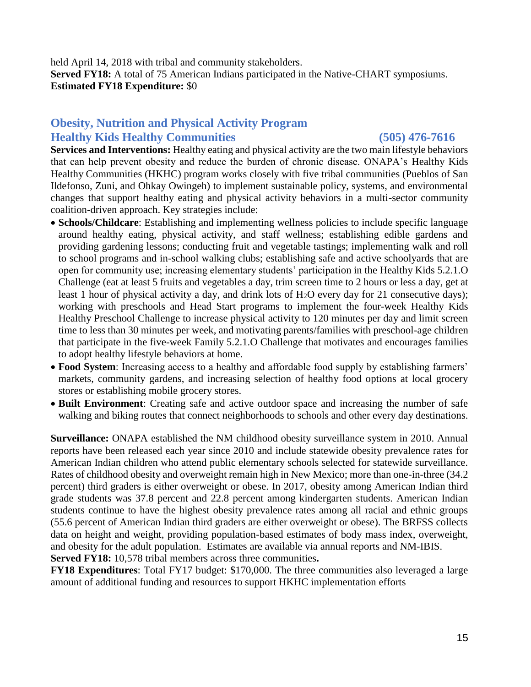held April 14, 2018 with tribal and community stakeholders. **Served FY18:** A total of 75 American Indians participated in the Native-CHART symposiums. **Estimated FY18 Expenditure:** \$0

### **Obesity, Nutrition and Physical Activity Program Healthy Kids Healthy Communities (505) 476-7616**

**Services and Interventions:** Healthy eating and physical activity are the two main lifestyle behaviors that can help prevent obesity and reduce the burden of chronic disease. ONAPA's Healthy Kids Healthy Communities (HKHC) program works closely with five tribal communities (Pueblos of San Ildefonso, Zuni, and Ohkay Owingeh) to implement sustainable policy, systems, and environmental changes that support healthy eating and physical activity behaviors in a multi-sector community coalition-driven approach. Key strategies include:

- **Schools/Childcare**: Establishing and implementing wellness policies to include specific language around healthy eating, physical activity, and staff wellness; establishing edible gardens and providing gardening lessons; conducting fruit and vegetable tastings; implementing walk and roll to school programs and in-school walking clubs; establishing safe and active schoolyards that are open for community use; increasing elementary students' participation in the Healthy Kids 5.2.1.O Challenge (eat at least 5 fruits and vegetables a day, trim screen time to 2 hours or less a day, get at least 1 hour of physical activity a day, and drink lots of  $H_2O$  every day for 21 consecutive days); working with preschools and Head Start programs to implement the four-week Healthy Kids Healthy Preschool Challenge to increase physical activity to 120 minutes per day and limit screen time to less than 30 minutes per week, and motivating parents/families with preschool-age children that participate in the five-week Family 5.2.1.O Challenge that motivates and encourages families to adopt healthy lifestyle behaviors at home.
- **Food System**: Increasing access to a healthy and affordable food supply by establishing farmers' markets, community gardens, and increasing selection of healthy food options at local grocery stores or establishing mobile grocery stores.
- **Built Environment**: Creating safe and active outdoor space and increasing the number of safe walking and biking routes that connect neighborhoods to schools and other every day destinations.

**Surveillance:** ONAPA established the NM childhood obesity surveillance system in 2010. Annual reports have been released each year since 2010 and include statewide obesity prevalence rates for American Indian children who attend public elementary schools selected for statewide surveillance. Rates of childhood obesity and overweight remain high in New Mexico; more than one-in-three (34.2 percent) third graders is either overweight or obese. In 2017, obesity among American Indian third grade students was 37.8 percent and 22.8 percent among kindergarten students. American Indian students continue to have the highest obesity prevalence rates among all racial and ethnic groups (55.6 percent of American Indian third graders are either overweight or obese). The BRFSS collects data on height and weight, providing population-based estimates of body mass index, overweight, and obesity for the adult population. Estimates are available via annual reports and NM-IBIS. **Served FY18:** 10,578 tribal members across three communities**.** 

**FY18 Expenditures**: Total FY17 budget: \$170,000. The three communities also leveraged a large amount of additional funding and resources to support HKHC implementation efforts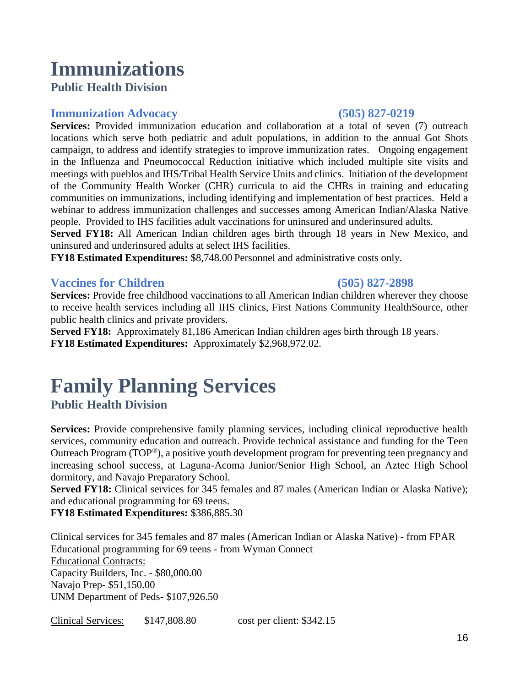## **Immunizations**

**Public Health Division** 

### **Immunization Advocacy (505) 827-0219**

**Services:** Provided immunization education and collaboration at a total of seven (7) outreach locations which serve both pediatric and adult populations, in addition to the annual Got Shots campaign, to address and identify strategies to improve immunization rates. Ongoing engagement in the Influenza and Pneumococcal Reduction initiative which included multiple site visits and meetings with pueblos and IHS/Tribal Health Service Units and clinics. Initiation of the development of the Community Health Worker (CHR) curricula to aid the CHRs in training and educating communities on immunizations, including identifying and implementation of best practices. Held a webinar to address immunization challenges and successes among American Indian/Alaska Native people. Provided to IHS facilities adult vaccinations for uninsured and underinsured adults.

**Served FY18:** All American Indian children ages birth through 18 years in New Mexico, and uninsured and underinsured adults at select IHS facilities.

**FY18 Estimated Expenditures:** \$8,748.00 Personnel and administrative costs only.

### **Vaccines for Children (505) 827-2898**

**Services:** Provide free childhood vaccinations to all American Indian children wherever they choose to receive health services including all IHS clinics, First Nations Community HealthSource, other public health clinics and private providers.

**Served FY18:** Approximately 81,186 American Indian children ages birth through 18 years. **FY18 Estimated Expenditures:** Approximately \$2,968,972.02.

### **Family Planning Services Public Health Division**

Services: Provide comprehensive family planning services, including clinical reproductive health services, community education and outreach. Provide technical assistance and funding for the Teen Outreach Program (TOP®), a positive youth development program for preventing teen pregnancy and increasing school success, at Laguna-Acoma Junior/Senior High School, an Aztec High School dormitory, and Navajo Preparatory School.

**Served FY18:** Clinical services for 345 females and 87 males (American Indian or Alaska Native); and educational programming for 69 teens.

**FY18 Estimated Expenditures:** \$386,885.30

Clinical services for 345 females and 87 males (American Indian or Alaska Native) - from FPAR Educational programming for 69 teens - from Wyman Connect Educational Contracts: Capacity Builders, Inc. - \$80,000.00 Navajo Prep- \$51,150.00 UNM Department of Peds- \$107,926.50

Clinical Services: \$147,808.80 cost per client: \$342.15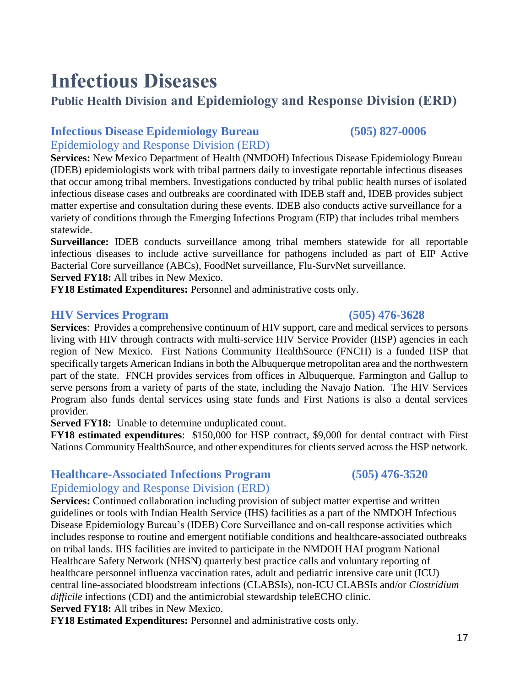## **Infectious Diseases**

### **Public Health Division and Epidemiology and Response Division (ERD)**

### **Infectious Disease Epidemiology Bureau (505) 827-0006**

Epidemiology and Response Division (ERD)

**Services:** New Mexico Department of Health (NMDOH) Infectious Disease Epidemiology Bureau (IDEB) epidemiologists work with tribal partners daily to investigate reportable infectious diseases that occur among tribal members. Investigations conducted by tribal public health nurses of isolated infectious disease cases and outbreaks are coordinated with IDEB staff and, IDEB provides subject matter expertise and consultation during these events. IDEB also conducts active surveillance for a variety of conditions through the Emerging Infections Program (EIP) that includes tribal members statewide.

**Surveillance:** IDEB conducts surveillance among tribal members statewide for all reportable infectious diseases to include active surveillance for pathogens included as part of EIP Active Bacterial Core surveillance (ABCs), FoodNet surveillance, Flu-SurvNet surveillance.

**Served FY18:** All tribes in New Mexico.

**FY18 Estimated Expenditures:** Personnel and administrative costs only.

#### **HIV Services Program (505) 476-3628**

**Services**: Provides a comprehensive continuum of HIV support, care and medical services to persons living with HIV through contracts with multi-service HIV Service Provider (HSP) agencies in each region of New Mexico. First Nations Community HealthSource (FNCH) is a funded HSP that specifically targets American Indians in both the Albuquerque metropolitan area and the northwestern part of the state. FNCH provides services from offices in Albuquerque, Farmington and Gallup to serve persons from a variety of parts of the state, including the Navajo Nation. The HIV Services Program also funds dental services using state funds and First Nations is also a dental services provider.

**Served FY18:** Unable to determine unduplicated count.

**FY18 estimated expenditures**: \$150,000 for HSP contract, \$9,000 for dental contract with First Nations Community HealthSource, and other expenditures for clients served across the HSP network.

### **Healthcare-Associated Infections Program (505) 476-3520**

### Epidemiology and Response Division (ERD)

**Services:** Continued collaboration including provision of subject matter expertise and written guidelines or tools with Indian Health Service (IHS) facilities as a part of the NMDOH Infectious Disease Epidemiology Bureau's (IDEB) Core Surveillance and on-call response activities which includes response to routine and emergent notifiable conditions and healthcare-associated outbreaks on tribal lands. IHS facilities are invited to participate in the NMDOH HAI program National Healthcare Safety Network (NHSN) quarterly best practice calls and voluntary reporting of healthcare personnel influenza vaccination rates, adult and pediatric intensive care unit (ICU) central line-associated bloodstream infections (CLABSIs), non-ICU CLABSIs and/or *Clostridium difficile* infections (CDI) and the antimicrobial stewardship teleECHO clinic. **Served FY18:** All tribes in New Mexico.

**FY18 Estimated Expenditures:** Personnel and administrative costs only.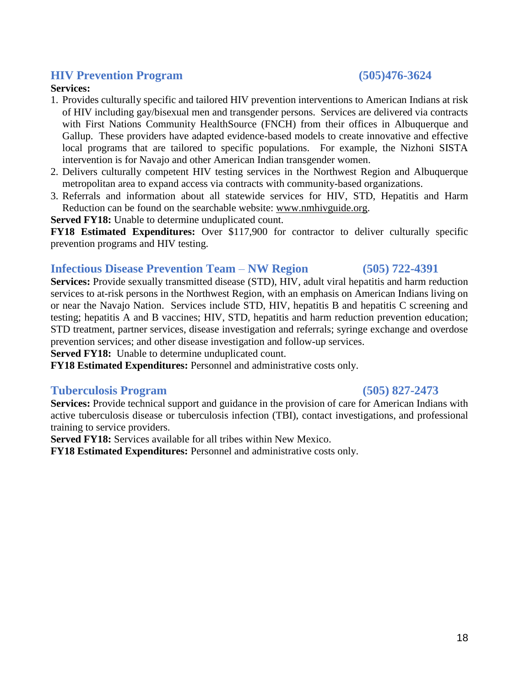**Services:** Provide technical support and guidance in the provision of care for American Indians with active tuberculosis disease or tuberculosis infection (TBI), contact investigations, and professional training to service providers.

**Served FY18:** Services available for all tribes within New Mexico.

**FY18 Estimated Expenditures:** Personnel and administrative costs only.

#### **HIV Prevention Program (505)476-3624**

#### **Services:**

- 1. Provides culturally specific and tailored HIV prevention interventions to American Indians at risk of HIV including gay/bisexual men and transgender persons. Services are delivered via contracts with First Nations Community HealthSource (FNCH) from their offices in Albuquerque and Gallup. These providers have adapted evidence-based models to create innovative and effective local programs that are tailored to specific populations. For example, the Nizhoni SISTA intervention is for Navajo and other American Indian transgender women.
- 2. Delivers culturally competent HIV testing services in the Northwest Region and Albuquerque metropolitan area to expand access via contracts with community-based organizations.
- 3. Referrals and information about all statewide services for HIV, STD, Hepatitis and Harm Reduction can be found on the searchable website: [www.nmhivguide.org.](http://www.nmhivguide.org/)

**Served FY18:** Unable to determine unduplicated count.

**FY18 Estimated Expenditures:** Over \$117,900 for contractor to deliver culturally specific prevention programs and HIV testing.

#### **Infectious Disease Prevention Team** – **NW Region (505) 722-4391**

**Services:** Provide sexually transmitted disease (STD), HIV, adult viral hepatitis and harm reduction services to at-risk persons in the Northwest Region, with an emphasis on American Indians living on or near the Navajo Nation. Services include STD, HIV, hepatitis B and hepatitis C screening and testing; hepatitis A and B vaccines; HIV, STD, hepatitis and harm reduction prevention education; STD treatment, partner services, disease investigation and referrals; syringe exchange and overdose prevention services; and other disease investigation and follow-up services.

**Served FY18:** Unable to determine unduplicated count.

**FY18 Estimated Expenditures:** Personnel and administrative costs only.

#### **Tuberculosis Program (505) 827-2473**

18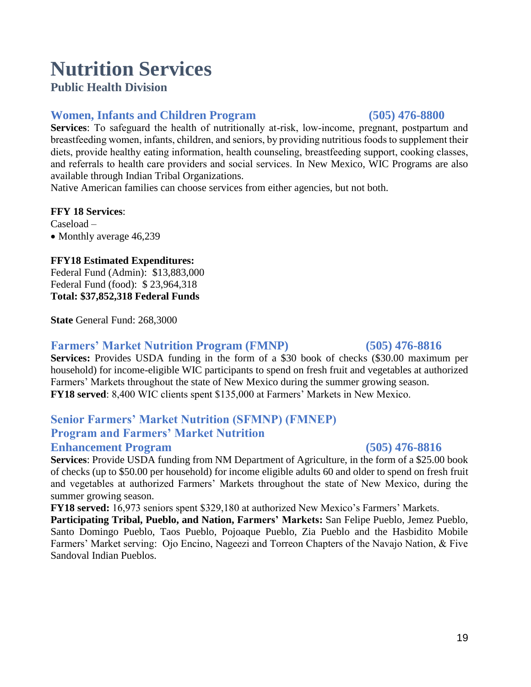## **Nutrition Services**

### **Public Health Division**

### **Women, Infants and Children Program (505) 476-8800**

**Services**: To safeguard the health of nutritionally at-risk, low-income, pregnant, postpartum and breastfeeding women, infants, children, and seniors, by providing nutritious foods to supplement their diets, provide healthy eating information, health counseling, breastfeeding support, cooking classes, and referrals to health care providers and social services. In New Mexico, WIC Programs are also available through Indian Tribal Organizations.

Native American families can choose services from either agencies, but not both.

#### **FFY 18 Services**:

Caseload – • Monthly average 46,239

#### **FFY18 Estimated Expenditures:**

Federal Fund (Admin): \$13,883,000 Federal Fund (food): \$ 23,964,318 **Total: \$37,852,318 Federal Funds** 

**State** General Fund: 268,3000

#### **Farmers' Market Nutrition Program (FMNP) (505) 476-8816**

**Services:** Provides USDA funding in the form of a \$30 book of checks (\$30.00 maximum per household) for income-eligible WIC participants to spend on fresh fruit and vegetables at authorized Farmers' Markets throughout the state of New Mexico during the summer growing season. **FY18 served**: 8,400 WIC clients spent \$135,000 at Farmers' Markets in New Mexico.

### **Senior Farmers' Market Nutrition (SFMNP) (FMNEP) Program and Farmers' Market Nutrition**

#### **Enhancement Program (505) 476-8816**

**Services**: Provide USDA funding from NM Department of Agriculture, in the form of a \$25.00 book of checks (up to \$50.00 per household) for income eligible adults 60 and older to spend on fresh fruit and vegetables at authorized Farmers' Markets throughout the state of New Mexico, during the summer growing season.

**FY18 served:** 16,973 seniors spent \$329,180 at authorized New Mexico's Farmers' Markets.

**Participating Tribal, Pueblo, and Nation, Farmers' Markets:** San Felipe Pueblo, Jemez Pueblo, Santo Domingo Pueblo, Taos Pueblo, Pojoaque Pueblo, Zia Pueblo and the Hasbidito Mobile Farmers' Market serving: Ojo Encino, Nageezi and Torreon Chapters of the Navajo Nation, & Five Sandoval Indian Pueblos.

#### 19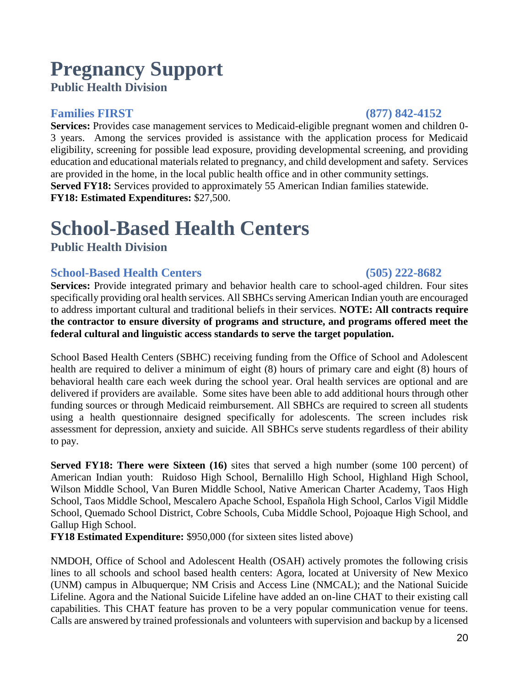### **Pregnancy Support Public Health Division**

### **Families FIRST (877) 842-4152**

**Services:** Provides case management services to Medicaid-eligible pregnant women and children 0- 3 years. Among the services provided is assistance with the application process for Medicaid eligibility, screening for possible lead exposure, providing developmental screening, and providing education and educational materials related to pregnancy, and child development and safety. Services are provided in the home, in the local public health office and in other community settings. **Served FY18:** Services provided to approximately 55 American Indian families statewide. **FY18: Estimated Expenditures:** \$27,500.

## **School-Based Health Centers**

**Public Health Division** 

### **School-Based Health Centers (505) 222-8682**

Services: Provide integrated primary and behavior health care to school-aged children. Four sites specifically providing oral health services. All SBHCs serving American Indian youth are encouraged to address important cultural and traditional beliefs in their services. **NOTE: All contracts require the contractor to ensure diversity of programs and structure, and programs offered meet the federal cultural and linguistic access standards to serve the target population.**

School Based Health Centers (SBHC) receiving funding from the Office of School and Adolescent health are required to deliver a minimum of eight (8) hours of primary care and eight (8) hours of behavioral health care each week during the school year. Oral health services are optional and are delivered if providers are available. Some sites have been able to add additional hours through other funding sources or through Medicaid reimbursement. All SBHCs are required to screen all students using a health questionnaire designed specifically for adolescents. The screen includes risk assessment for depression, anxiety and suicide. All SBHCs serve students regardless of their ability to pay.

**Served FY18: There were Sixteen (16)** sites that served a high number (some 100 percent) of American Indian youth:Ruidoso High School, Bernalillo High School, Highland High School, Wilson Middle School, Van Buren Middle School, Native American Charter Academy, Taos High School, Taos Middle School, Mescalero Apache School, Española High School, Carlos Vigil Middle School, Quemado School District, Cobre Schools, Cuba Middle School, Pojoaque High School, and Gallup High School.

**FY18 Estimated Expenditure:** \$950,000 (for sixteen sites listed above)

NMDOH, Office of School and Adolescent Health (OSAH) actively promotes the following crisis lines to all schools and school based health centers: Agora, located at University of New Mexico (UNM) campus in Albuquerque; NM Crisis and Access Line (NMCAL); and the National Suicide Lifeline. Agora and the National Suicide Lifeline have added an on-line CHAT to their existing call capabilities. This CHAT feature has proven to be a very popular communication venue for teens. Calls are answered by trained professionals and volunteers with supervision and backup by a licensed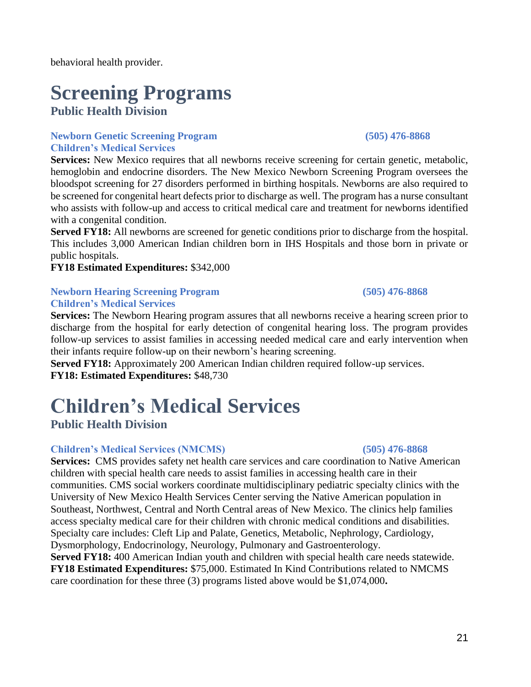behavioral health provider.

## **Screening Programs**

**Public Health Division**

#### **Newborn Genetic Screening Program (505) 476-8868 Children's Medical Services**

**Services:** New Mexico requires that all newborns receive screening for certain genetic, metabolic, hemoglobin and endocrine disorders. The New Mexico Newborn Screening Program oversees the bloodspot screening for 27 disorders performed in birthing hospitals. Newborns are also required to be screened for congenital heart defects prior to discharge as well. The program has a nurse consultant who assists with follow-up and access to critical medical care and treatment for newborns identified with a congenital condition.

**Served FY18:** All newborns are screened for genetic conditions prior to discharge from the hospital. This includes 3,000 American Indian children born in IHS Hospitals and those born in private or public hospitals.

### **FY18 Estimated Expenditures:** \$342,000

#### **Newborn Hearing Screening Program (505) 476-8868 Children's Medical Services**

**Services:** The Newborn Hearing program assures that all newborns receive a hearing screen prior to discharge from the hospital for early detection of congenital hearing loss. The program provides follow-up services to assist families in accessing needed medical care and early intervention when their infants require follow-up on their newborn's hearing screening.

**Served FY18:** Approximately 200 American Indian children required follow-up services. **FY18: Estimated Expenditures:** \$48,730

## **Children's Medical Services**

### **Public Health Division**

### **Children's Medical Services (NMCMS) (505) 476-8868**

**Services:** CMS provides safety net health care services and care coordination to Native American children with special health care needs to assist families in accessing health care in their communities. CMS social workers coordinate multidisciplinary pediatric specialty clinics with the University of New Mexico Health Services Center serving the Native American population in Southeast, Northwest, Central and North Central areas of New Mexico. The clinics help families access specialty medical care for their children with chronic medical conditions and disabilities. Specialty care includes: Cleft Lip and Palate, Genetics, Metabolic, Nephrology, Cardiology, Dysmorphology, Endocrinology, Neurology, Pulmonary and Gastroenterology.

**Served FY18:** 400 American Indian youth and children with special health care needs statewide. **FY18 Estimated Expenditures:** \$75,000. Estimated In Kind Contributions related to NMCMS care coordination for these three (3) programs listed above would be \$1,074,000**.**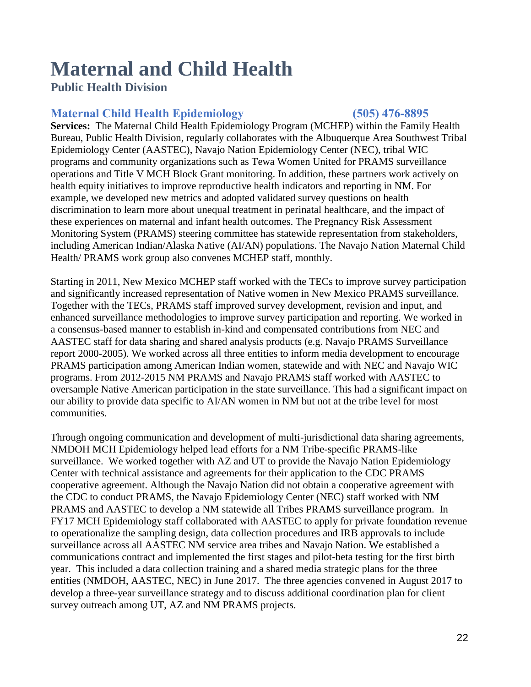## **Maternal and Child Health**

### **Public Health Division**

### **Maternal Child Health Epidemiology (505) 476-8895**

**Services:** The Maternal Child Health Epidemiology Program (MCHEP) within the Family Health Bureau, Public Health Division, regularly collaborates with the Albuquerque Area Southwest Tribal Epidemiology Center (AASTEC), Navajo Nation Epidemiology Center (NEC), tribal WIC programs and community organizations such as Tewa Women United for PRAMS surveillance operations and Title V MCH Block Grant monitoring. In addition, these partners work actively on health equity initiatives to improve reproductive health indicators and reporting in NM. For example, we developed new metrics and adopted validated survey questions on health discrimination to learn more about unequal treatment in perinatal healthcare, and the impact of these experiences on maternal and infant health outcomes. The Pregnancy Risk Assessment Monitoring System (PRAMS) steering committee has statewide representation from stakeholders, including American Indian/Alaska Native (AI/AN) populations. The Navajo Nation Maternal Child Health/ PRAMS work group also convenes MCHEP staff, monthly.

Starting in 2011, New Mexico MCHEP staff worked with the TECs to improve survey participation and significantly increased representation of Native women in New Mexico PRAMS surveillance. Together with the TECs, PRAMS staff improved survey development, revision and input, and enhanced surveillance methodologies to improve survey participation and reporting. We worked in a consensus-based manner to establish in-kind and compensated contributions from NEC and AASTEC staff for data sharing and shared analysis products (e.g. Navajo PRAMS Surveillance report 2000-2005). We worked across all three entities to inform media development to encourage PRAMS participation among American Indian women, statewide and with NEC and Navajo WIC programs. From 2012-2015 NM PRAMS and Navajo PRAMS staff worked with AASTEC to oversample Native American participation in the state surveillance. This had a significant impact on our ability to provide data specific to AI/AN women in NM but not at the tribe level for most communities.

Through ongoing communication and development of multi-jurisdictional data sharing agreements, NMDOH MCH Epidemiology helped lead efforts for a NM Tribe-specific PRAMS-like surveillance. We worked together with AZ and UT to provide the Navajo Nation Epidemiology Center with technical assistance and agreements for their application to the CDC PRAMS cooperative agreement. Although the Navajo Nation did not obtain a cooperative agreement with the CDC to conduct PRAMS, the Navajo Epidemiology Center (NEC) staff worked with NM PRAMS and AASTEC to develop a NM statewide all Tribes PRAMS surveillance program. In FY17 MCH Epidemiology staff collaborated with AASTEC to apply for private foundation revenue to operationalize the sampling design, data collection procedures and IRB approvals to include surveillance across all AASTEC NM service area tribes and Navajo Nation. We established a communications contract and implemented the first stages and pilot-beta testing for the first birth year. This included a data collection training and a shared media strategic plans for the three entities (NMDOH, AASTEC, NEC) in June 2017. The three agencies convened in August 2017 to develop a three-year surveillance strategy and to discuss additional coordination plan for client survey outreach among UT, AZ and NM PRAMS projects.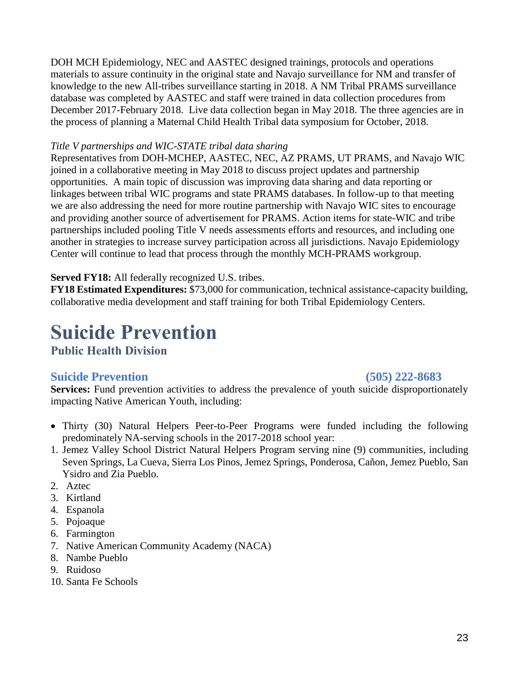DOH MCH Epidemiology, NEC and AASTEC designed trainings, protocols and operations materials to assure continuity in the original state and Navajo surveillance for NM and transfer of knowledge to the new All-tribes surveillance starting in 2018. A NM Tribal PRAMS surveillance database was completed by AASTEC and staff were trained in data collection procedures from December 2017-February 2018. Live data collection began in May 2018. The three agencies are in the process of planning a Maternal Child Health Tribal data symposium for October, 2018.

#### *Title V partnerships and WIC-STATE tribal data sharing*

Representatives from DOH-MCHEP, AASTEC, NEC, AZ PRAMS, UT PRAMS, and Navajo WIC joined in a collaborative meeting in May 2018 to discuss project updates and partnership opportunities. A main topic of discussion was improving data sharing and data reporting or linkages between tribal WIC programs and state PRAMS databases. In follow-up to that meeting we are also addressing the need for more routine partnership with Navajo WIC sites to encourage and providing another source of advertisement for PRAMS. Action items for state-WIC and tribe partnerships included pooling Title V needs assessments efforts and resources, and including one another in strategies to increase survey participation across all jurisdictions. Navajo Epidemiology Center will continue to lead that process through the monthly MCH-PRAMS workgroup.

#### **Served FY18:** All federally recognized U.S. tribes.

**FY18 Estimated Expenditures:** \$73,000 for communication, technical assistance-capacity building, collaborative media development and staff training for both Tribal Epidemiology Centers.

## **Suicide Prevention**

**Public Health Division** 

#### **Suicide Prevention (505) 222-8683**

Services: Fund prevention activities to address the prevalence of youth suicide disproportionately impacting Native American Youth, including:

- Thirty (30) Natural Helpers Peer-to-Peer Programs were funded including the following predominately NA-serving schools in the 2017-2018 school year:
- 1. Jemez Valley School District Natural Helpers Program serving nine (9) communities, including Seven Springs, La Cueva, Sierra Los Pinos, Jemez Springs, Ponderosa, Cañon, Jemez Pueblo, San Ysidro and Zia Pueblo.
- 2. Aztec
- 3. Kirtland
- 4. Espanola
- 5. Pojoaque
- 6. Farmington
- 7. Native American Community Academy (NACA)
- 8. Nambe Pueblo
- 9. Ruidoso
- 10. Santa Fe Schools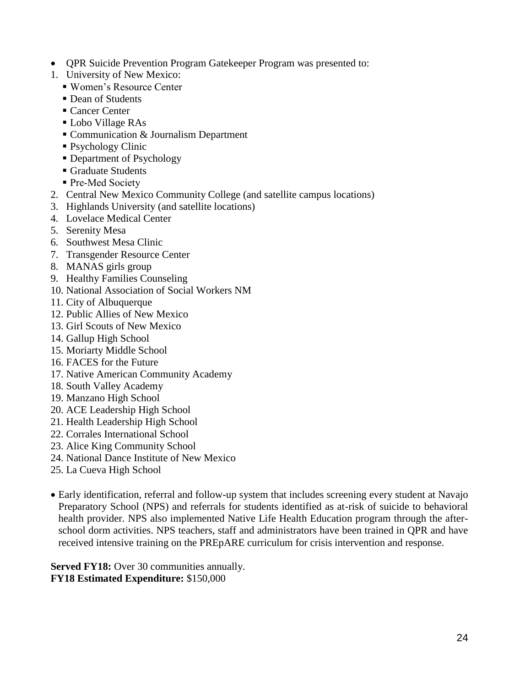- QPR Suicide Prevention Program Gatekeeper Program was presented to:
- 1. University of New Mexico:
	- Women's Resource Center
	- Dean of Students
	- Cancer Center
	- Lobo Village RAs
	- Communication & Journalism Department
	- Psychology Clinic
	- Department of Psychology
	- Graduate Students
	- Pre-Med Society
- 2. Central New Mexico Community College (and satellite campus locations)
- 3. Highlands University (and satellite locations)
- 4. Lovelace Medical Center
- 5. Serenity Mesa
- 6. Southwest Mesa Clinic
- 7. Transgender Resource Center
- 8. MANAS girls group
- 9. Healthy Families Counseling
- 10. National Association of Social Workers NM
- 11. City of Albuquerque
- 12. Public Allies of New Mexico
- 13. Girl Scouts of New Mexico
- 14. Gallup High School
- 15. Moriarty Middle School
- 16. FACES for the Future
- 17. Native American Community Academy
- 18. South Valley Academy
- 19. Manzano High School
- 20. ACE Leadership High School
- 21. Health Leadership High School
- 22. Corrales International School
- 23. Alice King Community School
- 24. National Dance Institute of New Mexico
- 25. La Cueva High School
- Early identification, referral and follow-up system that includes screening every student at Navajo Preparatory School (NPS) and referrals for students identified as at-risk of suicide to behavioral health provider. NPS also implemented Native Life Health Education program through the afterschool dorm activities. NPS teachers, staff and administrators have been trained in QPR and have received intensive training on the PREpARE curriculum for crisis intervention and response.

**Served FY18:** Over 30 communities annually. **FY18 Estimated Expenditure:** \$150,000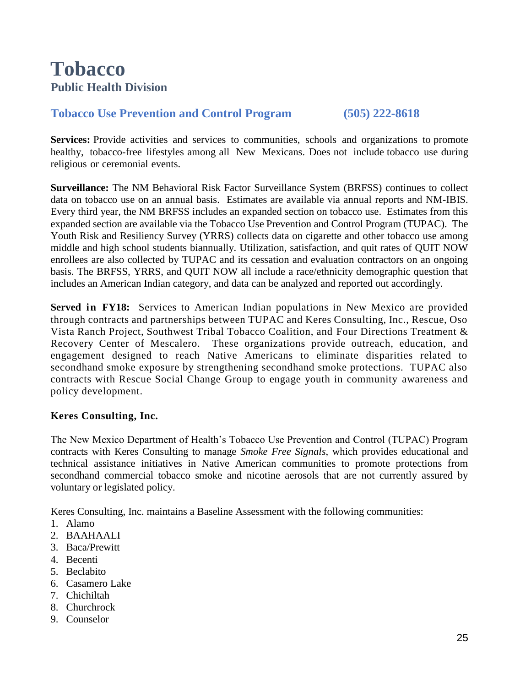## **Tobacco Public Health Division**

### **Tobacco Use Prevention and Control Program (505) 222-8618**

**Services:** Provide activities and services to communities, schools and organizations to promote healthy, tobacco-free lifestyles among all New Mexicans. Does not include tobacco use during religious or ceremonial events.

**Surveillance:** The NM Behavioral Risk Factor Surveillance System (BRFSS) continues to collect data on tobacco use on an annual basis. Estimates are available via annual reports and NM-IBIS. Every third year, the NM BRFSS includes an expanded section on tobacco use. Estimates from this expanded section are available via the Tobacco Use Prevention and Control Program (TUPAC). The Youth Risk and Resiliency Survey (YRRS) collects data on cigarette and other tobacco use among middle and high school students biannually. Utilization, satisfaction, and quit rates of QUIT NOW enrollees are also collected by TUPAC and its cessation and evaluation contractors on an ongoing basis. The BRFSS, YRRS, and QUIT NOW all include a race/ethnicity demographic question that includes an American Indian category, and data can be analyzed and reported out accordingly.

**Served in FY18:** Services to American Indian populations in New Mexico are provided through contracts and partnerships between TUPAC and Keres Consulting, Inc., Rescue, Oso Vista Ranch Project, Southwest Tribal Tobacco Coalition, and Four Directions Treatment & Recovery Center of Mescalero. These organizations provide outreach, education, and engagement designed to reach Native Americans to eliminate disparities related to secondhand smoke exposure by strengthening secondhand smoke protections. TUPAC also contracts with Rescue Social Change Group to engage youth in community awareness and policy development.

#### **Keres Consulting, Inc.**

The New Mexico Department of Health's Tobacco Use Prevention and Control (TUPAC) Program contracts with Keres Consulting to manage *Smoke Free Signals*, which provides educational and technical assistance initiatives in Native American communities to promote protections from secondhand commercial tobacco smoke and nicotine aerosols that are not currently assured by voluntary or legislated policy.

Keres Consulting, Inc. maintains a Baseline Assessment with the following communities:

- 1. Alamo
- 2. BAAHAALI
- 3. Baca/Prewitt
- 4. Becenti
- 5. Beclabito
- 6. Casamero Lake
- 7. Chichiltah
- 8. Churchrock
- 9. Counselor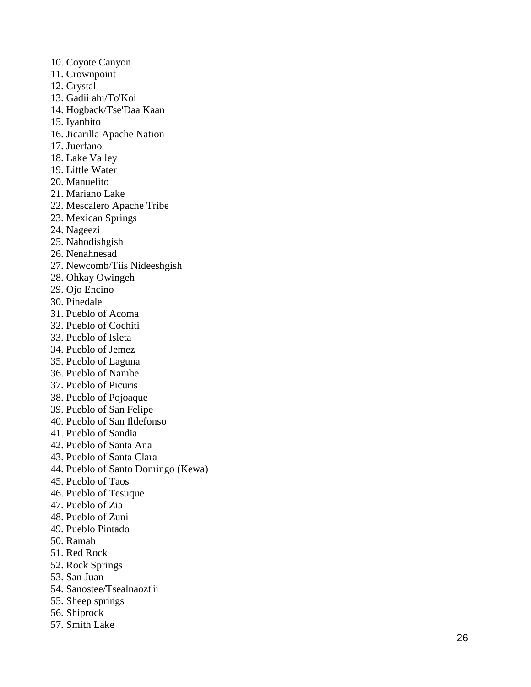- 10. Coyote Canyon
- 11. Crownpoint
- 12. Crystal
- 13. Gadii ahi/To'Koi
- 14. Hogback/Tse'Daa Kaan
- 15. Iyanbito
- 16. Jicarilla Apache Nation
- 17. Juerfano
- 18. Lake Valley
- 19. Little Water
- 20. Manuelito
- 21. Mariano Lake
- 22. Mescalero Apache Tribe
- 23. Mexican Springs
- 24. Nageezi
- 25. Nahodishgish
- 26. Nenahnesad
- 27. Newcomb/Tiis Nideeshgish
- 28. Ohkay Owingeh
- 29. Ojo Encino
- 30. Pinedale
- 31. Pueblo of Acoma
- 32. Pueblo of Cochiti
- 33. Pueblo of Isleta
- 34. Pueblo of Jemez
- 35. Pueblo of Laguna
- 36. Pueblo of Nambe
- 37. Pueblo of Picuris
- 38. Pueblo of Pojoaque
- 39. Pueblo of San Felipe
- 40. Pueblo of San Ildefonso
- 41. Pueblo of Sandia
- 42. Pueblo of Santa Ana
- 43. Pueblo of Santa Clara
- 44. Pueblo of Santo Domingo (Kewa)
- 45. Pueblo of Taos
- 46. Pueblo of Tesuque
- 47. Pueblo of Zia
- 48. Pueblo of Zuni
- 49. Pueblo Pintado
- 50. Ramah
- 51. Red Rock
- 52. Rock Springs
- 53. San Juan
- 54. Sanostee/Tsealnaozt'ii
- 55. Sheep springs
- 56. Shiprock
- 57. Smith Lake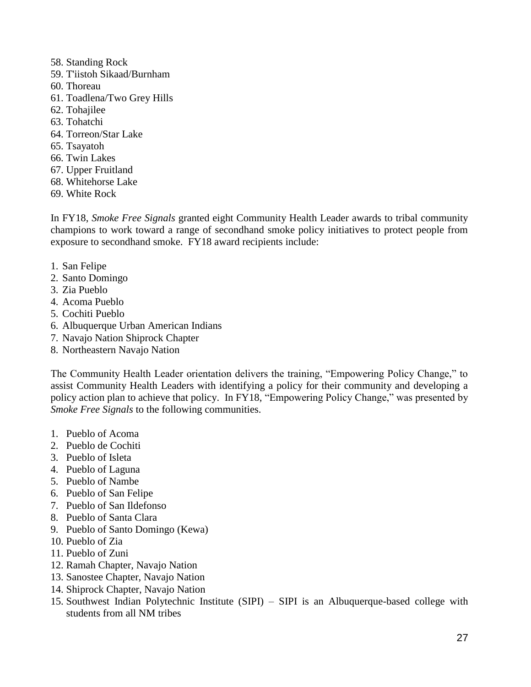- 58. Standing Rock
- 59. T'iistoh Sikaad/Burnham
- 60. Thoreau
- 61. Toadlena/Two Grey Hills
- 62. Tohajilee
- 63. Tohatchi
- 64. Torreon/Star Lake
- 65. Tsayatoh
- 66. Twin Lakes
- 67. Upper Fruitland
- 68. Whitehorse Lake
- 69. White Rock

In FY18, *Smoke Free Signals* granted eight Community Health Leader awards to tribal community champions to work toward a range of secondhand smoke policy initiatives to protect people from exposure to secondhand smoke. FY18 award recipients include:

- 1. San Felipe
- 2. Santo Domingo
- 3. Zia Pueblo
- 4. Acoma Pueblo
- 5. Cochiti Pueblo
- 6. Albuquerque Urban American Indians
- 7. Navajo Nation Shiprock Chapter
- 8. Northeastern Navajo Nation

The Community Health Leader orientation delivers the training, "Empowering Policy Change," to assist Community Health Leaders with identifying a policy for their community and developing a policy action plan to achieve that policy. In FY18, "Empowering Policy Change," was presented by *Smoke Free Signals* to the following communities.

- 1. Pueblo of Acoma
- 2. Pueblo de Cochiti
- 3. Pueblo of Isleta
- 4. Pueblo of Laguna
- 5. Pueblo of Nambe
- 6. Pueblo of San Felipe
- 7. Pueblo of San Ildefonso
- 8. Pueblo of Santa Clara
- 9. Pueblo of Santo Domingo (Kewa)
- 10. Pueblo of Zia
- 11. Pueblo of Zuni
- 12. Ramah Chapter, Navajo Nation
- 13. Sanostee Chapter, Navajo Nation
- 14. Shiprock Chapter, Navajo Nation
- 15. Southwest Indian Polytechnic Institute (SIPI) SIPI is an Albuquerque-based college with students from all NM tribes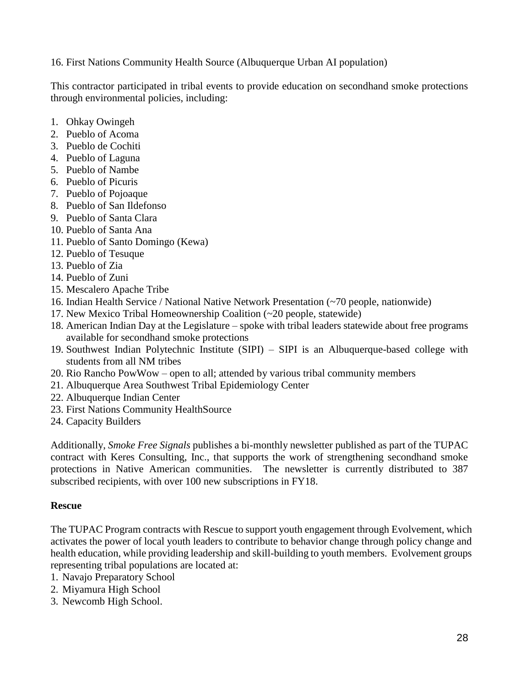16. First Nations Community Health Source (Albuquerque Urban AI population)

This contractor participated in tribal events to provide education on secondhand smoke protections through environmental policies, including:

- 1. Ohkay Owingeh
- 2. Pueblo of Acoma
- 3. Pueblo de Cochiti
- 4. Pueblo of Laguna
- 5. Pueblo of Nambe
- 6. Pueblo of Picuris
- 7. Pueblo of Pojoaque
- 8. Pueblo of San Ildefonso
- 9. Pueblo of Santa Clara
- 10. Pueblo of Santa Ana
- 11. Pueblo of Santo Domingo (Kewa)
- 12. Pueblo of Tesuque
- 13. Pueblo of Zia
- 14. Pueblo of Zuni
- 15. Mescalero Apache Tribe
- 16. Indian Health Service / National Native Network Presentation (~70 people, nationwide)
- 17. New Mexico Tribal Homeownership Coalition (~20 people, statewide)
- 18. American Indian Day at the Legislature spoke with tribal leaders statewide about free programs available for secondhand smoke protections
- 19. Southwest Indian Polytechnic Institute (SIPI) SIPI is an Albuquerque-based college with students from all NM tribes
- 20. Rio Rancho PowWow open to all; attended by various tribal community members
- 21. Albuquerque Area Southwest Tribal Epidemiology Center
- 22. Albuquerque Indian Center
- 23. First Nations Community HealthSource
- 24. Capacity Builders

Additionally, *Smoke Free Signals* publishes a bi-monthly newsletter published as part of the TUPAC contract with Keres Consulting, Inc., that supports the work of strengthening secondhand smoke protections in Native American communities. The newsletter is currently distributed to 387 subscribed recipients, with over 100 new subscriptions in FY18.

#### **Rescue**

The TUPAC Program contracts with Rescue to support youth engagement through [Evolvement,](http://evolvement.org/new-mexico/) which activates the power of local youth leaders to contribute to behavior change through policy change and health education, while providing leadership and skill-building to youth members. Evolvement groups representing tribal populations are located at:

- 1. Navajo Preparatory School
- 2. Miyamura High School
- 3. Newcomb High School.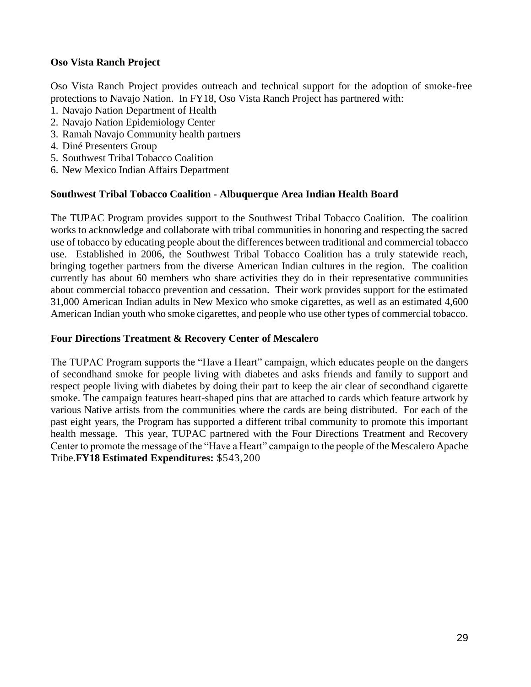#### **Oso Vista Ranch Project**

Oso Vista Ranch Project provides outreach and technical support for the adoption of smoke-free protections to Navajo Nation. In FY18, Oso Vista Ranch Project has partnered with:

- 1. Navajo Nation Department of Health
- 2. Navajo Nation Epidemiology Center
- 3. Ramah Navajo Community health partners
- 4. Diné Presenters Group
- 5. Southwest Tribal Tobacco Coalition
- 6. New Mexico Indian Affairs Department

#### **Southwest Tribal Tobacco Coalition - Albuquerque Area Indian Health Board**

The TUPAC Program provides support to the Southwest Tribal Tobacco Coalition. The coalition works to acknowledge and collaborate with tribal communities in honoring and respecting the sacred use of tobacco by educating people about the differences between traditional and commercial tobacco use. Established in 2006, the Southwest Tribal Tobacco Coalition has a truly statewide reach, bringing together partners from the diverse American Indian cultures in the region. The coalition currently has about 60 members who share activities they do in their representative communities about commercial tobacco prevention and cessation. Their work provides support for the estimated 31,000 American Indian adults in New Mexico who smoke cigarettes, as well as an estimated 4,600 American Indian youth who smoke cigarettes, and people who use other types of commercial tobacco.

#### **Four Directions Treatment & Recovery Center of Mescalero**

The TUPAC Program supports the "Have a Heart" campaign, which educates people on the dangers of secondhand smoke for people living with diabetes and asks friends and family to support and respect people living with diabetes by doing their part to keep the air clear of secondhand cigarette smoke. The campaign features heart-shaped pins that are attached to cards which feature artwork by various Native artists from the communities where the cards are being distributed. For each of the past eight years, the Program has supported a different tribal community to promote this important health message. This year, TUPAC partnered with the Four Directions Treatment and Recovery Center to promote the message of the "Have a Heart" campaign to the people of the Mescalero Apache Tribe.**FY18 Estimated Expenditures:** \$543,200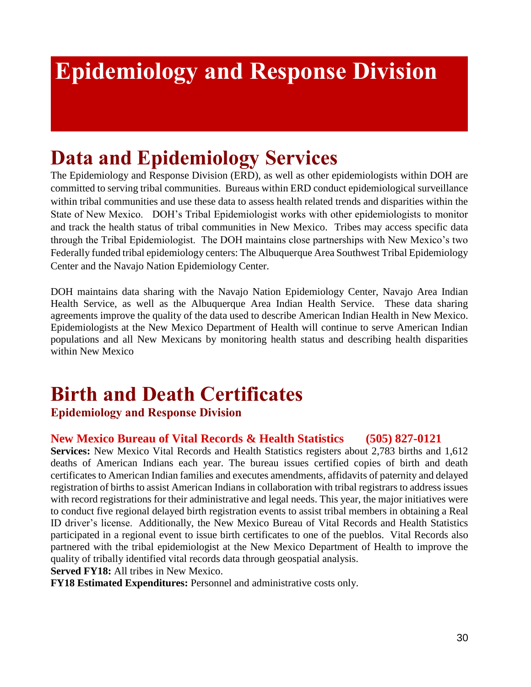## **Epidemiology and Response Division**

## **Data and Epidemiology Services**

The Epidemiology and Response Division (ERD), as well as other epidemiologists within DOH are committed to serving tribal communities. Bureaus within ERD conduct epidemiological surveillance within tribal communities and use these data to assess health related trends and disparities within the State of New Mexico. DOH's Tribal Epidemiologist works with other epidemiologists to monitor and track the health status of tribal communities in New Mexico. Tribes may access specific data through the Tribal Epidemiologist. The DOH maintains close partnerships with New Mexico's two Federally funded tribal epidemiology centers: The Albuquerque Area Southwest Tribal Epidemiology Center and the Navajo Nation Epidemiology Center.

DOH maintains data sharing with the Navajo Nation Epidemiology Center, Navajo Area Indian Health Service, as well as the Albuquerque Area Indian Health Service. These data sharing agreements improve the quality of the data used to describe American Indian Health in New Mexico. Epidemiologists at the New Mexico Department of Health will continue to serve American Indian populations and all New Mexicans by monitoring health status and describing health disparities within New Mexico

## **Birth and Death Certificates**

### **Epidemiology and Response Division**

### **New Mexico Bureau of Vital Records & Health Statistics (505) 827-0121**

**Services:** New Mexico Vital Records and Health Statistics registers about 2,783 births and 1,612 deaths of American Indians each year. The bureau issues certified copies of birth and death certificates to American Indian families and executes amendments, affidavits of paternity and delayed registration of births to assist American Indians in collaboration with tribal registrars to address issues with record registrations for their administrative and legal needs. This year, the major initiatives were to conduct five regional delayed birth registration events to assist tribal members in obtaining a Real ID driver's license. Additionally, the New Mexico Bureau of Vital Records and Health Statistics participated in a regional event to issue birth certificates to one of the pueblos. Vital Records also partnered with the tribal epidemiologist at the New Mexico Department of Health to improve the quality of tribally identified vital records data through geospatial analysis.

#### **Served FY18:** All tribes in New Mexico.

**FY18 Estimated Expenditures:** Personnel and administrative costs only.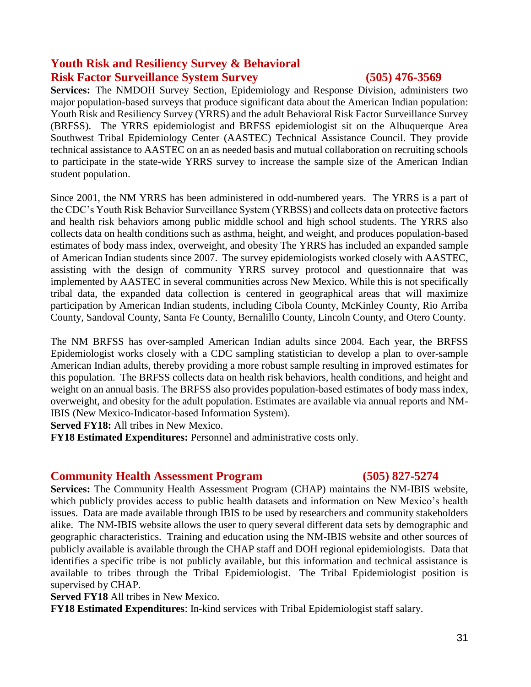### **Youth Risk and Resiliency Survey & Behavioral Risk Factor Surveillance System Survey (505) 476-3569**

**Services:** The NMDOH Survey Section, Epidemiology and Response Division, administers two major population-based surveys that produce significant data about the American Indian population: Youth Risk and Resiliency Survey (YRRS) and the adult Behavioral Risk Factor Surveillance Survey (BRFSS). The YRRS epidemiologist and BRFSS epidemiologist sit on the Albuquerque Area Southwest Tribal Epidemiology Center (AASTEC) Technical Assistance Council. They provide technical assistance to AASTEC on an as needed basis and mutual collaboration on recruiting schools to participate in the state-wide YRRS survey to increase the sample size of the American Indian student population.

Since 2001, the NM YRRS has been administered in odd-numbered years. The YRRS is a part of the CDC's Youth Risk Behavior Surveillance System (YRBSS) and collects data on protective factors and health risk behaviors among public middle school and high school students. The YRRS also collects data on health conditions such as asthma, height, and weight, and produces population-based estimates of body mass index, overweight, and obesity The YRRS has included an expanded sample of American Indian students since 2007. The survey epidemiologists worked closely with AASTEC, assisting with the design of community YRRS survey protocol and questionnaire that was implemented by AASTEC in several communities across New Mexico. While this is not specifically tribal data, the expanded data collection is centered in geographical areas that will maximize participation by American Indian students, including Cibola County, McKinley County, Rio Arriba County, Sandoval County, Santa Fe County, Bernalillo County, Lincoln County, and Otero County.

The NM BRFSS has over-sampled American Indian adults since 2004. Each year, the BRFSS Epidemiologist works closely with a CDC sampling statistician to develop a plan to over-sample American Indian adults, thereby providing a more robust sample resulting in improved estimates for this population. The BRFSS collects data on health risk behaviors, health conditions, and height and weight on an annual basis. The BRFSS also provides population-based estimates of body mass index, overweight, and obesity for the adult population. Estimates are available via annual reports and NM-IBIS (New Mexico-Indicator-based Information System).

**Served FY18:** All tribes in New Mexico.

**FY18 Estimated Expenditures:** Personnel and administrative costs only.

#### **Community Health Assessment Program (505) 827-5274**

**Services:** The Community Health Assessment Program (CHAP) maintains the NM-IBIS website, which publicly provides access to public health datasets and information on New Mexico's health issues. Data are made available through IBIS to be used by researchers and community stakeholders alike. The NM-IBIS website allows the user to query several different data sets by demographic and geographic characteristics. Training and education using the NM-IBIS website and other sources of publicly available is available through the CHAP staff and DOH regional epidemiologists. Data that identifies a specific tribe is not publicly available, but this information and technical assistance is available to tribes through the Tribal Epidemiologist. The Tribal Epidemiologist position is supervised by CHAP.

**Served FY18** All tribes in New Mexico.

**FY18 Estimated Expenditures**: In-kind services with Tribal Epidemiologist staff salary.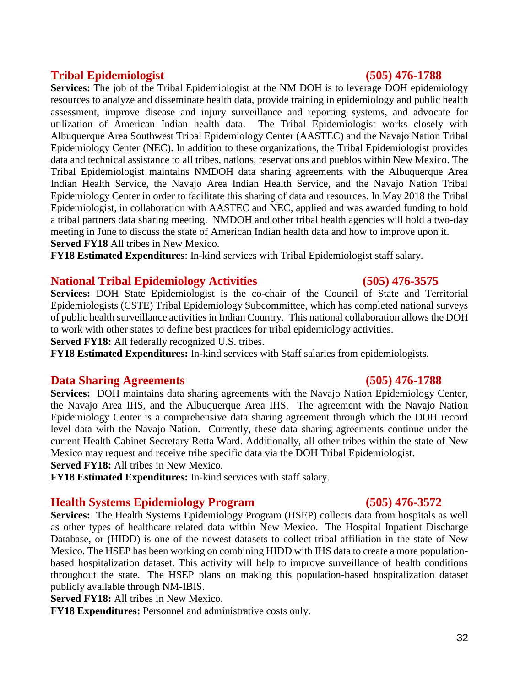#### **Tribal Epidemiologist (505) 476-1788**

**Services:** The job of the Tribal Epidemiologist at the NM DOH is to leverage DOH epidemiology resources to analyze and disseminate health data, provide training in epidemiology and public health assessment, improve disease and injury surveillance and reporting systems, and advocate for utilization of American Indian health data. The Tribal Epidemiologist works closely with Albuquerque Area Southwest Tribal Epidemiology Center (AASTEC) and the Navajo Nation Tribal Epidemiology Center (NEC). In addition to these organizations, the Tribal Epidemiologist provides data and technical assistance to all tribes, nations, reservations and pueblos within New Mexico. The Tribal Epidemiologist maintains NMDOH data sharing agreements with the Albuquerque Area Indian Health Service, the Navajo Area Indian Health Service, and the Navajo Nation Tribal Epidemiology Center in order to facilitate this sharing of data and resources. In May 2018 the Tribal Epidemiologist, in collaboration with AASTEC and NEC, applied and was awarded funding to hold a tribal partners data sharing meeting. NMDOH and other tribal health agencies will hold a two-day meeting in June to discuss the state of American Indian health data and how to improve upon it. **Served FY18** All tribes in New Mexico.

**FY18 Estimated Expenditures**: In-kind services with Tribal Epidemiologist staff salary.

#### **National Tribal Epidemiology Activities (505) 476-3575**

**Services:** DOH State Epidemiologist is the co-chair of the Council of State and Territorial Epidemiologists (CSTE) Tribal Epidemiology Subcommittee, which has completed national surveys of public health surveillance activities in Indian Country. This national collaboration allows the DOH to work with other states to define best practices for tribal epidemiology activities.

**Served FY18:** All federally recognized U.S. tribes.

**FY18 Estimated Expenditures:** In-kind services with Staff salaries from epidemiologists.

#### **Data Sharing Agreements (505) 476-1788**

**Services:** DOH maintains data sharing agreements with the Navajo Nation Epidemiology Center, the Navajo Area IHS, and the Albuquerque Area IHS. The agreement with the Navajo Nation Epidemiology Center is a comprehensive data sharing agreement through which the DOH record level data with the Navajo Nation. Currently, these data sharing agreements continue under the current Health Cabinet Secretary Retta Ward. Additionally, all other tribes within the state of New Mexico may request and receive tribe specific data via the DOH Tribal Epidemiologist.

**Served FY18:** All tribes in New Mexico.

**FY18 Estimated Expenditures:** In-kind services with staff salary.

#### **Health Systems Epidemiology Program (505) 476-3572**

**Services:** The Health Systems Epidemiology Program (HSEP) collects data from hospitals as well as other types of healthcare related data within New Mexico. The Hospital Inpatient Discharge Database, or (HIDD) is one of the newest datasets to collect tribal affiliation in the state of New Mexico. The HSEP has been working on combining HIDD with IHS data to create a more populationbased hospitalization dataset. This activity will help to improve surveillance of health conditions throughout the state. The HSEP plans on making this population-based hospitalization dataset publicly available through NM-IBIS.

**Served FY18:** All tribes in New Mexico.

**FY18 Expenditures:** Personnel and administrative costs only.

32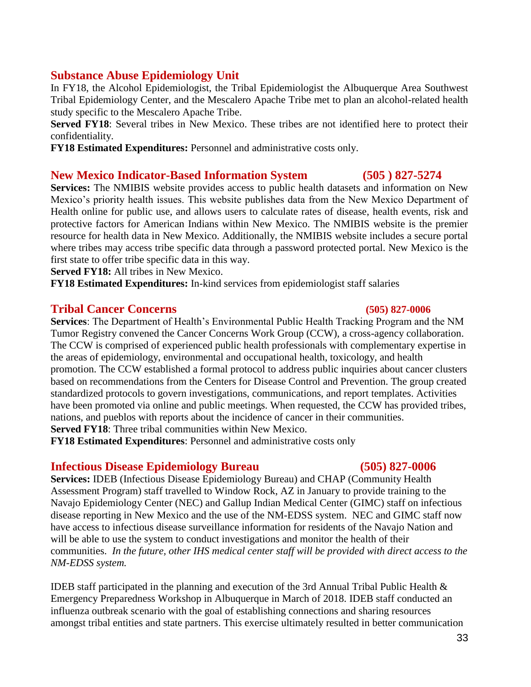### **Substance Abuse Epidemiology Unit**

In FY18, the Alcohol Epidemiologist, the Tribal Epidemiologist the Albuquerque Area Southwest Tribal Epidemiology Center, and the Mescalero Apache Tribe met to plan an alcohol-related health study specific to the Mescalero Apache Tribe.

**Served FY18**: Several tribes in New Mexico. These tribes are not identified here to protect their confidentiality.

**FY18 Estimated Expenditures:** Personnel and administrative costs only.

### **New Mexico Indicator-Based Information System (505 ) 827-5274**

**Services:** The NMIBIS website provides access to public health datasets and information on New Mexico's priority health issues. This website publishes data from the New Mexico Department of Health online for public use, and allows users to calculate rates of disease, health events, risk and protective factors for American Indians within New Mexico. The NMIBIS website is the premier resource for health data in New Mexico. Additionally, the NMIBIS website includes a secure portal where tribes may access tribe specific data through a password protected portal. New Mexico is the first state to offer tribe specific data in this way.

**Served FY18:** All tribes in New Mexico.

**FY18 Estimated Expenditures:** In-kind services from epidemiologist staff salaries

### **Tribal Cancer Concerns (505) 827-0006**

**Services**: The Department of Health's Environmental Public Health Tracking Program and the NM Tumor Registry convened the Cancer Concerns Work Group (CCW), a cross-agency collaboration. The CCW is comprised of experienced public health professionals with complementary expertise in the areas of epidemiology, environmental and occupational health, toxicology, and health promotion. The CCW established a formal protocol to address public inquiries about cancer clusters based on recommendations from the Centers for Disease Control and Prevention. The group created standardized protocols to govern investigations, communications, and report templates. Activities have been promoted via online and public meetings. When requested, the CCW has provided tribes, nations, and pueblos with reports about the incidence of cancer in their communities. **Served FY18**: Three tribal communities within New Mexico.

**FY18 Estimated Expenditures**: Personnel and administrative costs only

### **Infectious Disease Epidemiology Bureau (505) 827-0006**

**Services:** IDEB (Infectious Disease Epidemiology Bureau) and CHAP (Community Health Assessment Program) staff travelled to Window Rock, AZ in January to provide training to the Navajo Epidemiology Center (NEC) and Gallup Indian Medical Center (GIMC) staff on infectious disease reporting in New Mexico and the use of the NM-EDSS system. NEC and GIMC staff now have access to infectious disease surveillance information for residents of the Navajo Nation and will be able to use the system to conduct investigations and monitor the health of their communities. *In the future, other IHS medical center staff will be provided with direct access to the NM-EDSS system.*

IDEB staff participated in the planning and execution of the 3rd Annual Tribal Public Health & Emergency Preparedness Workshop in Albuquerque in March of 2018. IDEB staff conducted an influenza outbreak scenario with the goal of establishing connections and sharing resources amongst tribal entities and state partners. This exercise ultimately resulted in better communication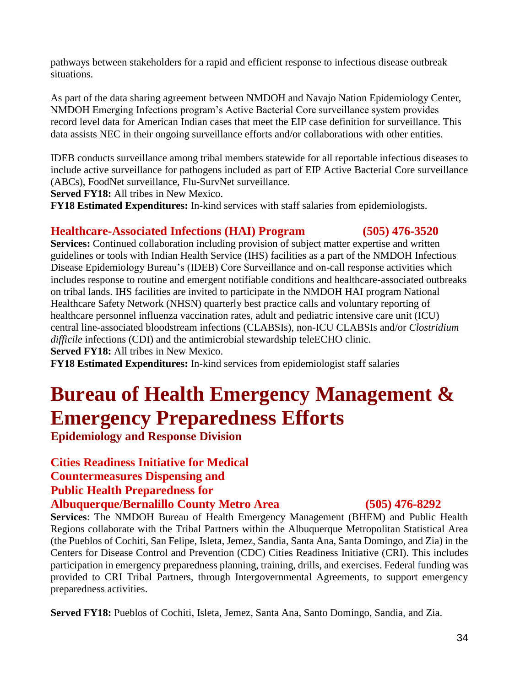pathways between stakeholders for a rapid and efficient response to infectious disease outbreak situations.

As part of the data sharing agreement between NMDOH and Navajo Nation Epidemiology Center, NMDOH Emerging Infections program's Active Bacterial Core surveillance system provides record level data for American Indian cases that meet the EIP case definition for surveillance. This data assists NEC in their ongoing surveillance efforts and/or collaborations with other entities.

IDEB conducts surveillance among tribal members statewide for all reportable infectious diseases to include active surveillance for pathogens included as part of EIP Active Bacterial Core surveillance (ABCs), FoodNet surveillance, Flu-SurvNet surveillance.

**Served FY18:** All tribes in New Mexico.

**FY18 Estimated Expenditures:** In-kind services with staff salaries from epidemiologists.

#### **Healthcare-Associated Infections (HAI) Program (505) 476-3520**

**Services:** Continued collaboration including provision of subject matter expertise and written guidelines or tools with Indian Health Service (IHS) facilities as a part of the NMDOH Infectious Disease Epidemiology Bureau's (IDEB) Core Surveillance and on-call response activities which includes response to routine and emergent notifiable conditions and healthcare-associated outbreaks on tribal lands. IHS facilities are invited to participate in the NMDOH HAI program National Healthcare Safety Network (NHSN) quarterly best practice calls and voluntary reporting of healthcare personnel influenza vaccination rates, adult and pediatric intensive care unit (ICU) central line-associated bloodstream infections (CLABSIs), non-ICU CLABSIs and/or *Clostridium difficile* infections (CDI) and the antimicrobial stewardship teleECHO clinic.

**Served FY18:** All tribes in New Mexico.

**FY18 Estimated Expenditures:** In-kind services from epidemiologist staff salaries

## **Bureau of Health Emergency Management & Emergency Preparedness Efforts**

**Epidemiology and Response Division** 

#### **Cities Readiness Initiative for Medical Countermeasures Dispensing and**

### **Public Health Preparedness for**

#### **Albuquerque/Bernalillo County Metro Area (505) 476-8292**

**Services**: The NMDOH Bureau of Health Emergency Management (BHEM) and Public Health Regions collaborate with the Tribal Partners within the Albuquerque Metropolitan Statistical Area (the Pueblos of Cochiti, San Felipe, Isleta, Jemez, Sandia, Santa Ana, Santa Domingo, and Zia) in the Centers for Disease Control and Prevention (CDC) Cities Readiness Initiative (CRI). This includes participation in emergency preparedness planning, training, drills, and exercises. Federal funding was provided to CRI Tribal Partners, through Intergovernmental Agreements, to support emergency preparedness activities.

**Served FY18:** Pueblos of Cochiti, Isleta, Jemez, Santa Ana, Santo Domingo, Sandia, and Zia.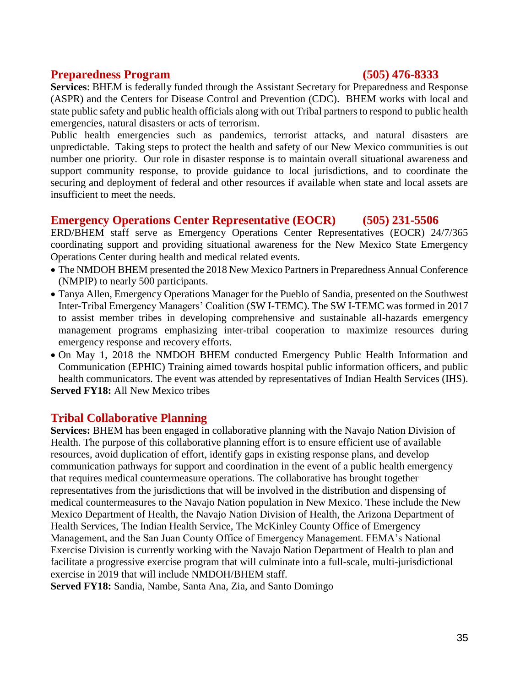#### **Preparedness Program (505) 476-8333**

**Services**: BHEM is federally funded through the Assistant Secretary for Preparedness and Response (ASPR) and the Centers for Disease Control and Prevention (CDC). BHEM works with local and state public safety and public health officials along with out Tribal partners to respond to public health emergencies, natural disasters or acts of terrorism.

Public health emergencies such as pandemics, terrorist attacks, and natural disasters are unpredictable. Taking steps to protect the health and safety of our New Mexico communities is out number one priority. Our role in disaster response is to maintain overall situational awareness and support community response, to provide guidance to local jurisdictions, and to coordinate the securing and deployment of federal and other resources if available when state and local assets are insufficient to meet the needs.

### **Emergency Operations Center Representative (EOCR) (505) 231-5506**

ERD/BHEM staff serve as Emergency Operations Center Representatives (EOCR) 24/7/365 coordinating support and providing situational awareness for the New Mexico State Emergency Operations Center during health and medical related events.

- The NMDOH BHEM presented the 2018 New Mexico Partners in Preparedness Annual Conference (NMPIP) to nearly 500 participants.
- Tanya Allen, Emergency Operations Manager for the Pueblo of Sandia, presented on the Southwest Inter-Tribal Emergency Managers' Coalition (SW I-TEMC). The SW I-TEMC was formed in 2017 to assist member tribes in developing comprehensive and sustainable all-hazards emergency management programs emphasizing inter-tribal cooperation to maximize resources during emergency response and recovery efforts.
- On May 1, 2018 the NMDOH BHEM conducted Emergency Public Health Information and Communication (EPHIC) Training aimed towards hospital public information officers, and public health communicators. The event was attended by representatives of Indian Health Services (IHS). **Served FY18:** All New Mexico tribes

#### **Tribal Collaborative Planning**

**Services:** BHEM has been engaged in collaborative planning with the Navajo Nation Division of Health. The purpose of this collaborative planning effort is to ensure efficient use of available resources, avoid duplication of effort, identify gaps in existing response plans, and develop communication pathways for support and coordination in the event of a public health emergency that requires medical countermeasure operations. The collaborative has brought together representatives from the jurisdictions that will be involved in the distribution and dispensing of medical countermeasures to the Navajo Nation population in New Mexico. These include the New Mexico Department of Health, the Navajo Nation Division of Health, the Arizona Department of Health Services, The Indian Health Service, The McKinley County Office of Emergency Management, and the San Juan County Office of Emergency Management. FEMA's National Exercise Division is currently working with the Navajo Nation Department of Health to plan and facilitate a progressive exercise program that will culminate into a full-scale, multi-jurisdictional exercise in 2019 that will include NMDOH/BHEM staff.

**Served FY18:** Sandia, Nambe, Santa Ana, Zia, and Santo Domingo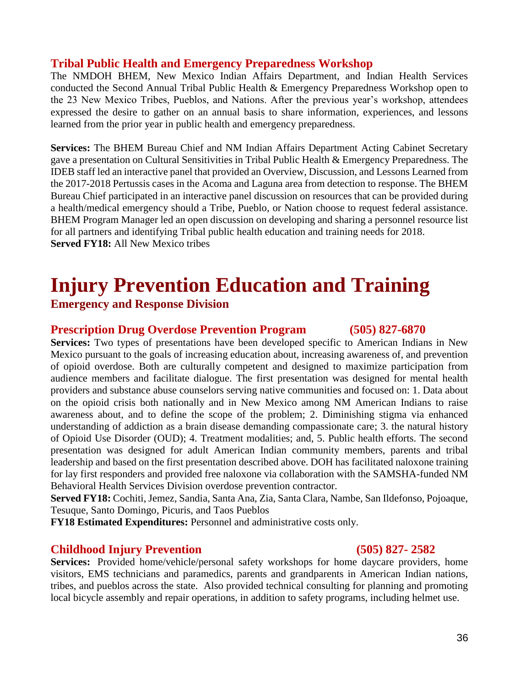#### **Tribal Public Health and Emergency Preparedness Workshop**

The NMDOH BHEM, New Mexico Indian Affairs Department, and Indian Health Services conducted the Second Annual Tribal Public Health & Emergency Preparedness Workshop open to the 23 New Mexico Tribes, Pueblos, and Nations. After the previous year's workshop, attendees expressed the desire to gather on an annual basis to share information, experiences, and lessons learned from the prior year in public health and emergency preparedness.

**Services:** The BHEM Bureau Chief and NM Indian Affairs Department Acting Cabinet Secretary gave a presentation on Cultural Sensitivities in Tribal Public Health & Emergency Preparedness. The IDEB staff led an interactive panel that provided an Overview, Discussion, and Lessons Learned from the 2017-2018 Pertussis cases in the Acoma and Laguna area from detection to response. The BHEM Bureau Chief participated in an interactive panel discussion on resources that can be provided during a health/medical emergency should a Tribe, Pueblo, or Nation choose to request federal assistance. BHEM Program Manager led an open discussion on developing and sharing a personnel resource list for all partners and identifying Tribal public health education and training needs for 2018. **Served FY18:** All New Mexico tribes

## **Injury Prevention Education and Training**

**Emergency and Response Division**

#### **Prescription Drug Overdose Prevention Program (505) 827-6870**

**Services:** Two types of presentations have been developed specific to American Indians in New Mexico pursuant to the goals of increasing education about, increasing awareness of, and prevention of opioid overdose. Both are culturally competent and designed to maximize participation from audience members and facilitate dialogue. The first presentation was designed for mental health providers and substance abuse counselors serving native communities and focused on: 1. Data about on the opioid crisis both nationally and in New Mexico among NM American Indians to raise awareness about, and to define the scope of the problem; 2. Diminishing stigma via enhanced understanding of addiction as a brain disease demanding compassionate care; 3. the natural history of Opioid Use Disorder (OUD); 4. Treatment modalities; and, 5. Public health efforts. The second presentation was designed for adult American Indian community members, parents and tribal leadership and based on the first presentation described above. DOH has facilitated naloxone training for lay first responders and provided free naloxone via collaboration with the SAMSHA-funded NM Behavioral Health Services Division overdose prevention contractor.

**Served FY18:** Cochiti, Jemez, Sandia, Santa Ana, Zia, Santa Clara, Nambe, San Ildefonso, Pojoaque, Tesuque, Santo Domingo, Picuris, and Taos Pueblos

**FY18 Estimated Expenditures:** Personnel and administrative costs only.

#### **Childhood Injury Prevention (505) 827- 2582**

**Services:** Provided home/vehicle/personal safety workshops for home daycare providers, home visitors, EMS technicians and paramedics, parents and grandparents in American Indian nations, tribes, and pueblos across the state. Also provided technical consulting for planning and promoting local bicycle assembly and repair operations, in addition to safety programs, including helmet use.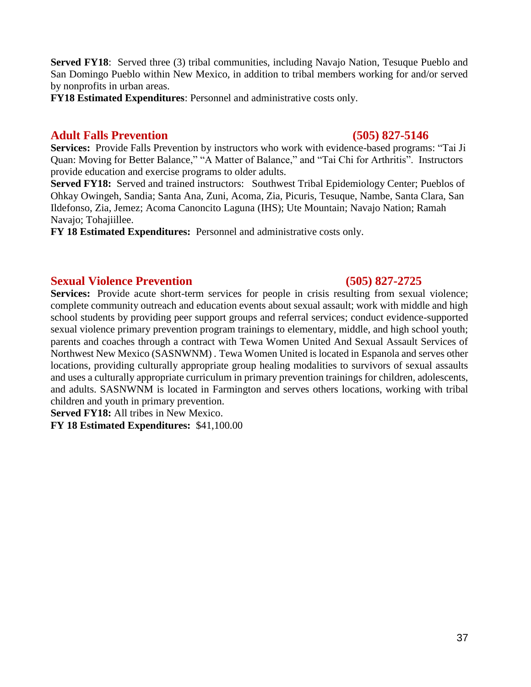**Served FY18:** Served three (3) tribal communities, including Navajo Nation, Tesuque Pueblo and San Domingo Pueblo within New Mexico, in addition to tribal members working for and/or served by nonprofits in urban areas.

**FY18 Estimated Expenditures**: Personnel and administrative costs only.

#### **Adult Falls Prevention (505) 827-5146**

**Services:** Provide Falls Prevention by instructors who work with evidence-based programs: "Tai Ji Quan: Moving for Better Balance," "A Matter of Balance," and "Tai Chi for Arthritis". Instructors provide education and exercise programs to older adults.

**Served FY18:** Served and trained instructors: Southwest Tribal Epidemiology Center; Pueblos of Ohkay Owingeh, Sandia; Santa Ana, Zuni, Acoma, Zia, Picuris, Tesuque, Nambe, Santa Clara, San Ildefonso, Zia, Jemez; Acoma Canoncito Laguna (IHS); Ute Mountain; Navajo Nation; Ramah Navajo; Tohajiillee.

**FY 18 Estimated Expenditures:** Personnel and administrative costs only.

#### **Sexual Violence Prevention (505) 827-2725**

**Services:** Provide acute short-term services for people in crisis resulting from sexual violence; complete community outreach and education events about sexual assault; work with middle and high school students by providing peer support groups and referral services; conduct evidence-supported sexual violence primary prevention program trainings to elementary, middle, and high school youth; parents and coaches through a contract with Tewa Women United And Sexual Assault Services of Northwest New Mexico (SASNWNM) . Tewa Women United is located in Espanola and serves other locations, providing culturally appropriate group healing modalities to survivors of sexual assaults and uses a culturally appropriate curriculum in primary prevention trainings for children, adolescents, and adults. SASNWNM is located in Farmington and serves others locations, working with tribal children and youth in primary prevention.

**Served FY18:** All tribes in New Mexico.

**FY 18 Estimated Expenditures:** \$41,100.00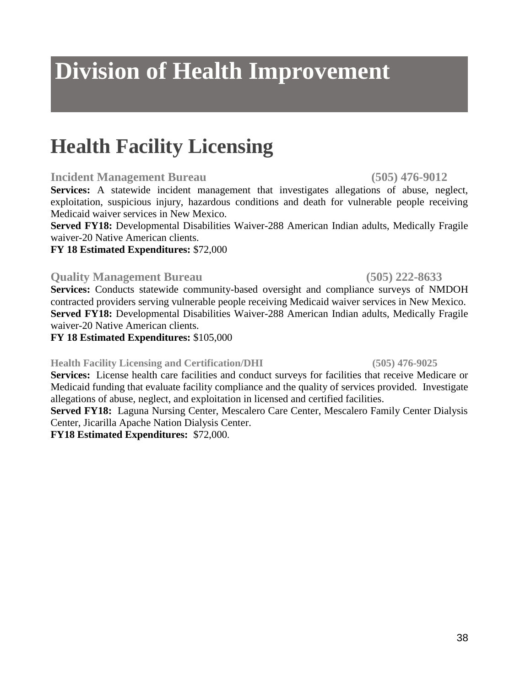## **Division of Health Improvement**

## **Health Facility Licensing**

#### **Incident Management Bureau (505) 476-9012**

**Services:** A statewide incident management that investigates allegations of abuse, neglect, exploitation, suspicious injury, hazardous conditions and death for vulnerable people receiving Medicaid waiver services in New Mexico.

**Served FY18:** Developmental Disabilities Waiver-288 American Indian adults, Medically Fragile waiver-20 Native American clients.

#### **FY 18 Estimated Expenditures:** \$72,000

### **Quality Management Bureau (505) 222-8633**

**Services:** Conducts statewide community-based oversight and compliance surveys of NMDOH contracted providers serving vulnerable people receiving Medicaid waiver services in New Mexico. **Served FY18:** Developmental Disabilities Waiver-288 American Indian adults, Medically Fragile waiver-20 Native American clients.

#### **FY 18 Estimated Expenditures:** \$105,000

### **Health Facility Licensing and Certification/DHI (505) 476-9025**

**Services:** License health care facilities and conduct surveys for facilities that receive Medicare or Medicaid funding that evaluate facility compliance and the quality of services provided. Investigate allegations of abuse, neglect, and exploitation in licensed and certified facilities.

**Served FY18:** Laguna Nursing Center, Mescalero Care Center, Mescalero Family Center Dialysis Center, Jicarilla Apache Nation Dialysis Center.

**FY18 Estimated Expenditures:** \$72,000.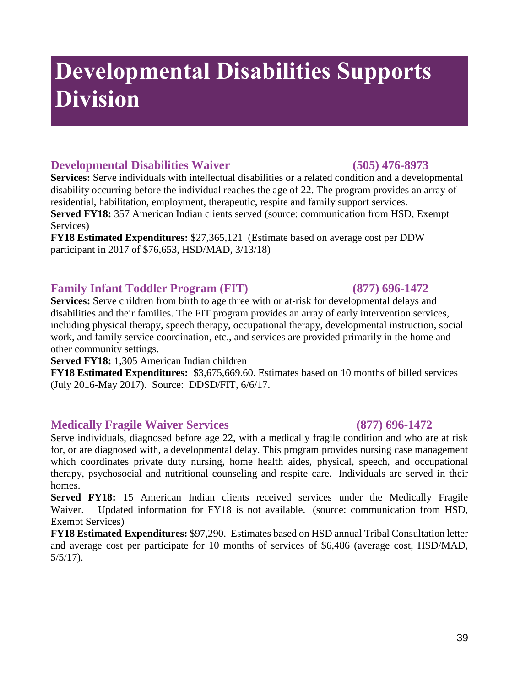## **Developmental Disabilities Supports Division**

### **Developmental Disabilities Waiver (505) 476-8973**

**Services:** Serve individuals with intellectual disabilities or a related condition and a developmental disability occurring before the individual reaches the age of 22. The program provides an array of residential, habilitation, employment, therapeutic, respite and family support services. **Served FY18:** 357 American Indian clients served (source: communication from HSD, Exempt Services)

**FY18 Estimated Expenditures:** \$27,365,121 (Estimate based on average cost per DDW participant in 2017 of \$76,653, HSD/MAD, 3/13/18)

#### **Family Infant Toddler Program (FIT) (877) 696-1472**

**Services:** Serve children from birth to age three with or at-risk for developmental delays and disabilities and their families. The FIT program provides an array of early intervention services, including physical therapy, speech therapy, occupational therapy, developmental instruction, social work, and family service coordination, etc., and services are provided primarily in the home and other community settings.

**Served FY18:** 1,305 American Indian children

**FY18 Estimated Expenditures:** \$3,675,669.60. Estimates based on 10 months of billed services (July 2016-May 2017). Source: DDSD/FIT, 6/6/17.

#### **Medically Fragile Waiver Services (877) 696-1472**

Serve individuals, diagnosed before age 22, with a medically fragile condition and who are at risk for, or are diagnosed with, a developmental delay. This program provides nursing case management which coordinates private duty nursing, home health aides, physical, speech, and occupational therapy, psychosocial and nutritional counseling and respite care. Individuals are served in their homes.

**Served FY18:** 15 American Indian clients received services under the Medically Fragile Waiver. Updated information for FY18 is not available. (source: communication from HSD, Exempt Services)

**FY18 Estimated Expenditures:** \$97,290. Estimates based on HSD annual Tribal Consultation letter and average cost per participate for 10 months of services of \$6,486 (average cost, HSD/MAD, 5/5/17).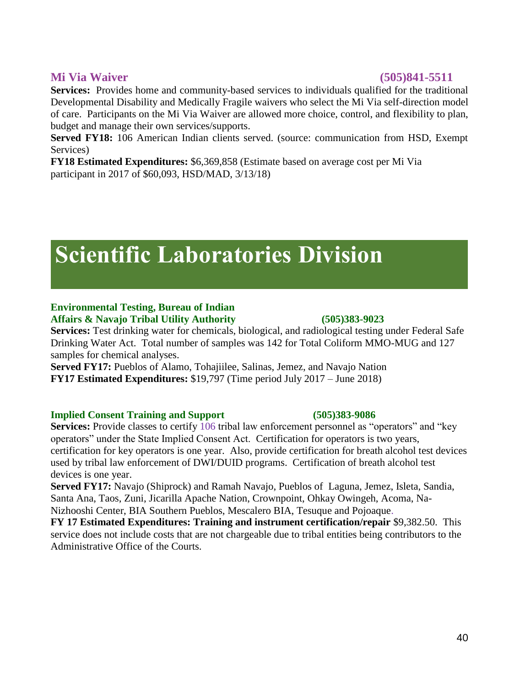#### **Mi Via Waiver (505)841-5511**

**Services:** Provides home and community-based services to individuals qualified for the traditional Developmental Disability and Medically Fragile waivers who select the Mi Via self-direction model of care. Participants on the Mi Via Waiver are allowed more choice, control, and flexibility to plan, budget and manage their own services/supports.

Served FY18: 106 American Indian clients served. (source: communication from HSD, Exempt Services)

**FY18 Estimated Expenditures:** \$6,369,858 (Estimate based on average cost per Mi Via participant in 2017 of \$60,093, HSD/MAD, 3/13/18)

## **Scientific Laboratories Division**

#### **Environmental Testing, Bureau of Indian Affairs & Navajo Tribal Utility Authority (505)383-9023**

**Services:** Test drinking water for chemicals, biological, and radiological testing under Federal Safe Drinking Water Act. Total number of samples was 142 for Total Coliform MMO-MUG and 127 samples for chemical analyses.

**Served FY17:** Pueblos of Alamo, Tohajiilee, Salinas, Jemez, and Navajo Nation **FY17 Estimated Expenditures:** \$19,797 (Time period July 2017 – June 2018)

#### **Implied Consent Training and Support (505)383-9086**

**Services:** Provide classes to certify 106 tribal law enforcement personnel as "operators" and "key operators" under the State Implied Consent Act. Certification for operators is two years, certification for key operators is one year. Also, provide certification for breath alcohol test devices used by tribal law enforcement of DWI/DUID programs. Certification of breath alcohol test devices is one year.

**Served FY17:** Navajo (Shiprock) and Ramah Navajo, Pueblos of Laguna, Jemez, Isleta, Sandia, Santa Ana, Taos, Zuni, Jicarilla Apache Nation, Crownpoint, Ohkay Owingeh, Acoma, Na-Nizhooshi Center, BIA Southern Pueblos, Mescalero BIA, Tesuque and Pojoaque.

**FY 17 Estimated Expenditures: Training and instrument certification/repair** \$9,382.50. This service does not include costs that are not chargeable due to tribal entities being contributors to the Administrative Office of the Courts.

## 40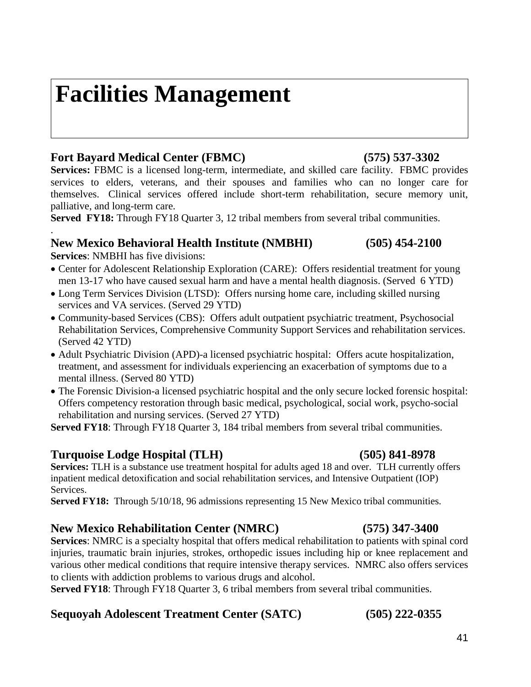## **Facilities Management**

### **Fort Bayard Medical Center (FBMC) (575) 537-3302**

**Services:** FBMC is a licensed long-term, intermediate, and skilled care facility. FBMC provides services to elders, veterans, and their spouses and families who can no longer care for themselves. Clinical services offered include short-term rehabilitation, secure memory unit, palliative, and long-term care.

**Served FY18:** Through FY18 Quarter 3, 12 tribal members from several tribal communities.

### **New Mexico Behavioral Health Institute (NMBHI) (505) 454-2100**

**Services**: NMBHI has five divisions:

.

- Center for Adolescent Relationship Exploration (CARE): Offers residential treatment for young men 13-17 who have caused sexual harm and have a mental health diagnosis. (Served 6 YTD)
- Long Term Services Division (LTSD): Offers nursing home care, including skilled nursing services and VA services. (Served 29 YTD)
- Community-based Services (CBS): Offers adult outpatient psychiatric treatment, Psychosocial Rehabilitation Services, Comprehensive Community Support Services and rehabilitation services. (Served 42 YTD)
- Adult Psychiatric Division (APD)-a licensed psychiatric hospital: Offers acute hospitalization, treatment, and assessment for individuals experiencing an exacerbation of symptoms due to a mental illness. (Served 80 YTD)
- The Forensic Division-a licensed psychiatric hospital and the only secure locked forensic hospital: Offers competency restoration through basic medical, psychological, social work, psycho-social rehabilitation and nursing services. (Served 27 YTD)

**Served FY18**: Through FY18 Quarter 3, 184 tribal members from several tribal communities.

### **Turquoise Lodge Hospital (TLH) (505) 841-8978**

**Services:** TLH is a substance use treatment hospital for adults aged 18 and over. TLH currently offers inpatient medical detoxification and social rehabilitation services, and Intensive Outpatient (IOP) Services.

**Served FY18:** Through 5/10/18, 96 admissions representing 15 New Mexico tribal communities.

### **New Mexico Rehabilitation Center (NMRC) (575) 347-3400**

**Services**: NMRC is a specialty hospital that offers medical rehabilitation to patients with spinal cord injuries, traumatic brain injuries, strokes, orthopedic issues including hip or knee replacement and various other medical conditions that require intensive therapy services. NMRC also offers services to clients with addiction problems to various drugs and alcohol.

**Served FY18**: Through FY18 Quarter 3, 6 tribal members from several tribal communities.

### **Sequoyah Adolescent Treatment Center (SATC) (505) 222-0355**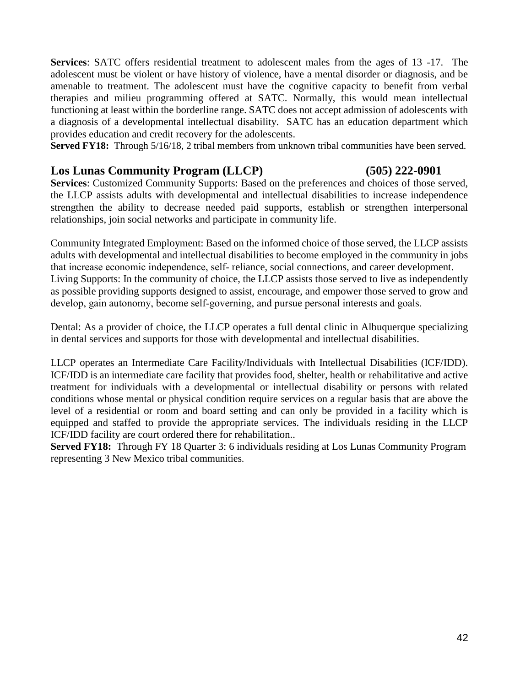**Services**: SATC offers residential treatment to adolescent males from the ages of 13 -17. The adolescent must be violent or have history of violence, have a mental disorder or diagnosis, and be amenable to treatment. The adolescent must have the cognitive capacity to benefit from verbal therapies and milieu programming offered at SATC. Normally, this would mean intellectual functioning at least within the borderline range. SATC does not accept admission of adolescents with a diagnosis of a developmental intellectual disability. SATC has an education department which provides education and credit recovery for the adolescents.

**Served FY18:** Through 5/16/18, 2 tribal members from unknown tribal communities have been served.

#### **Los Lunas Community Program (LLCP) (505) 222-0901**

**Services**: Customized Community Supports: Based on the preferences and choices of those served, the LLCP assists adults with developmental and intellectual disabilities to increase independence strengthen the ability to decrease needed paid supports, establish or strengthen interpersonal relationships, join social networks and participate in community life.

Community Integrated Employment: Based on the informed choice of those served, the LLCP assists adults with developmental and intellectual disabilities to become employed in the community in jobs that increase economic independence, self‐ reliance, social connections, and career development. Living Supports: In the community of choice, the LLCP assists those served to live as independently as possible providing supports designed to assist, encourage, and empower those served to grow and develop, gain autonomy, become self‐governing, and pursue personal interests and goals.

Dental: As a provider of choice, the LLCP operates a full dental clinic in Albuquerque specializing in dental services and supports for those with developmental and intellectual disabilities.

LLCP operates an Intermediate Care Facility/Individuals with Intellectual Disabilities (ICF/IDD). ICF/IDD is an intermediate care facility that provides food, shelter, health or rehabilitative and active treatment for individuals with a developmental or intellectual disability or persons with related conditions whose mental or physical condition require services on a regular basis that are above the level of a residential or room and board setting and can only be provided in a facility which is equipped and staffed to provide the appropriate services. The individuals residing in the LLCP ICF/IDD facility are court ordered there for rehabilitation..

**Served FY18:** Through FY 18 Quarter 3: 6 individuals residing at Los Lunas Community Program representing 3 New Mexico tribal communities.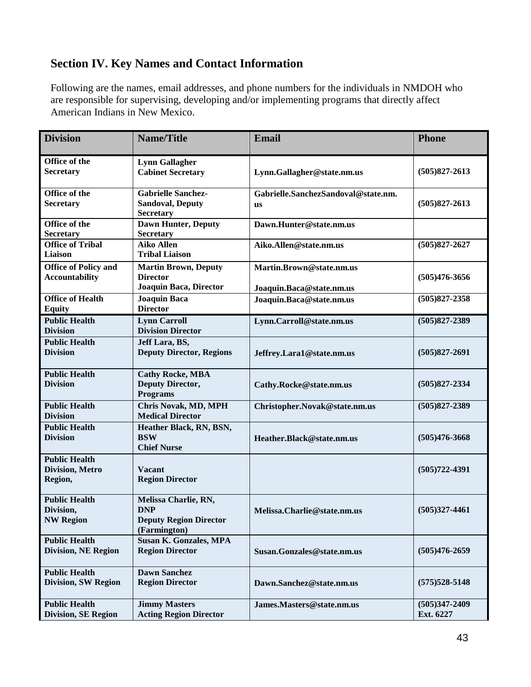### **Section IV. Key Names and Contact Information**

Following are the names, email addresses, and phone numbers for the individuals in NMDOH who are responsible for supervising, developing and/or implementing programs that directly affect American Indians in New Mexico.

| <b>Division</b>                                       | <b>Name/Title</b>                                                                   | <b>Email</b>                                         | <b>Phone</b>                   |
|-------------------------------------------------------|-------------------------------------------------------------------------------------|------------------------------------------------------|--------------------------------|
| Office of the<br>Secretary                            | <b>Lynn Gallagher</b><br><b>Cabinet Secretary</b>                                   | Lynn.Gallagher@state.nm.us                           | $(505)827 - 2613$              |
| Office of the<br>Secretary                            | <b>Gabrielle Sanchez-</b><br><b>Sandoval, Deputy</b><br><b>Secretary</b>            | Gabrielle.SanchezSandoval@state.nm.<br><b>us</b>     | $(505)827 - 2613$              |
| Office of the<br>Secretary                            | <b>Dawn Hunter, Deputy</b><br>Secretary                                             | Dawn.Hunter@state.nm.us                              |                                |
| <b>Office of Tribal</b><br>Liaison                    | <b>Aiko Allen</b><br><b>Tribal Liaison</b>                                          | Aiko.Allen@state.nm.us                               | $(505)827 - 2627$              |
| <b>Office of Policy and</b><br><b>Accountability</b>  | <b>Martin Brown, Deputy</b><br><b>Director</b><br>Joaquin Baca, Director            | Martin.Brown@state.nm.us<br>Joaquin.Baca@state.nm.us | $(505)476 - 3656$              |
| <b>Office of Health</b><br><b>Equity</b>              | <b>Joaquin Baca</b><br><b>Director</b>                                              | Joaquin.Baca@state.nm.us                             | $(505)827 - 2358$              |
| <b>Public Health</b><br><b>Division</b>               | <b>Lynn Carroll</b><br><b>Division Director</b>                                     | Lynn.Carroll@state.nm.us                             | $(505)827 - 2389$              |
| <b>Public Health</b><br><b>Division</b>               | Jeff Lara, BS,<br><b>Deputy Director, Regions</b>                                   | Jeffrey.Lara1@state.nm.us                            | $(505)827 - 2691$              |
| <b>Public Health</b><br><b>Division</b>               | <b>Cathy Rocke, MBA</b><br><b>Deputy Director,</b><br><b>Programs</b>               | Cathy.Rocke@state.nm.us                              | $(505)827 - 2334$              |
| <b>Public Health</b><br><b>Division</b>               | Chris Novak, MD, MPH<br><b>Medical Director</b>                                     | Christopher.Novak@state.nm.us                        | $(505)827 - 2389$              |
| <b>Public Health</b><br><b>Division</b>               | Heather Black, RN, BSN,<br><b>BSW</b><br><b>Chief Nurse</b>                         | Heather.Black@state.nm.us                            | $(505)476 - 3668$              |
| <b>Public Health</b><br>Division, Metro<br>Region,    | Vacant<br><b>Region Director</b>                                                    |                                                      | $(505)722 - 4391$              |
| <b>Public Health</b><br>Division,<br><b>NW Region</b> | Melissa Charlie, RN,<br><b>DNP</b><br><b>Deputy Region Director</b><br>(Farmington) | Melissa.Charlie@state.nm.us                          | $(505)327 - 4461$              |
| <b>Public Health</b><br><b>Division, NE Region</b>    | <b>Susan K. Gonzales, MPA</b><br><b>Region Director</b>                             | Susan.Gonzales@state.nm.us                           | $(505)476 - 2659$              |
| <b>Public Health</b><br><b>Division, SW Region</b>    | <b>Dawn Sanchez</b><br><b>Region Director</b>                                       | Dawn.Sanchez@state.nm.us                             | $(575)528 - 5148$              |
| <b>Public Health</b><br><b>Division, SE Region</b>    | <b>Jimmy Masters</b><br><b>Acting Region Director</b>                               | James.Masters@state.nm.us                            | $(505)347 - 2409$<br>Ext. 6227 |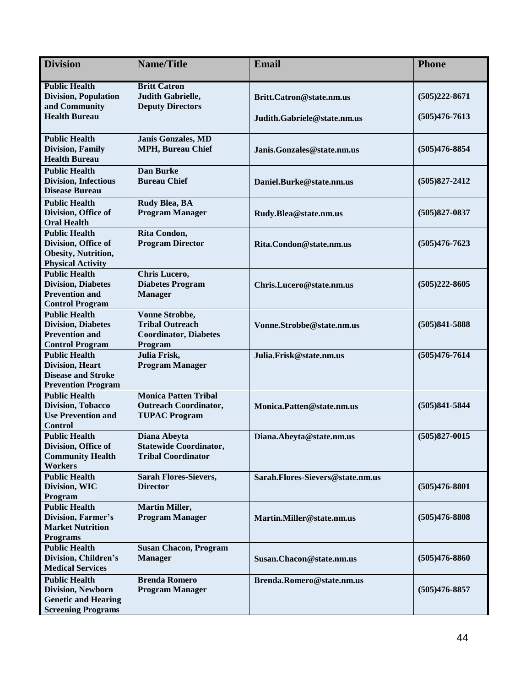| <b>Division</b>                                                                                           | <b>Name/Title</b>                                                                          | <b>Email</b>                     | <b>Phone</b>      |
|-----------------------------------------------------------------------------------------------------------|--------------------------------------------------------------------------------------------|----------------------------------|-------------------|
| <b>Public Health</b><br><b>Division, Population</b><br>and Community                                      | <b>Britt Catron</b><br>Judith Gabrielle,<br><b>Deputy Directors</b>                        | Britt.Catron@state.nm.us         | $(505)222 - 8671$ |
| <b>Health Bureau</b>                                                                                      |                                                                                            | Judith.Gabriele@state.nm.us      | $(505)476 - 7613$ |
| <b>Public Health</b><br><b>Division, Family</b><br><b>Health Bureau</b>                                   | <b>Janis Gonzales, MD</b><br><b>MPH, Bureau Chief</b>                                      | Janis.Gonzales@state.nm.us       | $(505)476 - 8854$ |
| <b>Public Health</b><br><b>Division, Infectious</b><br><b>Disease Bureau</b>                              | <b>Dan Burke</b><br><b>Bureau Chief</b>                                                    | Daniel.Burke@state.nm.us         | $(505)827 - 2412$ |
| <b>Public Health</b><br>Division, Office of<br><b>Oral Health</b>                                         | Rudy Blea, BA<br><b>Program Manager</b>                                                    | Rudy.Blea@state.nm.us            | $(505)827 - 0837$ |
| <b>Public Health</b><br>Division, Office of<br>Obesity, Nutrition,<br><b>Physical Activity</b>            | Rita Condon,<br><b>Program Director</b>                                                    | Rita.Condon@state.nm.us          | $(505)476 - 7623$ |
| <b>Public Health</b><br><b>Division, Diabetes</b><br><b>Prevention and</b><br><b>Control Program</b>      | Chris Lucero,<br><b>Diabetes Program</b><br><b>Manager</b>                                 | Chris.Lucero@state.nm.us         | $(505)222 - 8605$ |
| <b>Public Health</b><br><b>Division, Diabetes</b><br><b>Prevention and</b><br><b>Control Program</b>      | <b>Vonne Strobbe,</b><br><b>Tribal Outreach</b><br><b>Coordinator, Diabetes</b><br>Program | Vonne.Strobbe@state.nm.us        | $(505)841 - 5888$ |
| <b>Public Health</b><br><b>Division</b> , Heart<br><b>Disease and Stroke</b><br><b>Prevention Program</b> | Julia Frisk,<br><b>Program Manager</b>                                                     | Julia.Frisk@state.nm.us          | $(505)476 - 7614$ |
| <b>Public Health</b><br><b>Division, Tobacco</b><br><b>Use Prevention and</b><br><b>Control</b>           | <b>Monica Patten Tribal</b><br><b>Outreach Coordinator,</b><br><b>TUPAC Program</b>        | Monica.Patten@state.nm.us        | $(505)841 - 5844$ |
| <b>Public Health</b><br>Division, Office of<br><b>Community Health</b><br><b>Workers</b>                  | Diana Abeyta<br><b>Statewide Coordinator,</b><br><b>Tribal Coordinator</b>                 | Diana.Abeyta@state.nm.us         | $(505)827 - 0015$ |
| <b>Public Health</b><br>Division, WIC<br>Program                                                          | <b>Sarah Flores-Sievers,</b><br><b>Director</b>                                            | Sarah.Flores-Sievers@state.nm.us | $(505)476 - 8801$ |
| <b>Public Health</b><br>Division, Farmer's<br><b>Market Nutrition</b><br><b>Programs</b>                  | <b>Martin Miller,</b><br><b>Program Manager</b>                                            | Martin.Miller@state.nm.us        | $(505)476 - 8808$ |
| <b>Public Health</b><br>Division, Children's<br><b>Medical Services</b>                                   | <b>Susan Chacon, Program</b><br><b>Manager</b>                                             | Susan.Chacon@state.nm.us         | $(505)476 - 8860$ |
| <b>Public Health</b><br>Division, Newborn<br><b>Genetic and Hearing</b><br><b>Screening Programs</b>      | <b>Brenda Romero</b><br><b>Program Manager</b>                                             | Brenda.Romero@state.nm.us        | $(505)476 - 8857$ |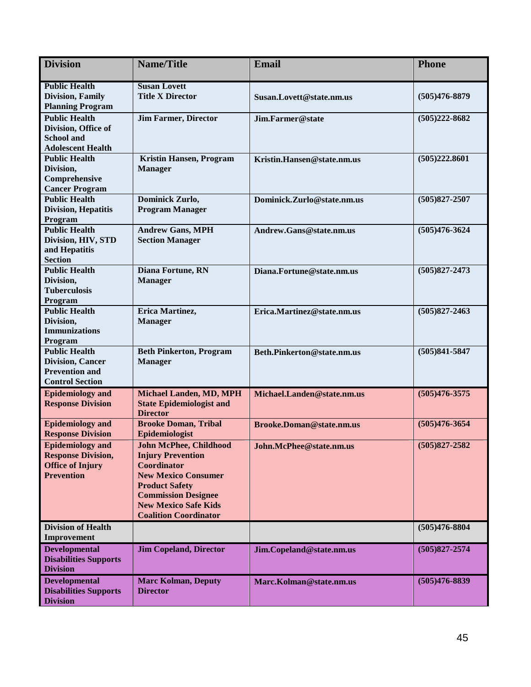| <b>Division</b>                               | <b>Name/Title</b>                                | <b>Email</b>                    | <b>Phone</b>      |  |
|-----------------------------------------------|--------------------------------------------------|---------------------------------|-------------------|--|
| <b>Public Health</b>                          | <b>Susan Lovett</b>                              |                                 |                   |  |
| <b>Division, Family</b>                       | <b>Title X Director</b>                          | Susan.Lovett@state.nm.us        | $(505)476 - 8879$ |  |
| <b>Planning Program</b>                       |                                                  |                                 |                   |  |
| <b>Public Health</b>                          | <b>Jim Farmer, Director</b>                      | Jim.Farmer@state                | $(505)222 - 8682$ |  |
| Division, Office of                           |                                                  |                                 |                   |  |
| <b>School and</b><br><b>Adolescent Health</b> |                                                  |                                 |                   |  |
| <b>Public Health</b>                          | <b>Kristin Hansen, Program</b>                   | Kristin.Hansen@state.nm.us      | (505)222.8601     |  |
| Division,                                     | <b>Manager</b>                                   |                                 |                   |  |
| Comprehensive                                 |                                                  |                                 |                   |  |
| <b>Cancer Program</b>                         |                                                  |                                 |                   |  |
| <b>Public Health</b>                          | Dominick Zurlo,                                  | Dominick.Zurlo@state.nm.us      | $(505)827 - 2507$ |  |
| <b>Division, Hepatitis</b>                    | <b>Program Manager</b>                           |                                 |                   |  |
| Program                                       |                                                  |                                 |                   |  |
| <b>Public Health</b>                          | <b>Andrew Gans, MPH</b>                          | Andrew.Gans@state.nm.us         | $(505)476 - 3624$ |  |
| Division, HIV, STD                            | <b>Section Manager</b>                           |                                 |                   |  |
| and Hepatitis                                 |                                                  |                                 |                   |  |
| <b>Section</b>                                |                                                  |                                 |                   |  |
| <b>Public Health</b>                          | Diana Fortune, RN                                | Diana.Fortune@state.nm.us       | $(505)827 - 2473$ |  |
| Division,                                     | <b>Manager</b>                                   |                                 |                   |  |
| <b>Tuberculosis</b>                           |                                                  |                                 |                   |  |
| Program<br><b>Public Health</b>               | Erica Martinez,                                  |                                 | $(505)827 - 2463$ |  |
| Division,                                     | <b>Manager</b>                                   | Erica.Martinez@state.nm.us      |                   |  |
| <b>Immunizations</b>                          |                                                  |                                 |                   |  |
| Program                                       |                                                  |                                 |                   |  |
| <b>Public Health</b>                          | <b>Beth Pinkerton, Program</b>                   | Beth.Pinkerton@state.nm.us      | $(505)841 - 5847$ |  |
| <b>Division, Cancer</b>                       | <b>Manager</b>                                   |                                 |                   |  |
| <b>Prevention and</b>                         |                                                  |                                 |                   |  |
| <b>Control Section</b>                        |                                                  |                                 |                   |  |
| <b>Epidemiology and</b>                       | <b>Michael Landen, MD, MPH</b>                   | Michael.Landen@state.nm.us      | $(505)476 - 3575$ |  |
| <b>Response Division</b>                      | <b>State Epidemiologist and</b>                  |                                 |                   |  |
|                                               | <b>Director</b>                                  |                                 |                   |  |
| <b>Epidemiology and</b>                       | <b>Brooke Doman, Tribal</b>                      | <b>Brooke.Doman@state.nm.us</b> | $(505)476 - 3654$ |  |
| <b>Response Division</b>                      | Epidemiologist                                   |                                 |                   |  |
| <b>Epidemiology</b> and                       | John McPhee, Childhood                           | John.McPhee@state.nm.us         | $(505)827 - 2582$ |  |
| <b>Response Division,</b>                     | <b>Injury Prevention</b>                         |                                 |                   |  |
| <b>Office of Injury</b><br><b>Prevention</b>  | <b>Coordinator</b><br><b>New Mexico Consumer</b> |                                 |                   |  |
|                                               | <b>Product Safety</b>                            |                                 |                   |  |
|                                               | <b>Commission Designee</b>                       |                                 |                   |  |
|                                               | <b>New Mexico Safe Kids</b>                      |                                 |                   |  |
|                                               | <b>Coalition Coordinator</b>                     |                                 |                   |  |
| <b>Division of Health</b>                     |                                                  |                                 | $(505)476 - 8804$ |  |
| Improvement                                   |                                                  |                                 |                   |  |
| <b>Developmental</b>                          | <b>Jim Copeland, Director</b>                    | Jim.Copeland@state.nm.us        | $(505)827 - 2574$ |  |
| <b>Disabilities Supports</b>                  |                                                  |                                 |                   |  |
| <b>Division</b>                               |                                                  |                                 |                   |  |
| <b>Developmental</b>                          | <b>Marc Kolman, Deputy</b>                       | Marc.Kolman@state.nm.us         | $(505)476 - 8839$ |  |
| <b>Disabilities Supports</b>                  | <b>Director</b>                                  |                                 |                   |  |
| <b>Division</b>                               |                                                  |                                 |                   |  |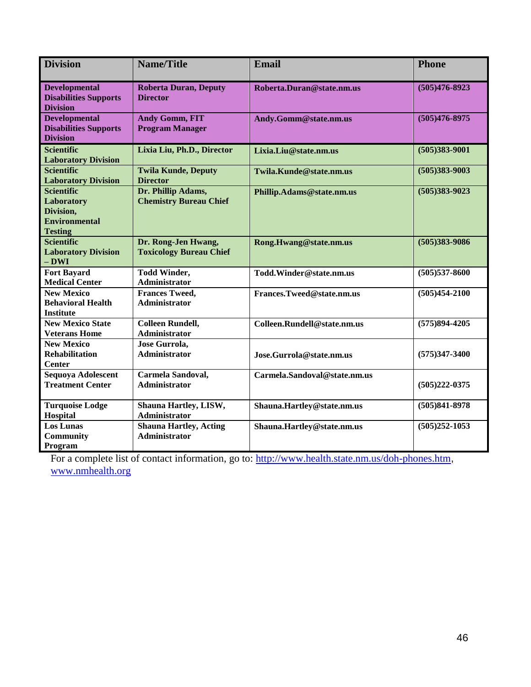| <b>Division</b>                                                                        | <b>Name/Title</b>                                     | <b>Email</b>                 | <b>Phone</b>      |
|----------------------------------------------------------------------------------------|-------------------------------------------------------|------------------------------|-------------------|
| <b>Developmental</b><br><b>Disabilities Supports</b><br><b>Division</b>                | <b>Roberta Duran, Deputy</b><br><b>Director</b>       | Roberta.Duran@state.nm.us    | $(505)476 - 8923$ |
| <b>Developmental</b><br><b>Disabilities Supports</b><br><b>Division</b>                | <b>Andy Gomm, FIT</b><br><b>Program Manager</b>       | Andy.Gomm@state.nm.us        | $(505)476 - 8975$ |
| <b>Scientific</b><br><b>Laboratory Division</b>                                        | Lixia Liu, Ph.D., Director                            | Lixia.Liu@state.nm.us        | $(505)383 - 9001$ |
| <b>Scientific</b><br><b>Laboratory Division</b>                                        | <b>Twila Kunde, Deputy</b><br><b>Director</b>         | Twila.Kunde@state.nm.us      | $(505)383 - 9003$ |
| <b>Scientific</b><br>Laboratory<br>Division,<br><b>Environmental</b><br><b>Testing</b> | Dr. Phillip Adams,<br><b>Chemistry Bureau Chief</b>   | Phillip.Adams@state.nm.us    | $(505)383 - 9023$ |
| <b>Scientific</b><br><b>Laboratory Division</b><br>$-$ DWI                             | Dr. Rong-Jen Hwang,<br><b>Toxicology Bureau Chief</b> | Rong.Hwang@state.nm.us       | $(505)383 - 9086$ |
| <b>Fort Bayard</b><br><b>Medical Center</b>                                            | <b>Todd Winder,</b><br>Administrator                  | Todd.Winder@state.nm.us      | $(505)537 - 8600$ |
| <b>New Mexico</b><br><b>Behavioral Health</b><br><b>Institute</b>                      | <b>Frances Tweed,</b><br><b>Administrator</b>         | Frances.Tweed@state.nm.us    | $(505)454 - 2100$ |
| <b>New Mexico State</b><br><b>Veterans Home</b>                                        | <b>Colleen Rundell,</b><br>Administrator              | Colleen.Rundell@state.nm.us  | $(575)894-4205$   |
| <b>New Mexico</b><br><b>Rehabilitation</b><br><b>Center</b>                            | <b>Jose Gurrola,</b><br>Administrator                 | Jose.Gurrola@state.nm.us     | $(575)347 - 3400$ |
| Sequoya Adolescent<br><b>Treatment Center</b>                                          | Carmela Sandoval,<br><b>Administrator</b>             | Carmela.Sandoval@state.nm.us | $(505)222 - 0375$ |
| <b>Turquoise Lodge</b><br><b>Hospital</b>                                              | Shauna Hartley, LISW,<br><b>Administrator</b>         | Shauna.Hartley@state.nm.us   | $(505)841 - 8978$ |
| <b>Los Lunas</b><br><b>Community</b><br>Program                                        | <b>Shauna Hartley, Acting</b><br><b>Administrator</b> | Shauna.Hartley@state.nm.us   | $(505)252 - 1053$ |

For a complete list of contact information, go to:<http://www.health.state.nm.us/doh-phones.htm>, [www.nmhealth.org](http://www.nmhealth.org/)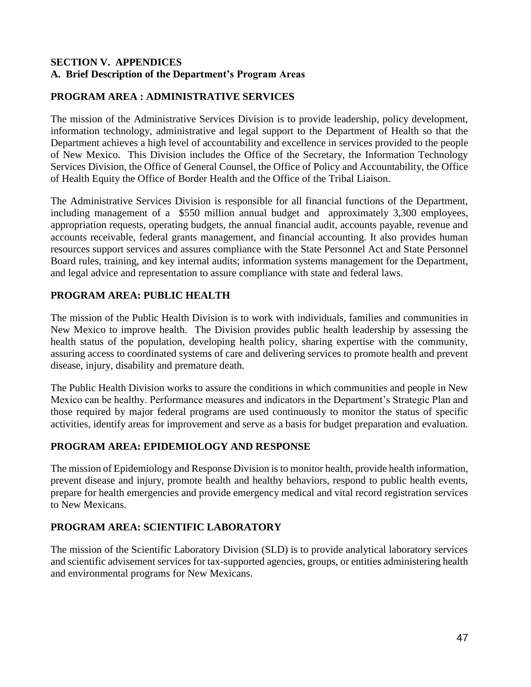#### **SECTION V. APPENDICES A. Brief Description of the Department's Program Areas**

#### **PROGRAM AREA : ADMINISTRATIVE SERVICES**

The mission of the Administrative Services Division is to provide leadership, policy development, information technology, administrative and legal support to the Department of Health so that the Department achieves a high level of accountability and excellence in services provided to the people of New Mexico. This Division includes the Office of the Secretary, the Information Technology Services Division, the Office of General Counsel, the Office of Policy and Accountability, the Office of Health Equity the Office of Border Health and the Office of the Tribal Liaison.

The Administrative Services Division is responsible for all financial functions of the Department, including management of a \$550 million annual budget and approximately 3,300 employees, appropriation requests, operating budgets, the annual financial audit, accounts payable, revenue and accounts receivable, federal grants management, and financial accounting. It also provides human resources support services and assures compliance with the State Personnel Act and State Personnel Board rules, training, and key internal audits; information systems management for the Department, and legal advice and representation to assure compliance with state and federal laws.

#### **PROGRAM AREA: PUBLIC HEALTH**

The mission of the Public Health Division is to work with individuals, families and communities in New Mexico to improve health. The Division provides public health leadership by assessing the health status of the population, developing health policy, sharing expertise with the community, assuring access to coordinated systems of care and delivering services to promote health and prevent disease, injury, disability and premature death.

The Public Health Division works to assure the conditions in which communities and people in New Mexico can be healthy. Performance measures and indicators in the Department's Strategic Plan and those required by major federal programs are used continuously to monitor the status of specific activities, identify areas for improvement and serve as a basis for budget preparation and evaluation.

#### **PROGRAM AREA: EPIDEMIOLOGY AND RESPONSE**

The mission of Epidemiology and Response Division is to monitor health, provide health information, prevent disease and injury, promote health and healthy behaviors, respond to public health events, prepare for health emergencies and provide emergency medical and vital record registration services to New Mexicans.

#### **PROGRAM AREA: SCIENTIFIC LABORATORY**

The mission of the Scientific Laboratory Division (SLD) is to provide analytical laboratory services and scientific advisement services for tax-supported agencies, groups, or entities administering health and environmental programs for New Mexicans.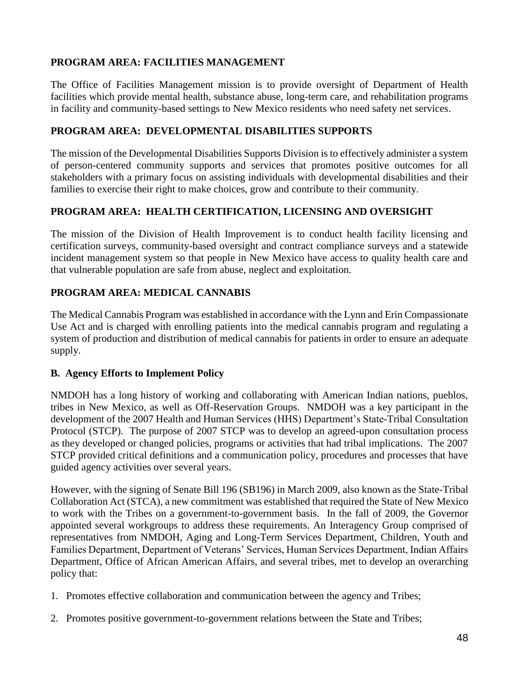#### **PROGRAM AREA: FACILITIES MANAGEMENT**

The Office of Facilities Management mission is to provide oversight of Department of Health facilities which provide mental health, substance abuse, long-term care, and rehabilitation programs in facility and community-based settings to New Mexico residents who need safety net services.

#### **PROGRAM AREA: DEVELOPMENTAL DISABILITIES SUPPORTS**

The mission of the Developmental Disabilities Supports Division is to effectively administer a system of person-centered community supports and services that promotes positive outcomes for all stakeholders with a primary focus on assisting individuals with developmental disabilities and their families to exercise their right to make choices, grow and contribute to their community.

#### **PROGRAM AREA: HEALTH CERTIFICATION, LICENSING AND OVERSIGHT**

The mission of the Division of Health Improvement is to conduct health facility licensing and certification surveys, community-based oversight and contract compliance surveys and a statewide incident management system so that people in New Mexico have access to quality health care and that vulnerable population are safe from abuse, neglect and exploitation.

#### **PROGRAM AREA: MEDICAL CANNABIS**

The Medical Cannabis Program was established in accordance with the Lynn and Erin Compassionate Use Act and is charged with enrolling patients into the medical cannabis program and regulating a system of production and distribution of medical cannabis for patients in order to ensure an adequate supply.

#### **B. Agency Efforts to Implement Policy**

NMDOH has a long history of working and collaborating with American Indian nations, pueblos, tribes in New Mexico, as well as Off-Reservation Groups. NMDOH was a key participant in the development of the 2007 Health and Human Services (HHS) Department's State-Tribal Consultation Protocol (STCP). The purpose of 2007 STCP was to develop an agreed-upon consultation process as they developed or changed policies, programs or activities that had tribal implications. The 2007 STCP provided critical definitions and a communication policy, procedures and processes that have guided agency activities over several years.

However, with the signing of Senate Bill 196 (SB196) in March 2009, also known as the State-Tribal Collaboration Act (STCA), a new commitment was established that required the State of New Mexico to work with the Tribes on a government-to-government basis. In the fall of 2009, the Governor appointed several workgroups to address these requirements. An Interagency Group comprised of representatives from NMDOH, Aging and Long-Term Services Department, Children, Youth and Families Department, Department of Veterans' Services, Human Services Department, Indian Affairs Department, Office of African American Affairs, and several tribes, met to develop an overarching policy that:

- 1. Promotes effective collaboration and communication between the agency and Tribes;
- 2. Promotes positive government-to-government relations between the State and Tribes;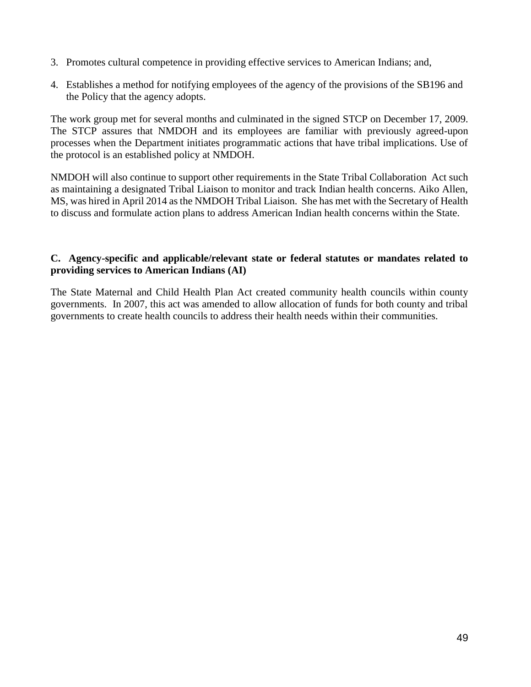- 3. Promotes cultural competence in providing effective services to American Indians; and,
- 4. Establishes a method for notifying employees of the agency of the provisions of the SB196 and the Policy that the agency adopts.

The work group met for several months and culminated in the signed STCP on December 17, 2009. The STCP assures that NMDOH and its employees are familiar with previously agreed-upon processes when the Department initiates programmatic actions that have tribal implications. Use of the protocol is an established policy at NMDOH.

NMDOH will also continue to support other requirements in the State Tribal Collaboration Act such as maintaining a designated Tribal Liaison to monitor and track Indian health concerns. Aiko Allen, MS, was hired in April 2014 as the NMDOH Tribal Liaison. She has met with the Secretary of Health to discuss and formulate action plans to address American Indian health concerns within the State.

#### **C. Agency-specific and applicable/relevant state or federal statutes or mandates related to providing services to American Indians (AI)**

The State Maternal and Child Health Plan Act created community health councils within county governments. In 2007, this act was amended to allow allocation of funds for both county and tribal governments to create health councils to address their health needs within their communities.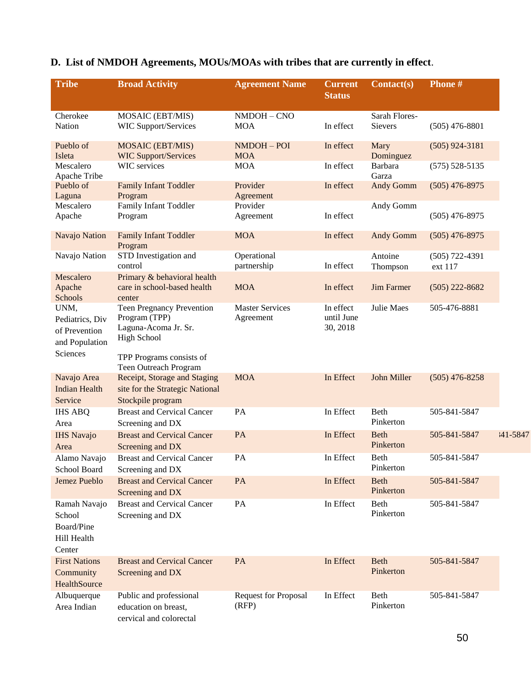| <b>Tribe</b>                                                           | <b>Broad Activity</b>                                                                    | <b>Agreement Name</b>                | <b>Current</b><br><b>Status</b>     | Contact(s)               | <b>Phone#</b>               |              |
|------------------------------------------------------------------------|------------------------------------------------------------------------------------------|--------------------------------------|-------------------------------------|--------------------------|-----------------------------|--------------|
| Cherokee                                                               | MOSAIC (EBT/MIS)                                                                         | NMDOH - CNO                          |                                     | Sarah Flores-            |                             |              |
| Nation                                                                 | <b>WIC Support/Services</b>                                                              | <b>MOA</b>                           | In effect                           | Sievers                  | $(505)$ 476-8801            |              |
| Pueblo of<br>Isleta                                                    | <b>MOSAIC (EBT/MIS)</b><br><b>WIC Support/Services</b>                                   | NMDOH-POI<br><b>MOA</b>              | In effect                           | Mary<br>Dominguez        | $(505)$ 924-3181            |              |
| Mescalero<br>Apache Tribe                                              | WIC services                                                                             | <b>MOA</b>                           | In effect                           | Barbara<br>Garza         | $(575) 528 - 5135$          |              |
| Pueblo of<br>Laguna                                                    | <b>Family Infant Toddler</b><br>Program                                                  | Provider<br>Agreement                | In effect                           | <b>Andy Gomm</b>         | $(505)$ 476-8975            |              |
| Mescalero<br>Apache                                                    | Family Infant Toddler<br>Program                                                         | Provider<br>Agreement                | In effect                           | Andy Gomm                | $(505)$ 476-8975            |              |
| Navajo Nation                                                          | <b>Family Infant Toddler</b><br>Program                                                  | <b>MOA</b>                           | In effect                           | <b>Andy Gomm</b>         | $(505)$ 476-8975            |              |
| Navajo Nation                                                          | STD Investigation and<br>control                                                         | Operational<br>partnership           | In effect                           | Antoine<br>Thompson      | $(505)$ 722-4391<br>ext 117 |              |
| Mescalero<br>Apache<br>Schools                                         | Primary & behavioral health<br>care in school-based health<br>center                     | <b>MOA</b>                           | In effect                           | <b>Jim Farmer</b>        | $(505)$ 222-8682            |              |
| UNM,<br>Pediatrics, Div<br>of Prevention<br>and Population<br>Sciences | Teen Pregnancy Prevention<br>Program (TPP)<br>Laguna-Acoma Jr. Sr.<br><b>High School</b> | <b>Master Services</b><br>Agreement  | In effect<br>until June<br>30, 2018 | <b>Julie Maes</b>        | 505-476-8881                |              |
|                                                                        | TPP Programs consists of<br>Teen Outreach Program                                        |                                      |                                     |                          |                             |              |
| Navajo Area<br><b>Indian Health</b><br>Service                         | Receipt, Storage and Staging<br>site for the Strategic National<br>Stockpile program     | <b>MOA</b>                           | In Effect                           | John Miller              | $(505)$ 476-8258            |              |
| <b>IHS ABQ</b><br>Area                                                 | <b>Breast and Cervical Cancer</b><br>Screening and DX                                    | PA                                   | In Effect                           | Beth<br>Pinkerton        | 505-841-5847                |              |
| <b>IHS Navajo</b><br>Area                                              | <b>Breast and Cervical Cancer</b><br>Screening and DX                                    | PA                                   | In Effect                           | <b>Beth</b><br>Pinkerton | 505-841-5847                | $141 - 5847$ |
| Alamo Navajo<br>School Board                                           | <b>Breast and Cervical Cancer</b><br>Screening and DX                                    | PA                                   | In Effect                           | Beth<br>Pinkerton        | 505-841-5847                |              |
| Jemez Pueblo                                                           | <b>Breast and Cervical Cancer</b><br>Screening and DX                                    | <b>PA</b>                            | In Effect                           | <b>Beth</b><br>Pinkerton | 505-841-5847                |              |
| Ramah Navajo<br>School<br>Board/Pine<br>Hill Health<br>Center          | <b>Breast and Cervical Cancer</b><br>Screening and DX                                    | PA                                   | In Effect                           | Beth<br>Pinkerton        | 505-841-5847                |              |
| <b>First Nations</b><br>Community<br>HealthSource                      | <b>Breast and Cervical Cancer</b><br>Screening and DX                                    | PA                                   | In Effect                           | <b>Beth</b><br>Pinkerton | 505-841-5847                |              |
| Albuquerque<br>Area Indian                                             | Public and professional<br>education on breast,<br>cervical and colorectal               | <b>Request for Proposal</b><br>(RFP) | In Effect                           | Beth<br>Pinkerton        | 505-841-5847                |              |

### **D. List of NMDOH Agreements, MOUs/MOAs with tribes that are currently in effect**.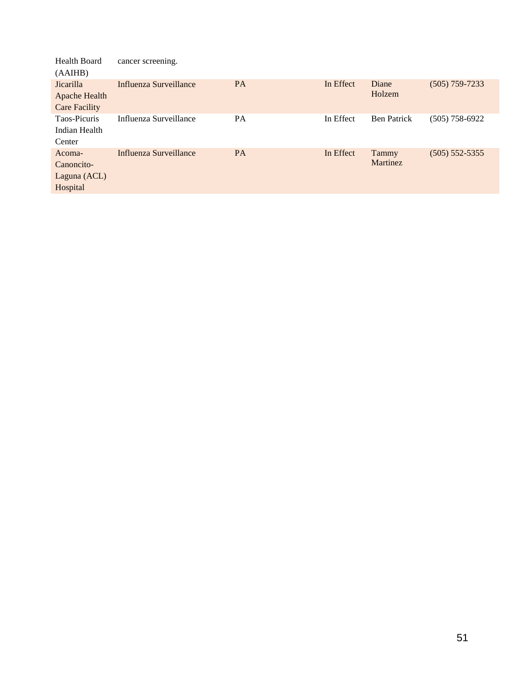| <b>Health Board</b><br>(AAIHB)                     | cancer screening.      |           |           |                    |                    |
|----------------------------------------------------|------------------------|-----------|-----------|--------------------|--------------------|
| Jicarilla<br>Apache Health<br><b>Care Facility</b> | Influenza Surveillance | <b>PA</b> | In Effect | Diane<br>Holzem    | $(505)$ 759-7233   |
| Taos-Picuris<br>Indian Health<br>Center            | Influenza Surveillance | <b>PA</b> | In Effect | <b>Ben Patrick</b> | $(505) 758 - 6922$ |
| Acoma-<br>Canoncito-<br>Laguna (ACL)<br>Hospital   | Influenza Surveillance | <b>PA</b> | In Effect | Tammy<br>Martinez  | $(505) 552 - 5355$ |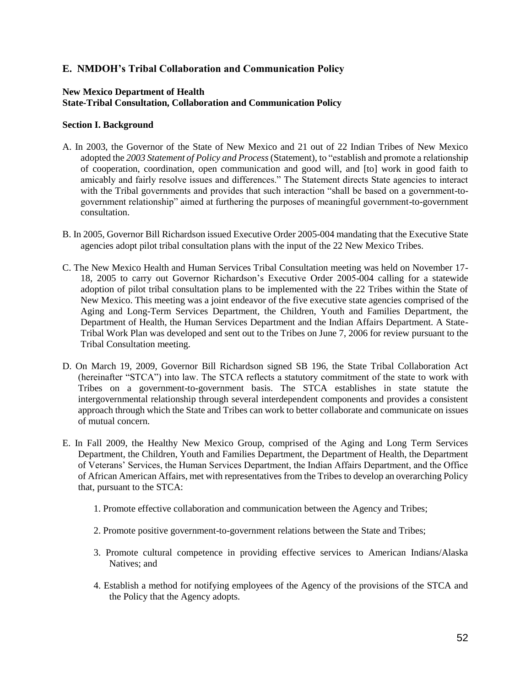#### **E. NMDOH's Tribal Collaboration and Communication Policy**

#### **New Mexico Department of Health State-Tribal Consultation, Collaboration and Communication Policy**

#### **Section I. Background**

- A. In 2003, the Governor of the State of New Mexico and 21 out of 22 Indian Tribes of New Mexico adopted the *2003 Statement of Policy and Process* (Statement), to "establish and promote a relationship of cooperation, coordination, open communication and good will, and [to] work in good faith to amicably and fairly resolve issues and differences." The Statement directs State agencies to interact with the Tribal governments and provides that such interaction "shall be based on a government-togovernment relationship" aimed at furthering the purposes of meaningful government-to-government consultation.
- B. In 2005, Governor Bill Richardson issued Executive Order 2005-004 mandating that the Executive State agencies adopt pilot tribal consultation plans with the input of the 22 New Mexico Tribes.
- C. The New Mexico Health and Human Services Tribal Consultation meeting was held on November 17- 18, 2005 to carry out Governor Richardson's Executive Order 2005-004 calling for a statewide adoption of pilot tribal consultation plans to be implemented with the 22 Tribes within the State of New Mexico. This meeting was a joint endeavor of the five executive state agencies comprised of the Aging and Long-Term Services Department, the Children, Youth and Families Department, the Department of Health, the Human Services Department and the Indian Affairs Department. A State-Tribal Work Plan was developed and sent out to the Tribes on June 7, 2006 for review pursuant to the Tribal Consultation meeting.
- D. On March 19, 2009, Governor Bill Richardson signed SB 196, the State Tribal Collaboration Act (hereinafter "STCA") into law. The STCA reflects a statutory commitment of the state to work with Tribes on a government-to-government basis. The STCA establishes in state statute the intergovernmental relationship through several interdependent components and provides a consistent approach through which the State and Tribes can work to better collaborate and communicate on issues of mutual concern.
- E. In Fall 2009, the Healthy New Mexico Group, comprised of the Aging and Long Term Services Department, the Children, Youth and Families Department, the Department of Health, the Department of Veterans' Services, the Human Services Department, the Indian Affairs Department, and the Office of African American Affairs, met with representatives from the Tribes to develop an overarching Policy that, pursuant to the STCA:
	- 1. Promote effective collaboration and communication between the Agency and Tribes;
	- 2. Promote positive government-to-government relations between the State and Tribes;
	- 3. Promote cultural competence in providing effective services to American Indians/Alaska Natives; and
	- 4. Establish a method for notifying employees of the Agency of the provisions of the STCA and the Policy that the Agency adopts.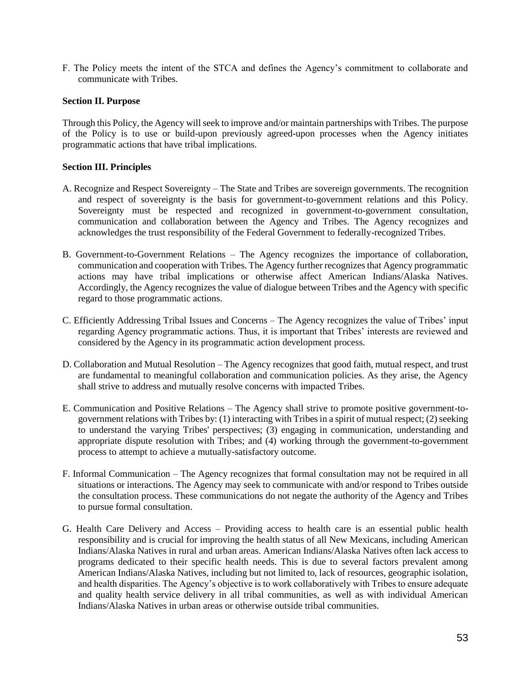F. The Policy meets the intent of the STCA and defines the Agency's commitment to collaborate and communicate with Tribes.

#### **Section II. Purpose**

Through this Policy, the Agency will seek to improve and/or maintain partnerships with Tribes. The purpose of the Policy is to use or build-upon previously agreed-upon processes when the Agency initiates programmatic actions that have tribal implications.

#### **Section III. Principles**

- A. Recognize and Respect Sovereignty The State and Tribes are sovereign governments. The recognition and respect of sovereignty is the basis for government-to-government relations and this Policy. Sovereignty must be respected and recognized in government-to-government consultation, communication and collaboration between the Agency and Tribes. The Agency recognizes and acknowledges the trust responsibility of the Federal Government to federally-recognized Tribes.
- B. Government-to-Government Relations The Agency recognizes the importance of collaboration, communication and cooperation with Tribes. The Agency further recognizes that Agency programmatic actions may have tribal implications or otherwise affect American Indians/Alaska Natives. Accordingly, the Agency recognizes the value of dialogue between Tribes and the Agency with specific regard to those programmatic actions.
- C. Efficiently Addressing Tribal Issues and Concerns The Agency recognizes the value of Tribes' input regarding Agency programmatic actions. Thus, it is important that Tribes' interests are reviewed and considered by the Agency in its programmatic action development process.
- D. Collaboration and Mutual Resolution The Agency recognizes that good faith, mutual respect, and trust are fundamental to meaningful collaboration and communication policies. As they arise, the Agency shall strive to address and mutually resolve concerns with impacted Tribes.
- E. Communication and Positive Relations The Agency shall strive to promote positive government-togovernment relations with Tribes by: (1) interacting with Tribes in a spirit of mutual respect; (2) seeking to understand the varying Tribes' perspectives; (3) engaging in communication, understanding and appropriate dispute resolution with Tribes; and (4) working through the government-to-government process to attempt to achieve a mutually-satisfactory outcome.
- F. Informal Communication The Agency recognizes that formal consultation may not be required in all situations or interactions. The Agency may seek to communicate with and/or respond to Tribes outside the consultation process. These communications do not negate the authority of the Agency and Tribes to pursue formal consultation.
- G. Health Care Delivery and Access Providing access to health care is an essential public health responsibility and is crucial for improving the health status of all New Mexicans, including American Indians/Alaska Natives in rural and urban areas. American Indians/Alaska Natives often lack access to programs dedicated to their specific health needs. This is due to several factors prevalent among American Indians/Alaska Natives, including but not limited to, lack of resources, geographic isolation, and health disparities. The Agency's objective is to work collaboratively with Tribes to ensure adequate and quality health service delivery in all tribal communities, as well as with individual American Indians/Alaska Natives in urban areas or otherwise outside tribal communities.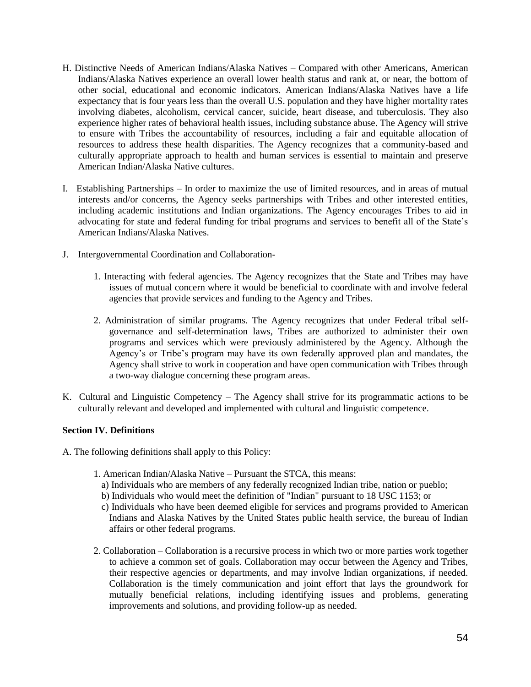- H. Distinctive Needs of American Indians/Alaska Natives Compared with other Americans, American Indians/Alaska Natives experience an overall lower health status and rank at, or near, the bottom of other social, educational and economic indicators. American Indians/Alaska Natives have a life expectancy that is four years less than the overall U.S. population and they have higher mortality rates involving diabetes, alcoholism, cervical cancer, suicide, heart disease, and tuberculosis. They also experience higher rates of behavioral health issues, including substance abuse. The Agency will strive to ensure with Tribes the accountability of resources, including a fair and equitable allocation of resources to address these health disparities. The Agency recognizes that a community-based and culturally appropriate approach to health and human services is essential to maintain and preserve American Indian/Alaska Native cultures.
- I. Establishing Partnerships In order to maximize the use of limited resources, and in areas of mutual interests and/or concerns, the Agency seeks partnerships with Tribes and other interested entities, including academic institutions and Indian organizations. The Agency encourages Tribes to aid in advocating for state and federal funding for tribal programs and services to benefit all of the State's American Indians/Alaska Natives.
- J. Intergovernmental Coordination and Collaboration-
	- 1. Interacting with federal agencies. The Agency recognizes that the State and Tribes may have issues of mutual concern where it would be beneficial to coordinate with and involve federal agencies that provide services and funding to the Agency and Tribes.
	- 2. Administration of similar programs. The Agency recognizes that under Federal tribal selfgovernance and self-determination laws, Tribes are authorized to administer their own programs and services which were previously administered by the Agency. Although the Agency's or Tribe's program may have its own federally approved plan and mandates, the Agency shall strive to work in cooperation and have open communication with Tribes through a two-way dialogue concerning these program areas.
- K. Cultural and Linguistic Competency The Agency shall strive for its programmatic actions to be culturally relevant and developed and implemented with cultural and linguistic competence.

#### **Section IV. Definitions**

A. The following definitions shall apply to this Policy:

- 1. American Indian/Alaska Native Pursuant the STCA, this means:
	- a) Individuals who are members of any federally recognized Indian tribe, nation or pueblo;
	- b) Individuals who would meet the definition of "Indian" pursuant to 18 USC 1153; or
	- c) Individuals who have been deemed eligible for services and programs provided to American Indians and Alaska Natives by the United States public health service, the bureau of Indian affairs or other federal programs.
- 2. Collaboration Collaboration is a recursive process in which two or more parties work together to achieve a common set of goals. Collaboration may occur between the Agency and Tribes, their respective agencies or departments, and may involve Indian organizations, if needed. Collaboration is the timely communication and joint effort that lays the groundwork for mutually beneficial relations, including identifying issues and problems, generating improvements and solutions, and providing follow-up as needed.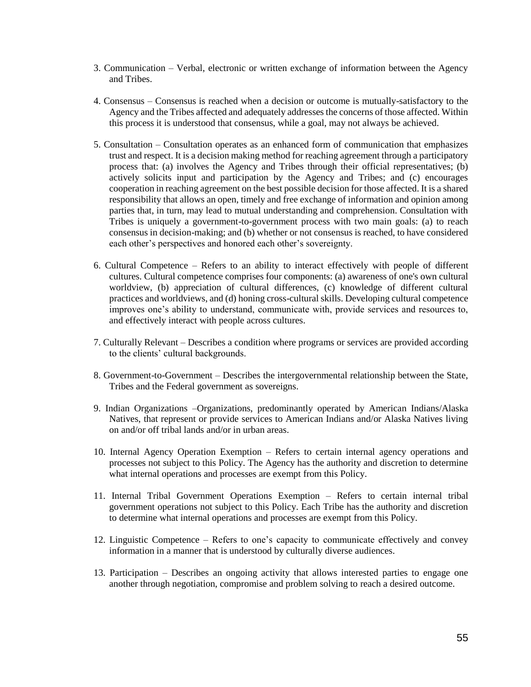- 3. Communication Verbal, electronic or written exchange of information between the Agency and Tribes.
- 4. Consensus Consensus is reached when a decision or outcome is mutually-satisfactory to the Agency and the Tribes affected and adequately addresses the concerns of those affected. Within this process it is understood that consensus, while a goal, may not always be achieved.
- 5. Consultation Consultation operates as an enhanced form of communication that emphasizes trust and respect. It is a decision making method for reaching agreement through a participatory process that: (a) involves the Agency and Tribes through their official representatives; (b) actively solicits input and participation by the Agency and Tribes; and (c) encourages cooperation in reaching agreement on the best possible decision for those affected. It is a shared responsibility that allows an open, timely and free exchange of information and opinion among parties that, in turn, may lead to mutual understanding and comprehension. Consultation with Tribes is uniquely a government-to-government process with two main goals: (a) to reach consensus in decision-making; and (b) whether or not consensus is reached, to have considered each other's perspectives and honored each other's sovereignty.
- 6. Cultural Competence Refers to an ability to interact effectively with people of different cultures. Cultural competence comprises four components: (a) awareness of one's own cultural worldview, (b) appreciation of cultural differences, (c) knowledge of different cultural practices and worldviews, and (d) honing cross-cultural skills. Developing cultural competence improves one's ability to understand, communicate with, provide services and resources to, and effectively interact with people across cultures.
- 7. Culturally Relevant Describes a condition where programs or services are provided according to the clients' cultural backgrounds.
- 8. Government-to-Government Describes the intergovernmental relationship between the State, Tribes and the Federal government as sovereigns.
- 9. Indian Organizations –Organizations, predominantly operated by American Indians/Alaska Natives, that represent or provide services to American Indians and/or Alaska Natives living on and/or off tribal lands and/or in urban areas.
- 10. Internal Agency Operation Exemption Refers to certain internal agency operations and processes not subject to this Policy. The Agency has the authority and discretion to determine what internal operations and processes are exempt from this Policy.
- 11. Internal Tribal Government Operations Exemption Refers to certain internal tribal government operations not subject to this Policy. Each Tribe has the authority and discretion to determine what internal operations and processes are exempt from this Policy.
- 12. Linguistic Competence Refers to one's capacity to communicate effectively and convey information in a manner that is understood by culturally diverse audiences.
- 13. Participation Describes an ongoing activity that allows interested parties to engage one another through negotiation, compromise and problem solving to reach a desired outcome.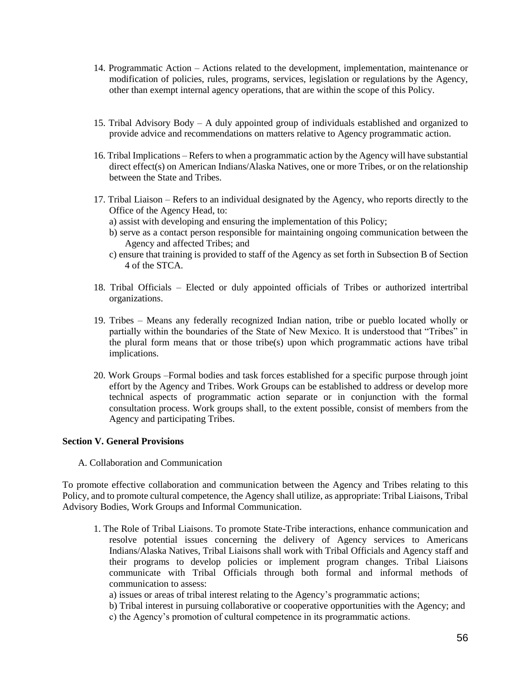- 14. Programmatic Action Actions related to the development, implementation, maintenance or modification of policies, rules, programs, services, legislation or regulations by the Agency, other than exempt internal agency operations, that are within the scope of this Policy.
- 15. Tribal Advisory Body A duly appointed group of individuals established and organized to provide advice and recommendations on matters relative to Agency programmatic action.
- 16. Tribal Implications Refers to when a programmatic action by the Agency will have substantial direct effect(s) on American Indians/Alaska Natives, one or more Tribes, or on the relationship between the State and Tribes.
- 17. Tribal Liaison Refers to an individual designated by the Agency, who reports directly to the Office of the Agency Head, to:
	- a) assist with developing and ensuring the implementation of this Policy;
	- b) serve as a contact person responsible for maintaining ongoing communication between the Agency and affected Tribes; and
	- c) ensure that training is provided to staff of the Agency as set forth in Subsection B of Section 4 of the STCA.
- 18. Tribal Officials Elected or duly appointed officials of Tribes or authorized intertribal organizations.
- 19. Tribes Means any federally recognized Indian nation, tribe or pueblo located wholly or partially within the boundaries of the State of New Mexico. It is understood that "Tribes" in the plural form means that or those tribe(s) upon which programmatic actions have tribal implications.
- 20. Work Groups –Formal bodies and task forces established for a specific purpose through joint effort by the Agency and Tribes. Work Groups can be established to address or develop more technical aspects of programmatic action separate or in conjunction with the formal consultation process. Work groups shall, to the extent possible, consist of members from the Agency and participating Tribes.

#### **Section V. General Provisions**

A. Collaboration and Communication

To promote effective collaboration and communication between the Agency and Tribes relating to this Policy, and to promote cultural competence, the Agency shall utilize, as appropriate: Tribal Liaisons, Tribal Advisory Bodies, Work Groups and Informal Communication.

- 1. The Role of Tribal Liaisons. To promote State-Tribe interactions, enhance communication and resolve potential issues concerning the delivery of Agency services to Americans Indians/Alaska Natives, Tribal Liaisons shall work with Tribal Officials and Agency staff and their programs to develop policies or implement program changes. Tribal Liaisons communicate with Tribal Officials through both formal and informal methods of communication to assess:
	- a) issues or areas of tribal interest relating to the Agency's programmatic actions;
	- b) Tribal interest in pursuing collaborative or cooperative opportunities with the Agency; and
	- c) the Agency's promotion of cultural competence in its programmatic actions.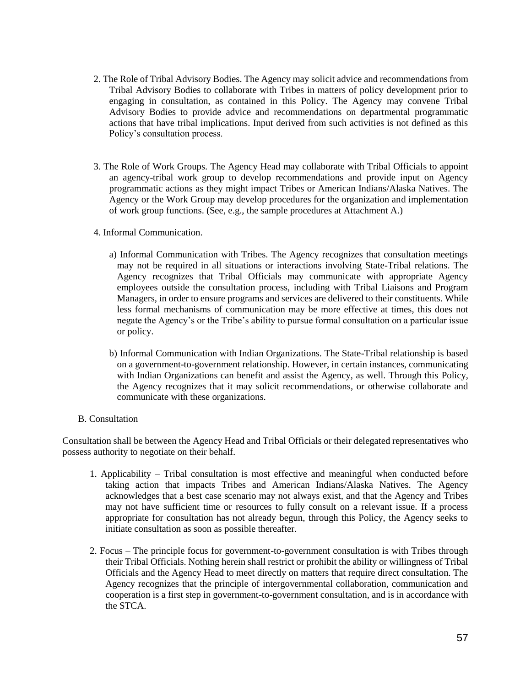- 2. The Role of Tribal Advisory Bodies. The Agency may solicit advice and recommendations from Tribal Advisory Bodies to collaborate with Tribes in matters of policy development prior to engaging in consultation, as contained in this Policy. The Agency may convene Tribal Advisory Bodies to provide advice and recommendations on departmental programmatic actions that have tribal implications. Input derived from such activities is not defined as this Policy's consultation process.
- 3. The Role of Work Groups. The Agency Head may collaborate with Tribal Officials to appoint an agency-tribal work group to develop recommendations and provide input on Agency programmatic actions as they might impact Tribes or American Indians/Alaska Natives. The Agency or the Work Group may develop procedures for the organization and implementation of work group functions. (See, e.g., the sample procedures at Attachment A.)
- 4. Informal Communication.
	- a) Informal Communication with Tribes. The Agency recognizes that consultation meetings may not be required in all situations or interactions involving State-Tribal relations. The Agency recognizes that Tribal Officials may communicate with appropriate Agency employees outside the consultation process, including with Tribal Liaisons and Program Managers, in order to ensure programs and services are delivered to their constituents. While less formal mechanisms of communication may be more effective at times, this does not negate the Agency's or the Tribe's ability to pursue formal consultation on a particular issue or policy.
	- b) Informal Communication with Indian Organizations. The State-Tribal relationship is based on a government-to-government relationship. However, in certain instances, communicating with Indian Organizations can benefit and assist the Agency, as well. Through this Policy, the Agency recognizes that it may solicit recommendations, or otherwise collaborate and communicate with these organizations.
- B. Consultation

Consultation shall be between the Agency Head and Tribal Officials or their delegated representatives who possess authority to negotiate on their behalf.

- 1. Applicability Tribal consultation is most effective and meaningful when conducted before taking action that impacts Tribes and American Indians/Alaska Natives. The Agency acknowledges that a best case scenario may not always exist, and that the Agency and Tribes may not have sufficient time or resources to fully consult on a relevant issue. If a process appropriate for consultation has not already begun, through this Policy, the Agency seeks to initiate consultation as soon as possible thereafter.
- 2. Focus The principle focus for government-to-government consultation is with Tribes through their Tribal Officials. Nothing herein shall restrict or prohibit the ability or willingness of Tribal Officials and the Agency Head to meet directly on matters that require direct consultation. The Agency recognizes that the principle of intergovernmental collaboration, communication and cooperation is a first step in government-to-government consultation, and is in accordance with the STCA.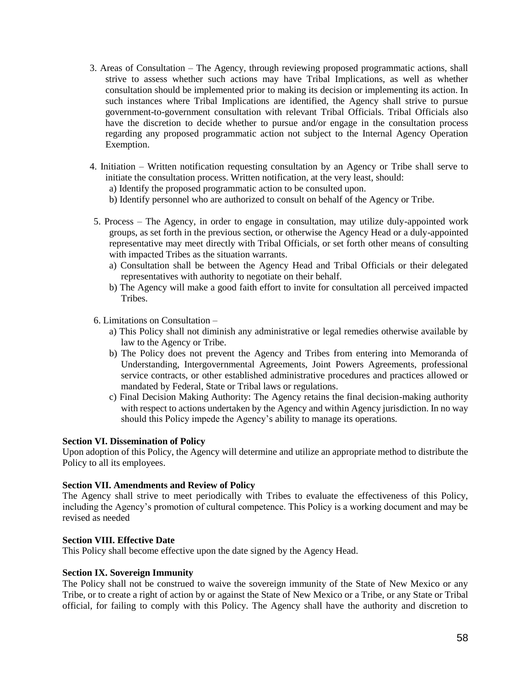- 3. Areas of Consultation The Agency, through reviewing proposed programmatic actions, shall strive to assess whether such actions may have Tribal Implications, as well as whether consultation should be implemented prior to making its decision or implementing its action. In such instances where Tribal Implications are identified, the Agency shall strive to pursue government-to-government consultation with relevant Tribal Officials. Tribal Officials also have the discretion to decide whether to pursue and/or engage in the consultation process regarding any proposed programmatic action not subject to the Internal Agency Operation Exemption.
- 4. Initiation Written notification requesting consultation by an Agency or Tribe shall serve to initiate the consultation process. Written notification, at the very least, should:
	- a) Identify the proposed programmatic action to be consulted upon.
	- b) Identify personnel who are authorized to consult on behalf of the Agency or Tribe.
- 5. Process The Agency, in order to engage in consultation, may utilize duly-appointed work groups, as set forth in the previous section, or otherwise the Agency Head or a duly-appointed representative may meet directly with Tribal Officials, or set forth other means of consulting with impacted Tribes as the situation warrants.
	- a) Consultation shall be between the Agency Head and Tribal Officials or their delegated representatives with authority to negotiate on their behalf.
	- b) The Agency will make a good faith effort to invite for consultation all perceived impacted Tribes.
- 6. Limitations on Consultation
	- a) This Policy shall not diminish any administrative or legal remedies otherwise available by law to the Agency or Tribe.
	- b) The Policy does not prevent the Agency and Tribes from entering into Memoranda of Understanding, Intergovernmental Agreements, Joint Powers Agreements, professional service contracts, or other established administrative procedures and practices allowed or mandated by Federal, State or Tribal laws or regulations.
	- c) Final Decision Making Authority: The Agency retains the final decision-making authority with respect to actions undertaken by the Agency and within Agency jurisdiction. In no way should this Policy impede the Agency's ability to manage its operations.

#### **Section VI. Dissemination of Policy**

Upon adoption of this Policy, the Agency will determine and utilize an appropriate method to distribute the Policy to all its employees.

#### **Section VII. Amendments and Review of Policy**

The Agency shall strive to meet periodically with Tribes to evaluate the effectiveness of this Policy, including the Agency's promotion of cultural competence. This Policy is a working document and may be revised as needed

#### **Section VIII. Effective Date**

This Policy shall become effective upon the date signed by the Agency Head.

#### **Section IX. Sovereign Immunity**

The Policy shall not be construed to waive the sovereign immunity of the State of New Mexico or any Tribe, or to create a right of action by or against the State of New Mexico or a Tribe, or any State or Tribal official, for failing to comply with this Policy. The Agency shall have the authority and discretion to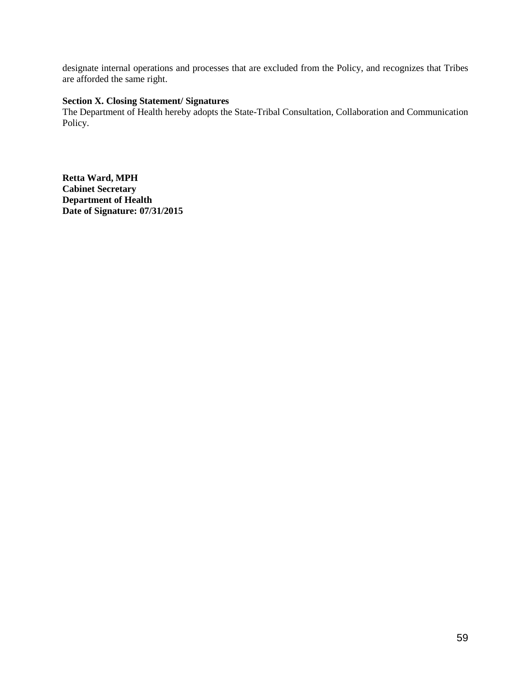designate internal operations and processes that are excluded from the Policy, and recognizes that Tribes are afforded the same right.

#### **Section X. Closing Statement/ Signatures**

The Department of Health hereby adopts the State-Tribal Consultation, Collaboration and Communication Policy.

**Retta Ward, MPH Cabinet Secretary Department of Health Date of Signature: 07/31/2015**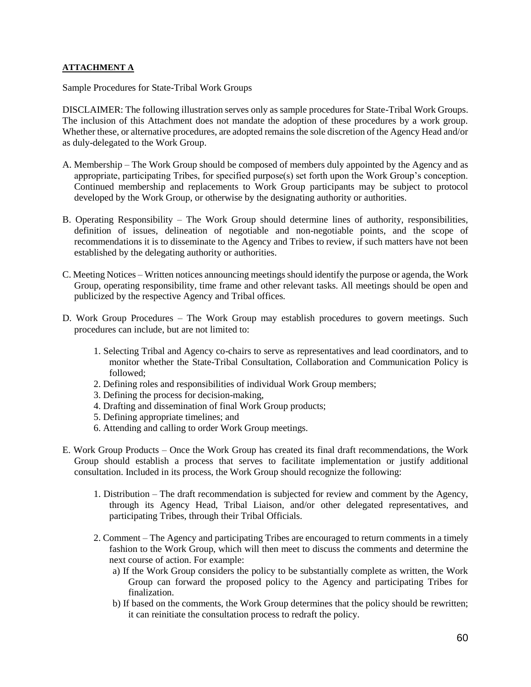#### **ATTACHMENT A**

Sample Procedures for State-Tribal Work Groups

DISCLAIMER: The following illustration serves only as sample procedures for State-Tribal Work Groups. The inclusion of this Attachment does not mandate the adoption of these procedures by a work group. Whether these, or alternative procedures, are adopted remains the sole discretion of the Agency Head and/or as duly-delegated to the Work Group.

- A. Membership The Work Group should be composed of members duly appointed by the Agency and as appropriate, participating Tribes, for specified purpose(s) set forth upon the Work Group's conception. Continued membership and replacements to Work Group participants may be subject to protocol developed by the Work Group, or otherwise by the designating authority or authorities.
- B. Operating Responsibility The Work Group should determine lines of authority, responsibilities, definition of issues, delineation of negotiable and non-negotiable points, and the scope of recommendations it is to disseminate to the Agency and Tribes to review, if such matters have not been established by the delegating authority or authorities.
- C. Meeting Notices Written notices announcing meetings should identify the purpose or agenda, the Work Group, operating responsibility, time frame and other relevant tasks. All meetings should be open and publicized by the respective Agency and Tribal offices.
- D. Work Group Procedures The Work Group may establish procedures to govern meetings. Such procedures can include, but are not limited to:
	- 1. Selecting Tribal and Agency co-chairs to serve as representatives and lead coordinators, and to monitor whether the State-Tribal Consultation, Collaboration and Communication Policy is followed;
	- 2. Defining roles and responsibilities of individual Work Group members;
	- 3. Defining the process for decision-making,
	- 4. Drafting and dissemination of final Work Group products;
	- 5. Defining appropriate timelines; and
	- 6. Attending and calling to order Work Group meetings.
- E. Work Group Products Once the Work Group has created its final draft recommendations, the Work Group should establish a process that serves to facilitate implementation or justify additional consultation. Included in its process, the Work Group should recognize the following:
	- 1. Distribution The draft recommendation is subjected for review and comment by the Agency, through its Agency Head, Tribal Liaison, and/or other delegated representatives, and participating Tribes, through their Tribal Officials.
	- 2. Comment The Agency and participating Tribes are encouraged to return comments in a timely fashion to the Work Group, which will then meet to discuss the comments and determine the next course of action. For example:
		- a) If the Work Group considers the policy to be substantially complete as written, the Work Group can forward the proposed policy to the Agency and participating Tribes for finalization.
		- b) If based on the comments, the Work Group determines that the policy should be rewritten; it can reinitiate the consultation process to redraft the policy.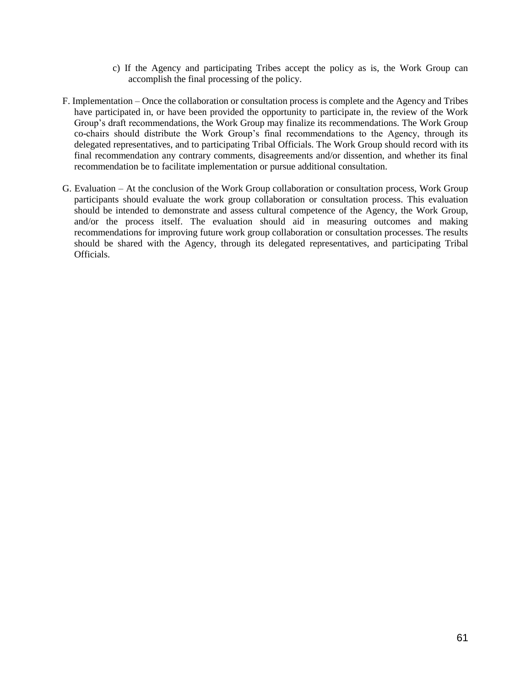- c) If the Agency and participating Tribes accept the policy as is, the Work Group can accomplish the final processing of the policy.
- F. Implementation Once the collaboration or consultation process is complete and the Agency and Tribes have participated in, or have been provided the opportunity to participate in, the review of the Work Group's draft recommendations, the Work Group may finalize its recommendations. The Work Group co-chairs should distribute the Work Group's final recommendations to the Agency, through its delegated representatives, and to participating Tribal Officials. The Work Group should record with its final recommendation any contrary comments, disagreements and/or dissention, and whether its final recommendation be to facilitate implementation or pursue additional consultation.
- G. Evaluation At the conclusion of the Work Group collaboration or consultation process, Work Group participants should evaluate the work group collaboration or consultation process. This evaluation should be intended to demonstrate and assess cultural competence of the Agency, the Work Group, and/or the process itself. The evaluation should aid in measuring outcomes and making recommendations for improving future work group collaboration or consultation processes. The results should be shared with the Agency, through its delegated representatives, and participating Tribal Officials.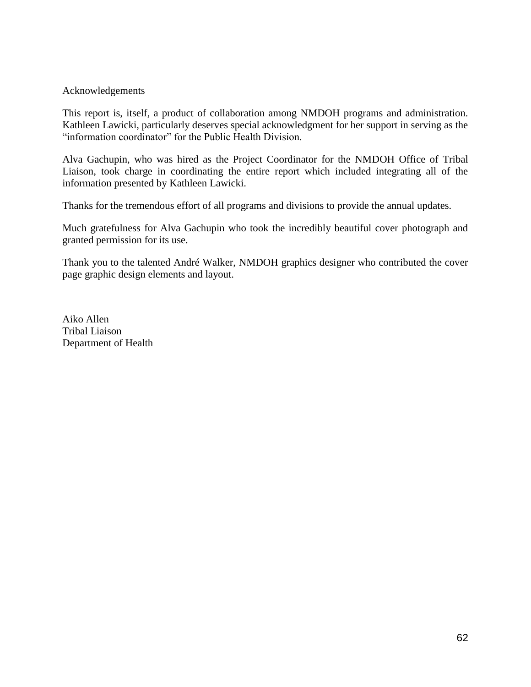#### Acknowledgements

This report is, itself, a product of collaboration among NMDOH programs and administration. Kathleen Lawicki, particularly deserves special acknowledgment for her support in serving as the "information coordinator" for the Public Health Division.

Alva Gachupin, who was hired as the Project Coordinator for the NMDOH Office of Tribal Liaison, took charge in coordinating the entire report which included integrating all of the information presented by Kathleen Lawicki.

Thanks for the tremendous effort of all programs and divisions to provide the annual updates.

Much gratefulness for Alva Gachupin who took the incredibly beautiful cover photograph and granted permission for its use.

Thank you to the talented André Walker, NMDOH graphics designer who contributed the cover page graphic design elements and layout.

Aiko Allen Tribal Liaison Department of Health